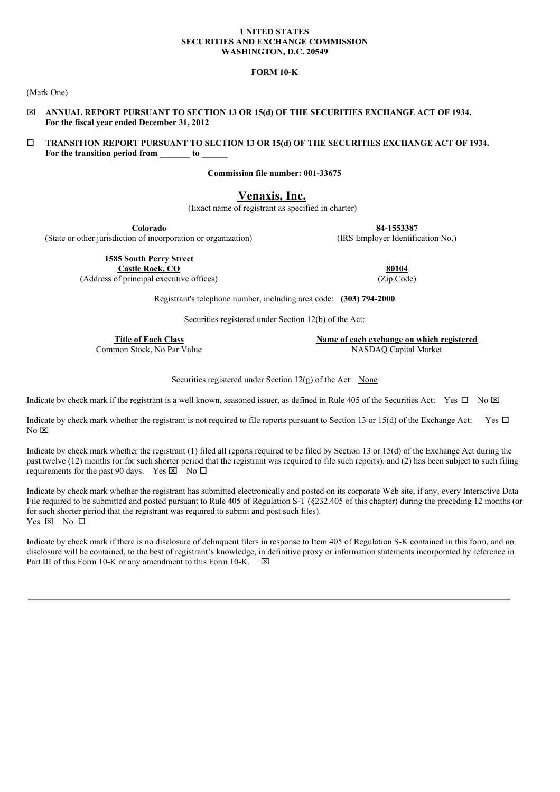### **UNITED STATES SECURITIES AND EXCHANGE COMMISSION WASHINGTON, D.C. 20549**

## **FORM 10-K**

(Mark One)

- x **ANNUAL REPORT PURSUANT TO SECTION 13 OR 15(d) OF THE SECURITIES EXCHANGE ACT OF 1934. For the fiscal year ended December 31, 2012**
- o **TRANSITION REPORT PURSUANT TO SECTION 13 OR 15(d) OF THE SECURITIES EXCHANGE ACT OF 1934. For the transition period from \_\_\_\_\_\_\_ to \_\_\_\_\_\_**

# **Commission file number: 001-33675**

# **Venaxis, Inc.**

(Exact name of registrant as specified in charter)

**Colorado 84-1553387**

(State or other jurisdiction of incorporation or organization) (IRS Employer Identification No.)

**1585 South Perry Street**

(Address of principal executive offices) (Zip Code)

Registrant's telephone number, including area code: **(303) 794-2000**

Securities registered under Section 12(b) of the Act:

**Title of Each Class Name of each exchange on which registered** Common Stock, No Par Value NASDAQ Capital Market

Securities registered under Section 12(g) of the Act: None

Indicate by check mark if the registrant is a well known, seasoned issuer, as defined in Rule 405 of the Securities Act: Yes  $\Box$  No  $\boxtimes$ 

Indicate by check mark whether the registrant is not required to file reports pursuant to Section 13 or 15(d) of the Exchange Act: Yes  $\Box$  $No$   $\overline{X}$ 

Indicate by check mark whether the registrant (1) filed all reports required to be filed by Section 13 or 15(d) of the Exchange Act during the past twelve (12) months (or for such shorter period that the registrant was required to file such reports), and (2) has been subject to such filing requirements for the past 90 days. Yes  $\boxtimes$  No  $\square$ 

Indicate by check mark whether the registrant has submitted electronically and posted on its corporate Web site, if any, every Interactive Data File required to be submitted and posted pursuant to Rule 405 of Regulation S-T (§232.405 of this chapter) during the preceding 12 months (or for such shorter period that the registrant was required to submit and post such files). Yes  $\boxtimes$  No  $\Box$ 

Indicate by check mark if there is no disclosure of delinquent filers in response to Item 405 of Regulation S-K contained in this form, and no disclosure will be contained, to the best of registrant's knowledge, in definitive proxy or information statements incorporated by reference in Part III of this Form 10-K or any amendment to this Form 10-K.  $\boxtimes$ 

**Castle Rock, CO 80104**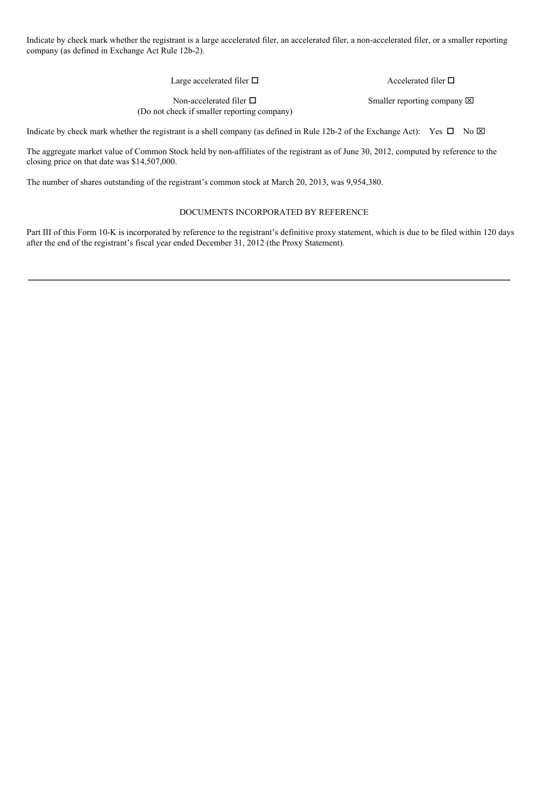Indicate by check mark whether the registrant is a large accelerated filer, an accelerated filer, a non-accelerated filer, or a smaller reporting company (as defined in Exchange Act Rule 12b-2).

Large accelerated filer  $\Box$ 

Accelerated filer  $\Box$ 

Non-accelerated filer  $\Box$ (Do not check if smaller reporting company) Smaller reporting company  $\boxtimes$ 

Indicate by check mark whether the registrant is a shell company (as defined in Rule 12b-2 of the Exchange Act): Yes  $\Box$  No  $\boxtimes$ 

The aggregate market value of Common Stock held by non-affiliates of the registrant as of June 30, 2012, computed by reference to the closing price on that date was \$14,507,000.

The number of shares outstanding of the registrant's common stock at March 20, 2013, was 9,954,380.

# DOCUMENTS INCORPORATED BY REFERENCE

Part III of this Form 10-K is incorporated by reference to the registrant's definitive proxy statement, which is due to be filed within 120 days after the end of the registrant's fiscal year ended December 31, 2012 (the Proxy Statement).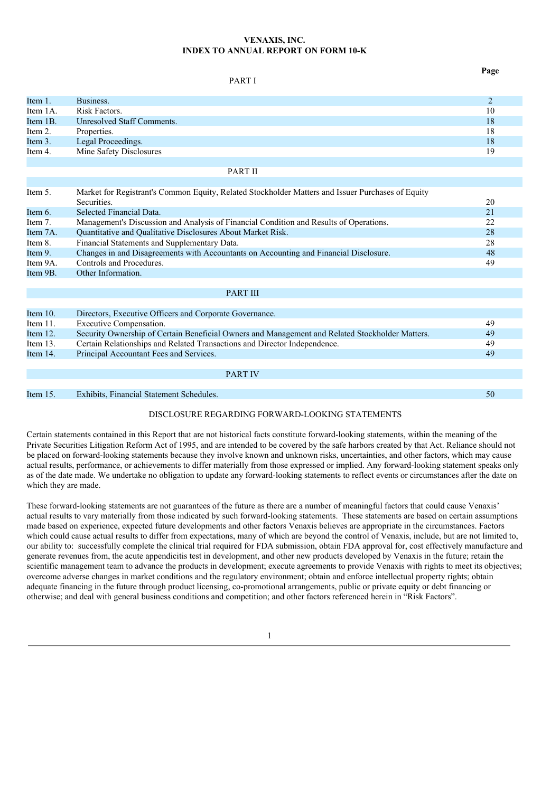## **VENAXIS, INC. INDEX TO ANNUAL REPORT ON FORM 10-K**

|             |                                                                                                   | Page           |
|-------------|---------------------------------------------------------------------------------------------------|----------------|
|             | <b>PART I</b>                                                                                     |                |
| Item 1.     | Business.                                                                                         | $\overline{2}$ |
| Item 1A.    | Risk Factors.                                                                                     | 10             |
| Item 1B.    | Unresolved Staff Comments.                                                                        | 18             |
| Item 2.     | Properties.                                                                                       | 18             |
| Item 3.     | Legal Proceedings.                                                                                | 18             |
| Item 4.     | Mine Safety Disclosures                                                                           | 19             |
|             |                                                                                                   |                |
|             | <b>PART II</b>                                                                                    |                |
| Item 5.     | Market for Registrant's Common Equity, Related Stockholder Matters and Issuer Purchases of Equity |                |
|             | Securities.                                                                                       | 20             |
| Item 6.     | Selected Financial Data.                                                                          | 21             |
| Item 7.     | Management's Discussion and Analysis of Financial Condition and Results of Operations.            | 22             |
| Item 7A.    | Quantitative and Qualitative Disclosures About Market Risk.                                       | 28             |
| Item 8.     | Financial Statements and Supplementary Data.                                                      | 28             |
| Item 9.     | Changes in and Disagreements with Accountants on Accounting and Financial Disclosure.             | 48             |
| Item 9A.    | Controls and Procedures.                                                                          | 49             |
| Item 9B.    | Other Information.                                                                                |                |
|             |                                                                                                   |                |
|             | <b>PART III</b>                                                                                   |                |
| Item $10$ . | Directors, Executive Officers and Corporate Governance.                                           |                |
| Item 11.    | Executive Compensation.                                                                           | 49             |
| Item 12.    | Security Ownership of Certain Beneficial Owners and Management and Related Stockholder Matters.   | 49             |
| Item 13.    | Certain Relationships and Related Transactions and Director Independence.                         | 49             |
| Item 14.    | Principal Accountant Fees and Services.                                                           | 49             |
|             |                                                                                                   |                |
|             | <b>PART IV</b>                                                                                    |                |
| Item $15$ . | Exhibits, Financial Statement Schedules.                                                          | 50             |
|             |                                                                                                   |                |

## DISCLOSURE REGARDING FORWARD-LOOKING STATEMENTS

Certain statements contained in this Report that are not historical facts constitute forward-looking statements, within the meaning of the Private Securities Litigation Reform Act of 1995, and are intended to be covered by the safe harbors created by that Act. Reliance should not be placed on forward-looking statements because they involve known and unknown risks, uncertainties, and other factors, which may cause actual results, performance, or achievements to differ materially from those expressed or implied. Any forward-looking statement speaks only as of the date made. We undertake no obligation to update any forward-looking statements to reflect events or circumstances after the date on which they are made.

These forward-looking statements are not guarantees of the future as there are a number of meaningful factors that could cause Venaxis' actual results to vary materially from those indicated by such forward-looking statements. These statements are based on certain assumptions made based on experience, expected future developments and other factors Venaxis believes are appropriate in the circumstances. Factors which could cause actual results to differ from expectations, many of which are beyond the control of Venaxis, include, but are not limited to, our ability to: successfully complete the clinical trial required for FDA submission, obtain FDA approval for, cost effectively manufacture and generate revenues from, the acute appendicitis test in development, and other new products developed by Venaxis in the future; retain the scientific management team to advance the products in development; execute agreements to provide Venaxis with rights to meet its objectives; overcome adverse changes in market conditions and the regulatory environment; obtain and enforce intellectual property rights; obtain adequate financing in the future through product licensing, co-promotional arrangements, public or private equity or debt financing or otherwise; and deal with general business conditions and competition; and other factors referenced herein in "Risk Factors".

1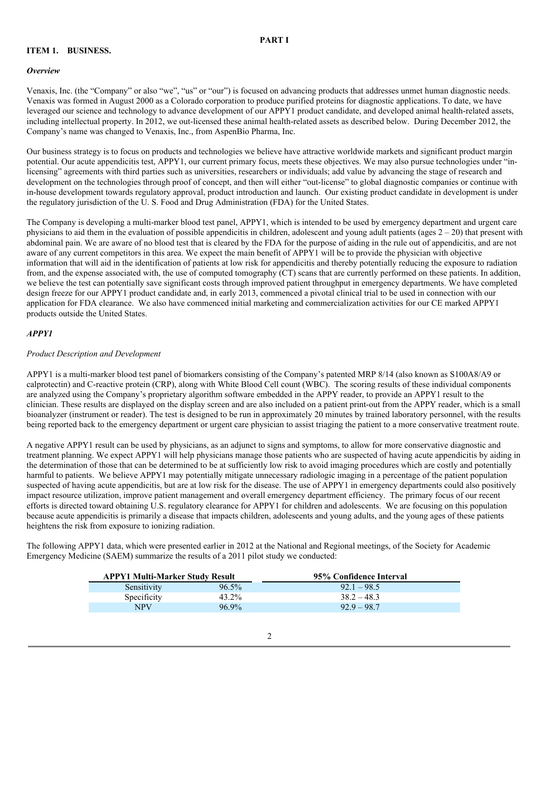## **ITEM 1. BUSINESS.**

#### *Overview*

Venaxis, Inc. (the "Company" or also "we", "us" or "our") is focused on advancing products that addresses unmet human diagnostic needs. Venaxis was formed in August 2000 as a Colorado corporation to produce purified proteins for diagnostic applications. To date, we have leveraged our science and technology to advance development of our APPY1 product candidate, and developed animal health-related assets, including intellectual property. In 2012, we out-licensed these animal health-related assets as described below. During December 2012, the Company's name was changed to Venaxis, Inc., from AspenBio Pharma, Inc.

Our business strategy is to focus on products and technologies we believe have attractive worldwide markets and significant product margin potential. Our acute appendicitis test, APPY1, our current primary focus, meets these objectives. We may also pursue technologies under "inlicensing" agreements with third parties such as universities, researchers or individuals; add value by advancing the stage of research and development on the technologies through proof of concept, and then will either "out-license" to global diagnostic companies or continue with in-house development towards regulatory approval, product introduction and launch. Our existing product candidate in development is under the regulatory jurisdiction of the U. S. Food and Drug Administration (FDA) for the United States.

The Company is developing a multi-marker blood test panel, APPY1, which is intended to be used by emergency department and urgent care physicians to aid them in the evaluation of possible appendicitis in children, adolescent and young adult patients (ages  $2 - 20$ ) that present with abdominal pain. We are aware of no blood test that is cleared by the FDA for the purpose of aiding in the rule out of appendicitis, and are not aware of any current competitors in this area. We expect the main benefit of APPY1 will be to provide the physician with objective information that will aid in the identification of patients at low risk for appendicitis and thereby potentially reducing the exposure to radiation from, and the expense associated with, the use of computed tomography (CT) scans that are currently performed on these patients. In addition, we believe the test can potentially save significant costs through improved patient throughput in emergency departments. We have completed design freeze for our APPY1 product candidate and, in early 2013, commenced a pivotal clinical trial to be used in connection with our application for FDA clearance. We also have commenced initial marketing and commercialization activities for our CE marked APPY1 products outside the United States.

## *APPY1*

### *Product Description and Development*

APPY1 is a multi-marker blood test panel of biomarkers consisting of the Company's patented MRP 8/14 (also known as S100A8/A9 or calprotectin) and C-reactive protein (CRP), along with White Blood Cell count (WBC). The scoring results of these individual components are analyzed using the Company's proprietary algorithm software embedded in the APPY reader, to provide an APPY1 result to the clinician. These results are displayed on the display screen and are also included on a patient print-out from the APPY reader, which is a small bioanalyzer (instrument or reader). The test is designed to be run in approximately 20 minutes by trained laboratory personnel, with the results being reported back to the emergency department or urgent care physician to assist triaging the patient to a more conservative treatment route.

A negative APPY1 result can be used by physicians, as an adjunct to signs and symptoms, to allow for more conservative diagnostic and treatment planning. We expect APPY1 will help physicians manage those patients who are suspected of having acute appendicitis by aiding in the determination of those that can be determined to be at sufficiently low risk to avoid imaging procedures which are costly and potentially harmful to patients. We believe APPY1 may potentially mitigate unnecessary radiologic imaging in a percentage of the patient population suspected of having acute appendicitis, but are at low risk for the disease. The use of APPY1 in emergency departments could also positively impact resource utilization, improve patient management and overall emergency department efficiency. The primary focus of our recent efforts is directed toward obtaining U.S. regulatory clearance for APPY1 for children and adolescents. We are focusing on this population because acute appendicitis is primarily a disease that impacts children, adolescents and young adults, and the young ages of these patients heightens the risk from exposure to ionizing radiation.

The following APPY1 data, which were presented earlier in 2012 at the National and Regional meetings, of the Society for Academic Emergency Medicine (SAEM) summarize the results of a 2011 pilot study we conducted:

| <b>APPY1 Multi-Marker Study Result</b> |          | 95% Confidence Interval |
|----------------------------------------|----------|-------------------------|
| Sensitivity                            | $96.5\%$ | $92.1 - 98.5$           |
| Specificity                            | $43.2\%$ | $38.2 - 48.3$           |
| NPV                                    | $96.9\%$ | $92.9 - 98.7$           |

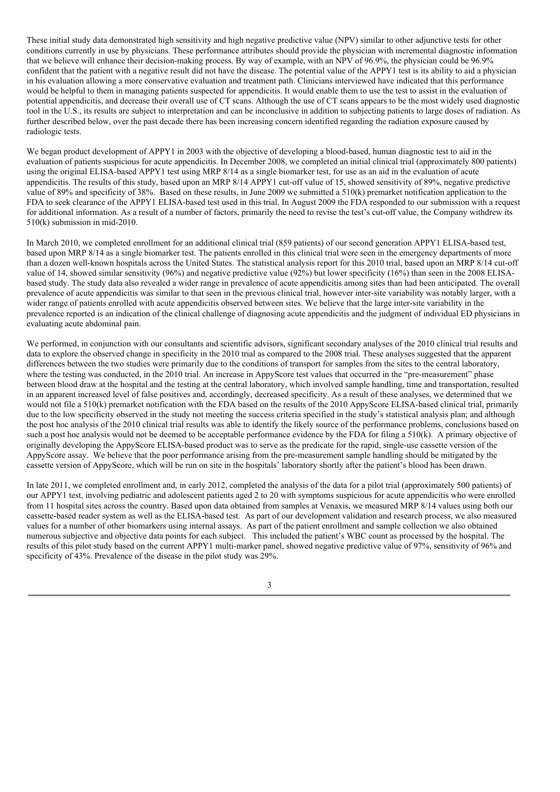These initial study data demonstrated high sensitivity and high negative predictive value (NPV) similar to other adjunctive tests for other conditions currently in use by physicians. These performance attributes should provide the physician with incremental diagnostic information that we believe will enhance their decision-making process. By way of example, with an NPV of 96.9%, the physician could be 96.9% confident that the patient with a negative result did not have the disease. The potential value of the APPY1 test is its ability to aid a physician in his evaluation allowing a more conservative evaluation and treatment path. Clinicians interviewed have indicated that this performance would be helpful to them in managing patients suspected for appendicitis. It would enable them to use the test to assist in the evaluation of potential appendicitis, and decrease their overall use of CT scans. Although the use of CT scans appears to be the most widely used diagnostic tool in the U.S., its results are subject to interpretation and can be inconclusive in addition to subjecting patients to large doses of radiation. As further described below, over the past decade there has been increasing concern identified regarding the radiation exposure caused by radiologic tests.

We began product development of APPY1 in 2003 with the objective of developing a blood-based, human diagnostic test to aid in the evaluation of patients suspicious for acute appendicitis. In December 2008, we completed an initial clinical trial (approximately 800 patients) using the original ELISA-based APPY1 test using MRP 8/14 as a single biomarker test, for use as an aid in the evaluation of acute appendicitis. The results of this study, based upon an MRP 8/14 APPY1 cut-off value of 15, showed sensitivity of 89%, negative predictive value of 89% and specificity of 38%. Based on these results, in June 2009 we submitted a 510(k) premarket notification application to the FDA to seek clearance of the APPY1 ELISA-based test used in this trial. In August 2009 the FDA responded to our submission with a request for additional information. As a result of a number of factors, primarily the need to revise the test's cut-off value, the Company withdrew its 510(k) submission in mid-2010.

In March 2010, we completed enrollment for an additional clinical trial (859 patients) of our second generation APPY1 ELISA-based test, based upon MRP 8/14 as a single biomarker test. The patients enrolled in this clinical trial were seen in the emergency departments of more than a dozen well-known hospitals across the United States. The statistical analysis report for this 2010 trial, based upon an MRP 8/14 cut-off value of 14, showed similar sensitivity (96%) and negative predictive value (92%) but lower specificity (16%) than seen in the 2008 ELISAbased study. The study data also revealed a wider range in prevalence of acute appendicitis among sites than had been anticipated. The overall prevalence of acute appendicitis was similar to that seen in the previous clinical trial, however inter-site variability was notably larger, with a wider range of patients enrolled with acute appendicitis observed between sites. We believe that the large inter-site variability in the prevalence reported is an indication of the clinical challenge of diagnosing acute appendicitis and the judgment of individual ED physicians in evaluating acute abdominal pain.

We performed, in conjunction with our consultants and scientific advisors, significant secondary analyses of the 2010 clinical trial results and data to explore the observed change in specificity in the 2010 trial as compared to the 2008 trial. These analyses suggested that the apparent differences between the two studies were primarily due to the conditions of transport for samples from the sites to the central laboratory, where the testing was conducted, in the 2010 trial. An increase in AppyScore test values that occurred in the "pre-measurement" phase between blood draw at the hospital and the testing at the central laboratory, which involved sample handling, time and transportation, resulted in an apparent increased level of false positives and, accordingly, decreased specificity. As a result of these analyses, we determined that we would not file a 510(k) premarket notification with the FDA based on the results of the 2010 AppyScore ELISA-based clinical trial, primarily due to the low specificity observed in the study not meeting the success criteria specified in the study's statistical analysis plan; and although the post hoc analysis of the 2010 clinical trial results was able to identify the likely source of the performance problems, conclusions based on such a post hoc analysis would not be deemed to be acceptable performance evidence by the FDA for filing a 510(k). A primary objective of originally developing the AppyScore ELISA-based product was to serve as the predicate for the rapid, single-use cassette version of the AppyScore assay. We believe that the poor performance arising from the pre-measurement sample handling should be mitigated by the cassette version of AppyScore, which will be run on site in the hospitals' laboratory shortly after the patient's blood has been drawn.

In late 2011, we completed enrollment and, in early 2012, completed the analysis of the data for a pilot trial (approximately 500 patients) of our APPY1 test, involving pediatric and adolescent patients aged 2 to 20 with symptoms suspicious for acute appendicitis who were enrolled from 11 hospital sites across the country. Based upon data obtained from samples at Venaxis, we measured MRP 8/14 values using both our cassette-based reader system as well as the ELISA-based test. As part of our development validation and research process, we also measured values for a number of other biomarkers using internal assays. As part of the patient enrollment and sample collection we also obtained numerous subjective and objective data points for each subject. This included the patient's WBC count as processed by the hospital. The results of this pilot study based on the current APPY1 multi-marker panel, showed negative predictive value of 97%, sensitivity of 96% and specificity of 43%. Prevalence of the disease in the pilot study was 29%.

3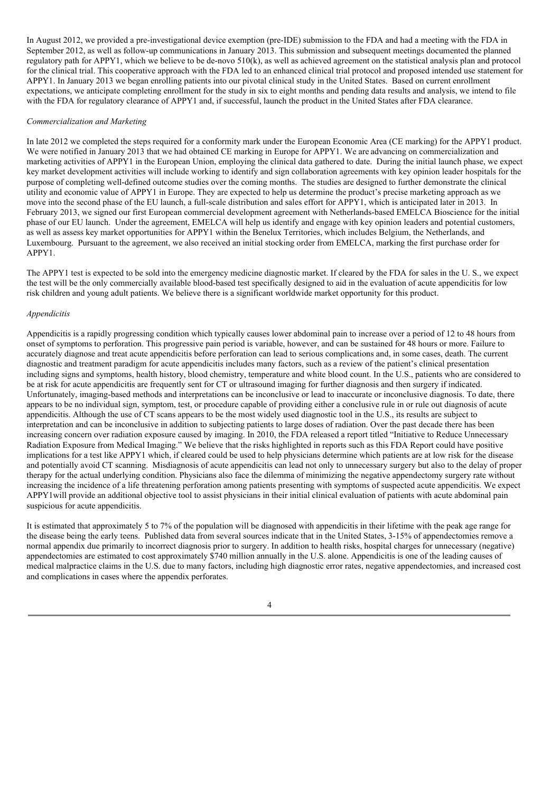In August 2012, we provided a pre-investigational device exemption (pre-IDE) submission to the FDA and had a meeting with the FDA in September 2012, as well as follow-up communications in January 2013. This submission and subsequent meetings documented the planned regulatory path for APPY1, which we believe to be de-novo 510(k), as well as achieved agreement on the statistical analysis plan and protocol for the clinical trial. This cooperative approach with the FDA led to an enhanced clinical trial protocol and proposed intended use statement for APPY1. In January 2013 we began enrolling patients into our pivotal clinical study in the United States. Based on current enrollment expectations, we anticipate completing enrollment for the study in six to eight months and pending data results and analysis, we intend to file with the FDA for regulatory clearance of APPY1 and, if successful, launch the product in the United States after FDA clearance.

### *Commercialization and Marketing*

In late 2012 we completed the steps required for a conformity mark under the European Economic Area (CE marking) for the APPY1 product. We were notified in January 2013 that we had obtained CE marking in Europe for APPY1. We are advancing on commercialization and marketing activities of APPY1 in the European Union, employing the clinical data gathered to date. During the initial launch phase, we expect key market development activities will include working to identify and sign collaboration agreements with key opinion leader hospitals for the purpose of completing well-defined outcome studies over the coming months. The studies are designed to further demonstrate the clinical utility and economic value of APPY1 in Europe. They are expected to help us determine the product's precise marketing approach as we move into the second phase of the EU launch, a full-scale distribution and sales effort for APPY1, which is anticipated later in 2013. In February 2013, we signed our first European commercial development agreement with Netherlands-based EMELCA Bioscience for the initial phase of our EU launch. Under the agreement, EMELCA will help us identify and engage with key opinion leaders and potential customers, as well as assess key market opportunities for APPY1 within the Benelux Territories, which includes Belgium, the Netherlands, and Luxembourg. Pursuant to the agreement, we also received an initial stocking order from EMELCA, marking the first purchase order for APPY1.

The APPY1 test is expected to be sold into the emergency medicine diagnostic market. If cleared by the FDA for sales in the U. S., we expect the test will be the only commercially available blood-based test specifically designed to aid in the evaluation of acute appendicitis for low risk children and young adult patients. We believe there is a significant worldwide market opportunity for this product.

### *Appendicitis*

Appendicitis is a rapidly progressing condition which typically causes lower abdominal pain to increase over a period of 12 to 48 hours from onset of symptoms to perforation. This progressive pain period is variable, however, and can be sustained for 48 hours or more. Failure to accurately diagnose and treat acute appendicitis before perforation can lead to serious complications and, in some cases, death. The current diagnostic and treatment paradigm for acute appendicitis includes many factors, such as a review of the patient's clinical presentation including signs and symptoms, health history, blood chemistry, temperature and white blood count. In the U.S., patients who are considered to be at risk for acute appendicitis are frequently sent for CT or ultrasound imaging for further diagnosis and then surgery if indicated. Unfortunately, imaging-based methods and interpretations can be inconclusive or lead to inaccurate or inconclusive diagnosis. To date, there appears to be no individual sign, symptom, test, or procedure capable of providing either a conclusive rule in or rule out diagnosis of acute appendicitis. Although the use of CT scans appears to be the most widely used diagnostic tool in the U.S., its results are subject to interpretation and can be inconclusive in addition to subjecting patients to large doses of radiation. Over the past decade there has been increasing concern over radiation exposure caused by imaging. In 2010, the FDA released a report titled "Initiative to Reduce Unnecessary Radiation Exposure from Medical Imaging." We believe that the risks highlighted in reports such as this FDA Report could have positive implications for a test like APPY1 which, if cleared could be used to help physicians determine which patients are at low risk for the disease and potentially avoid CT scanning. Misdiagnosis of acute appendicitis can lead not only to unnecessary surgery but also to the delay of proper therapy for the actual underlying condition. Physicians also face the dilemma of minimizing the negative appendectomy surgery rate without increasing the incidence of a life threatening perforation among patients presenting with symptoms of suspected acute appendicitis. We expect APPY1will provide an additional objective tool to assist physicians in their initial clinical evaluation of patients with acute abdominal pain suspicious for acute appendicitis.

It is estimated that approximately 5 to 7% of the population will be diagnosed with appendicitis in their lifetime with the peak age range for the disease being the early teens. Published data from several sources indicate that in the United States, 3-15% of appendectomies remove a normal appendix due primarily to incorrect diagnosis prior to surgery. In addition to health risks, hospital charges for unnecessary (negative) appendectomies are estimated to cost approximately \$740 million annually in the U.S. alone. Appendicitis is one of the leading causes of medical malpractice claims in the U.S. due to many factors, including high diagnostic error rates, negative appendectomies, and increased cost and complications in cases where the appendix perforates.

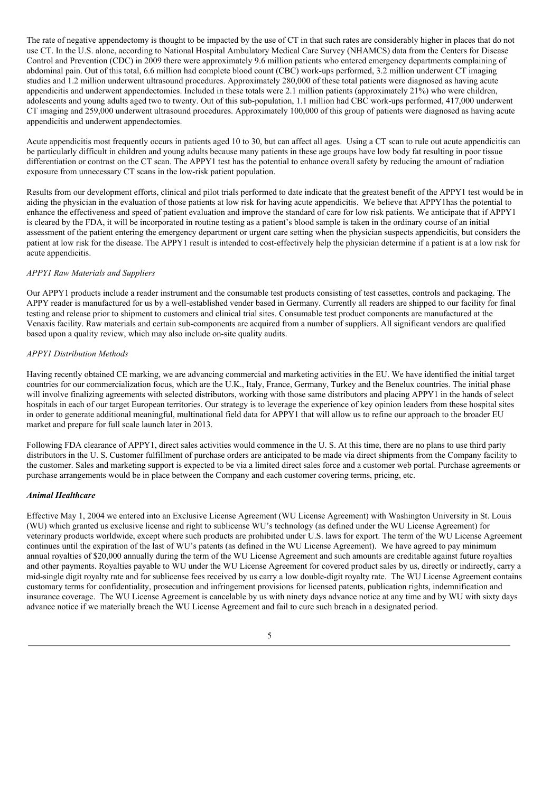The rate of negative appendectomy is thought to be impacted by the use of CT in that such rates are considerably higher in places that do not use CT. In the U.S. alone, according to National Hospital Ambulatory Medical Care Survey (NHAMCS) data from the Centers for Disease Control and Prevention (CDC) in 2009 there were approximately 9.6 million patients who entered emergency departments complaining of abdominal pain. Out of this total, 6.6 million had complete blood count (CBC) work-ups performed, 3.2 million underwent CT imaging studies and 1.2 million underwent ultrasound procedures. Approximately 280,000 of these total patients were diagnosed as having acute appendicitis and underwent appendectomies. Included in these totals were 2.1 million patients (approximately 21%) who were children, adolescents and young adults aged two to twenty. Out of this sub-population, 1.1 million had CBC work-ups performed, 417,000 underwent CT imaging and 259,000 underwent ultrasound procedures. Approximately 100,000 of this group of patients were diagnosed as having acute appendicitis and underwent appendectomies.

Acute appendicitis most frequently occurs in patients aged 10 to 30, but can affect all ages. Using a CT scan to rule out acute appendicitis can be particularly difficult in children and young adults because many patients in these age groups have low body fat resulting in poor tissue differentiation or contrast on the CT scan. The APPY1 test has the potential to enhance overall safety by reducing the amount of radiation exposure from unnecessary CT scans in the low-risk patient population.

Results from our development efforts, clinical and pilot trials performed to date indicate that the greatest benefit of the APPY1 test would be in aiding the physician in the evaluation of those patients at low risk for having acute appendicitis. We believe that APPY1has the potential to enhance the effectiveness and speed of patient evaluation and improve the standard of care for low risk patients. We anticipate that if APPY1 is cleared by the FDA, it will be incorporated in routine testing as a patient's blood sample is taken in the ordinary course of an initial assessment of the patient entering the emergency department or urgent care setting when the physician suspects appendicitis, but considers the patient at low risk for the disease. The APPY1 result is intended to cost-effectively help the physician determine if a patient is at a low risk for acute appendicitis.

# *APPY1 Raw Materials and Suppliers*

Our APPY1 products include a reader instrument and the consumable test products consisting of test cassettes, controls and packaging. The APPY reader is manufactured for us by a well-established vender based in Germany. Currently all readers are shipped to our facility for final testing and release prior to shipment to customers and clinical trial sites. Consumable test product components are manufactured at the Venaxis facility. Raw materials and certain sub-components are acquired from a number of suppliers. All significant vendors are qualified based upon a quality review, which may also include on-site quality audits.

# *APPY1 Distribution Methods*

Having recently obtained CE marking, we are advancing commercial and marketing activities in the EU. We have identified the initial target countries for our commercialization focus, which are the U.K., Italy, France, Germany, Turkey and the Benelux countries. The initial phase will involve finalizing agreements with selected distributors, working with those same distributors and placing APPY1 in the hands of select hospitals in each of our target European territories. Our strategy is to leverage the experience of key opinion leaders from these hospital sites in order to generate additional meaningful, multinational field data for APPY1 that will allow us to refine our approach to the broader EU market and prepare for full scale launch later in 2013.

Following FDA clearance of APPY1, direct sales activities would commence in the U. S. At this time, there are no plans to use third party distributors in the U. S. Customer fulfillment of purchase orders are anticipated to be made via direct shipments from the Company facility to the customer. Sales and marketing support is expected to be via a limited direct sales force and a customer web portal. Purchase agreements or purchase arrangements would be in place between the Company and each customer covering terms, pricing, etc.

#### *Animal Healthcare*

Effective May 1, 2004 we entered into an Exclusive License Agreement (WU License Agreement) with Washington University in St. Louis (WU) which granted us exclusive license and right to sublicense WU's technology (as defined under the WU License Agreement) for veterinary products worldwide, except where such products are prohibited under U.S. laws for export. The term of the WU License Agreement continues until the expiration of the last of WU's patents (as defined in the WU License Agreement). We have agreed to pay minimum annual royalties of \$20,000 annually during the term of the WU License Agreement and such amounts are creditable against future royalties and other payments. Royalties payable to WU under the WU License Agreement for covered product sales by us, directly or indirectly, carry a mid-single digit royalty rate and for sublicense fees received by us carry a low double-digit royalty rate. The WU License Agreement contains customary terms for confidentiality, prosecution and infringement provisions for licensed patents, publication rights, indemnification and insurance coverage. The WU License Agreement is cancelable by us with ninety days advance notice at any time and by WU with sixty days advance notice if we materially breach the WU License Agreement and fail to cure such breach in a designated period.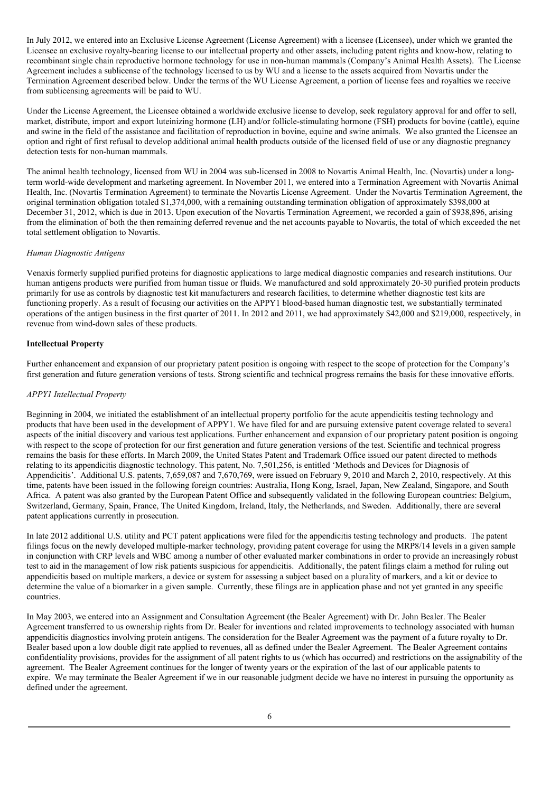In July 2012, we entered into an Exclusive License Agreement (License Agreement) with a licensee (Licensee), under which we granted the Licensee an exclusive royalty-bearing license to our intellectual property and other assets, including patent rights and know-how, relating to recombinant single chain reproductive hormone technology for use in non-human mammals (Company's Animal Health Assets). The License Agreement includes a sublicense of the technology licensed to us by WU and a license to the assets acquired from Novartis under the Termination Agreement described below. Under the terms of the WU License Agreement, a portion of license fees and royalties we receive from sublicensing agreements will be paid to WU.

Under the License Agreement, the Licensee obtained a worldwide exclusive license to develop, seek regulatory approval for and offer to sell, market, distribute, import and export luteinizing hormone (LH) and/or follicle-stimulating hormone (FSH) products for bovine (cattle), equine and swine in the field of the assistance and facilitation of reproduction in bovine, equine and swine animals. We also granted the Licensee an option and right of first refusal to develop additional animal health products outside of the licensed field of use or any diagnostic pregnancy detection tests for non-human mammals.

The animal health technology, licensed from WU in 2004 was sub-licensed in 2008 to Novartis Animal Health, Inc. (Novartis) under a longterm world-wide development and marketing agreement. In November 2011, we entered into a Termination Agreement with Novartis Animal Health, Inc. (Novartis Termination Agreement) to terminate the Novartis License Agreement. Under the Novartis Termination Agreement, the original termination obligation totaled \$1,374,000, with a remaining outstanding termination obligation of approximately \$398,000 at December 31, 2012, which is due in 2013. Upon execution of the Novartis Termination Agreement, we recorded a gain of \$938,896, arising from the elimination of both the then remaining deferred revenue and the net accounts payable to Novartis, the total of which exceeded the net total settlement obligation to Novartis.

## *Human Diagnostic Antigens*

Venaxis formerly supplied purified proteins for diagnostic applications to large medical diagnostic companies and research institutions. Our human antigens products were purified from human tissue or fluids. We manufactured and sold approximately 20-30 purified protein products primarily for use as controls by diagnostic test kit manufacturers and research facilities, to determine whether diagnostic test kits are functioning properly. As a result of focusing our activities on the APPY1 blood-based human diagnostic test, we substantially terminated operations of the antigen business in the first quarter of 2011. In 2012 and 2011, we had approximately \$42,000 and \$219,000, respectively, in revenue from wind-down sales of these products.

# **Intellectual Property**

Further enhancement and expansion of our proprietary patent position is ongoing with respect to the scope of protection for the Company's first generation and future generation versions of tests. Strong scientific and technical progress remains the basis for these innovative efforts.

## *APPY1 Intellectual Property*

Beginning in 2004, we initiated the establishment of an intellectual property portfolio for the acute appendicitis testing technology and products that have been used in the development of APPY1. We have filed for and are pursuing extensive patent coverage related to several aspects of the initial discovery and various test applications. Further enhancement and expansion of our proprietary patent position is ongoing with respect to the scope of protection for our first generation and future generation versions of the test. Scientific and technical progress remains the basis for these efforts. In March 2009, the United States Patent and Trademark Office issued our patent directed to methods relating to its appendicitis diagnostic technology. This patent, No. 7,501,256, is entitled 'Methods and Devices for Diagnosis of Appendicitis'. Additional U.S. patents, 7,659,087 and 7,670,769, were issued on February 9, 2010 and March 2, 2010, respectively. At this time, patents have been issued in the following foreign countries: Australia, Hong Kong, Israel, Japan, New Zealand, Singapore, and South Africa. A patent was also granted by the European Patent Office and subsequently validated in the following European countries: Belgium, Switzerland, Germany, Spain, France, The United Kingdom, Ireland, Italy, the Netherlands, and Sweden. Additionally, there are several patent applications currently in prosecution.

In late 2012 additional U.S. utility and PCT patent applications were filed for the appendicitis testing technology and products. The patent filings focus on the newly developed multiple-marker technology, providing patent coverage for using the MRP8/14 levels in a given sample in conjunction with CRP levels and WBC among a number of other evaluated marker combinations in order to provide an increasingly robust test to aid in the management of low risk patients suspicious for appendicitis. Additionally, the patent filings claim a method for ruling out appendicitis based on multiple markers, a device or system for assessing a subject based on a plurality of markers, and a kit or device to determine the value of a biomarker in a given sample. Currently, these filings are in application phase and not yet granted in any specific countries.

In May 2003, we entered into an Assignment and Consultation Agreement (the Bealer Agreement) with Dr. John Bealer. The Bealer Agreement transferred to us ownership rights from Dr. Bealer for inventions and related improvements to technology associated with human appendicitis diagnostics involving protein antigens. The consideration for the Bealer Agreement was the payment of a future royalty to Dr. Bealer based upon a low double digit rate applied to revenues, all as defined under the Bealer Agreement. The Bealer Agreement contains confidentiality provisions, provides for the assignment of all patent rights to us (which has occurred) and restrictions on the assignability of the agreement. The Bealer Agreement continues for the longer of twenty years or the expiration of the last of our applicable patents to expire. We may terminate the Bealer Agreement if we in our reasonable judgment decide we have no interest in pursuing the opportunity as defined under the agreement.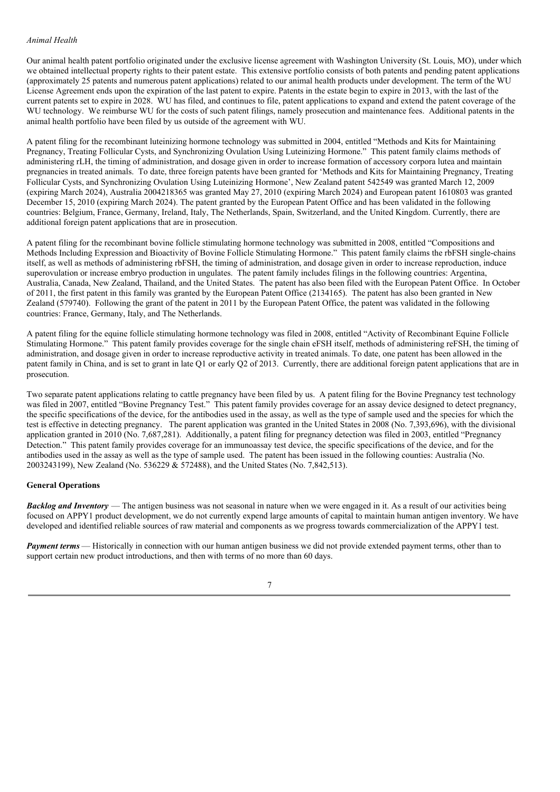## *Animal Health*

Our animal health patent portfolio originated under the exclusive license agreement with Washington University (St. Louis, MO), under which we obtained intellectual property rights to their patent estate. This extensive portfolio consists of both patents and pending patent applications (approximately 25 patents and numerous patent applications) related to our animal health products under development. The term of the WU License Agreement ends upon the expiration of the last patent to expire. Patents in the estate begin to expire in 2013, with the last of the current patents set to expire in 2028. WU has filed, and continues to file, patent applications to expand and extend the patent coverage of the WU technology. We reimburse WU for the costs of such patent filings, namely prosecution and maintenance fees. Additional patents in the animal health portfolio have been filed by us outside of the agreement with WU.

A patent filing for the recombinant luteinizing hormone technology was submitted in 2004, entitled "Methods and Kits for Maintaining Pregnancy, Treating Follicular Cysts, and Synchronizing Ovulation Using Luteinizing Hormone." This patent family claims methods of administering rLH, the timing of administration, and dosage given in order to increase formation of accessory corpora lutea and maintain pregnancies in treated animals. To date, three foreign patents have been granted for 'Methods and Kits for Maintaining Pregnancy, Treating Follicular Cysts, and Synchronizing Ovulation Using Luteinizing Hormone', New Zealand patent 542549 was granted March 12, 2009 (expiring March 2024), Australia 2004218365 was granted May 27, 2010 (expiring March 2024) and European patent 1610803 was granted December 15, 2010 (expiring March 2024). The patent granted by the European Patent Office and has been validated in the following countries: Belgium, France, Germany, Ireland, Italy, The Netherlands, Spain, Switzerland, and the United Kingdom. Currently, there are additional foreign patent applications that are in prosecution.

A patent filing for the recombinant bovine follicle stimulating hormone technology was submitted in 2008, entitled "Compositions and Methods Including Expression and Bioactivity of Bovine Follicle Stimulating Hormone." This patent family claims the rbFSH single-chains itself, as well as methods of administering rbFSH, the timing of administration, and dosage given in order to increase reproduction, induce superovulation or increase embryo production in ungulates. The patent family includes filings in the following countries: Argentina, Australia, Canada, New Zealand, Thailand, and the United States. The patent has also been filed with the European Patent Office. In October of 2011, the first patent in this family was granted by the European Patent Office (2134165). The patent has also been granted in New Zealand (579740). Following the grant of the patent in 2011 by the European Patent Office, the patent was validated in the following countries: France, Germany, Italy, and The Netherlands.

A patent filing for the equine follicle stimulating hormone technology was filed in 2008, entitled "Activity of Recombinant Equine Follicle Stimulating Hormone." This patent family provides coverage for the single chain eFSH itself, methods of administering reFSH, the timing of administration, and dosage given in order to increase reproductive activity in treated animals. To date, one patent has been allowed in the patent family in China, and is set to grant in late Q1 or early Q2 of 2013. Currently, there are additional foreign patent applications that are in prosecution.

Two separate patent applications relating to cattle pregnancy have been filed by us. A patent filing for the Bovine Pregnancy test technology was filed in 2007, entitled "Bovine Pregnancy Test." This patent family provides coverage for an assay device designed to detect pregnancy, the specific specifications of the device, for the antibodies used in the assay, as well as the type of sample used and the species for which the test is effective in detecting pregnancy. The parent application was granted in the United States in 2008 (No. 7,393,696), with the divisional application granted in 2010 (No. 7,687,281). Additionally, a patent filing for pregnancy detection was filed in 2003, entitled "Pregnancy Detection." This patent family provides coverage for an immunoassay test device, the specific specifications of the device, and for the antibodies used in the assay as well as the type of sample used. The patent has been issued in the following counties: Australia (No. 2003243199), New Zealand (No. 536229 & 572488), and the United States (No. 7,842,513).

# **General Operations**

*Backlog and Inventory* — The antigen business was not seasonal in nature when we were engaged in it. As a result of our activities being focused on APPY1 product development, we do not currently expend large amounts of capital to maintain human antigen inventory. We have developed and identified reliable sources of raw material and components as we progress towards commercialization of the APPY1 test.

*Payment terms* — Historically in connection with our human antigen business we did not provide extended payment terms, other than to support certain new product introductions, and then with terms of no more than 60 days.

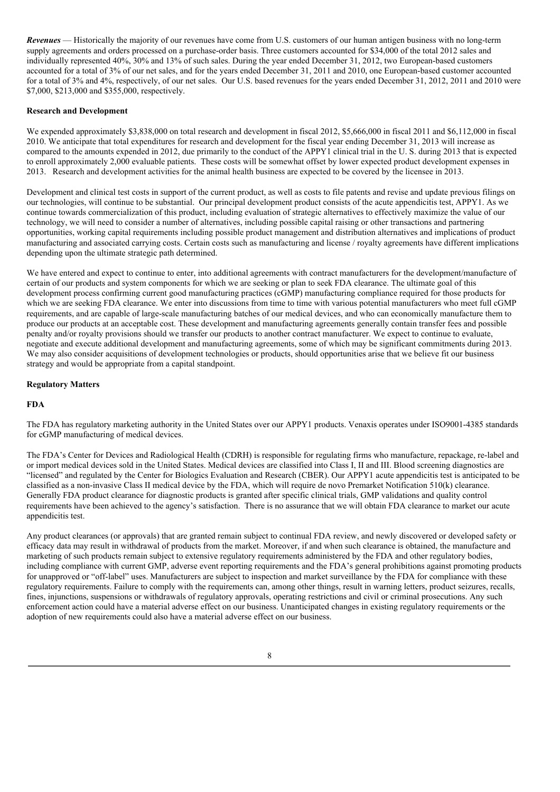*Revenues* — Historically the majority of our revenues have come from U.S. customers of our human antigen business with no long-term supply agreements and orders processed on a purchase-order basis. Three customers accounted for \$34,000 of the total 2012 sales and individually represented 40%, 30% and 13% of such sales. During the year ended December 31, 2012, two European-based customers accounted for a total of 3% of our net sales, and for the years ended December 31, 2011 and 2010, one European-based customer accounted for a total of 3% and 4%, respectively, of our net sales. Our U.S. based revenues for the years ended December 31, 2012, 2011 and 2010 were \$7,000, \$213,000 and \$355,000, respectively.

## **Research and Development**

We expended approximately \$3,838,000 on total research and development in fiscal 2012, \$5,666,000 in fiscal 2011 and \$6,112,000 in fiscal 2010. We anticipate that total expenditures for research and development for the fiscal year ending December 31, 2013 will increase as compared to the amounts expended in 2012, due primarily to the conduct of the APPY1 clinical trial in the U. S. during 2013 that is expected to enroll approximately 2,000 evaluable patients. These costs will be somewhat offset by lower expected product development expenses in 2013. Research and development activities for the animal health business are expected to be covered by the licensee in 2013.

Development and clinical test costs in support of the current product, as well as costs to file patents and revise and update previous filings on our technologies, will continue to be substantial. Our principal development product consists of the acute appendicitis test, APPY1. As we continue towards commercialization of this product, including evaluation of strategic alternatives to effectively maximize the value of our technology, we will need to consider a number of alternatives, including possible capital raising or other transactions and partnering opportunities, working capital requirements including possible product management and distribution alternatives and implications of product manufacturing and associated carrying costs. Certain costs such as manufacturing and license / royalty agreements have different implications depending upon the ultimate strategic path determined.

We have entered and expect to continue to enter, into additional agreements with contract manufacturers for the development/manufacture of certain of our products and system components for which we are seeking or plan to seek FDA clearance. The ultimate goal of this development process confirming current good manufacturing practices (cGMP) manufacturing compliance required for those products for which we are seeking FDA clearance. We enter into discussions from time to time with various potential manufacturers who meet full cGMP requirements, and are capable of large-scale manufacturing batches of our medical devices, and who can economically manufacture them to produce our products at an acceptable cost. These development and manufacturing agreements generally contain transfer fees and possible penalty and/or royalty provisions should we transfer our products to another contract manufacturer. We expect to continue to evaluate, negotiate and execute additional development and manufacturing agreements, some of which may be significant commitments during 2013. We may also consider acquisitions of development technologies or products, should opportunities arise that we believe fit our business strategy and would be appropriate from a capital standpoint.

## **Regulatory Matters**

## **FDA**

The FDA has regulatory marketing authority in the United States over our APPY1 products. Venaxis operates under ISO9001-4385 standards for cGMP manufacturing of medical devices.

The FDA's Center for Devices and Radiological Health (CDRH) is responsible for regulating firms who manufacture, repackage, re-label and or import medical devices sold in the United States. Medical devices are classified into Class I, II and III. Blood screening diagnostics are "licensed" and regulated by the Center for Biologics Evaluation and Research (CBER). Our APPY1 acute appendicitis test is anticipated to be classified as a non-invasive Class II medical device by the FDA, which will require de novo Premarket Notification 510(k) clearance. Generally FDA product clearance for diagnostic products is granted after specific clinical trials, GMP validations and quality control requirements have been achieved to the agency's satisfaction. There is no assurance that we will obtain FDA clearance to market our acute appendicitis test.

Any product clearances (or approvals) that are granted remain subject to continual FDA review, and newly discovered or developed safety or efficacy data may result in withdrawal of products from the market. Moreover, if and when such clearance is obtained, the manufacture and marketing of such products remain subject to extensive regulatory requirements administered by the FDA and other regulatory bodies, including compliance with current GMP, adverse event reporting requirements and the FDA's general prohibitions against promoting products for unapproved or "off-label" uses. Manufacturers are subject to inspection and market surveillance by the FDA for compliance with these regulatory requirements. Failure to comply with the requirements can, among other things, result in warning letters, product seizures, recalls, fines, injunctions, suspensions or withdrawals of regulatory approvals, operating restrictions and civil or criminal prosecutions. Any such enforcement action could have a material adverse effect on our business. Unanticipated changes in existing regulatory requirements or the adoption of new requirements could also have a material adverse effect on our business.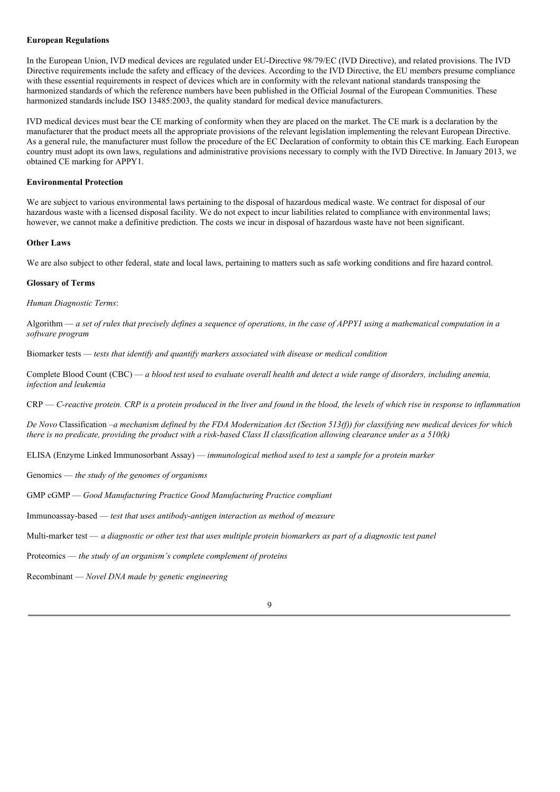## **European Regulations**

In the European Union, IVD medical devices are regulated under EU-Directive 98/79/EC (IVD Directive), and related provisions. The IVD Directive requirements include the safety and efficacy of the devices. According to the IVD Directive, the EU members presume compliance with these essential requirements in respect of devices which are in conformity with the relevant national standards transposing the harmonized standards of which the reference numbers have been published in the Official Journal of the European Communities. These harmonized standards include ISO 13485:2003, the quality standard for medical device manufacturers.

IVD medical devices must bear the CE marking of conformity when they are placed on the market. The CE mark is a declaration by the manufacturer that the product meets all the appropriate provisions of the relevant legislation implementing the relevant European Directive. As a general rule, the manufacturer must follow the procedure of the EC Declaration of conformity to obtain this CE marking. Each European country must adopt its own laws, regulations and administrative provisions necessary to comply with the IVD Directive. In January 2013, we obtained CE marking for APPY1.

### **Environmental Protection**

We are subject to various environmental laws pertaining to the disposal of hazardous medical waste. We contract for disposal of our hazardous waste with a licensed disposal facility. We do not expect to incur liabilities related to compliance with environmental laws; however, we cannot make a definitive prediction. The costs we incur in disposal of hazardous waste have not been significant.

### **Other Laws**

We are also subject to other federal, state and local laws, pertaining to matters such as safe working conditions and fire hazard control.

## **Glossary of Terms**

*Human Diagnostic Terms*:

Algorithm — a set of rules that precisely defines a sequence of operations, in the case of APPY1 using a mathematical computation in a *software program*

Biomarker tests — *tests that identify and quantify markers associated with disease or medical condition*

Complete Blood Count (CBC) — a blood test used to evaluate overall health and detect a wide range of disorders, including anemia, *infection and leukemia*

 $CRP - C$ -reactive protein.  $CRP$  is a protein produced in the liver and found in the blood, the levels of which rise in response to inflammation

De Novo Classification  $-a$  mechanism defined by the FDA Modernization Act (Section 513(f)) for classifying new medical devices for which there is no predicate, providing the product with a risk-based Class II classification allowing clearance under as a  $510(k)$ 

ELISA (Enzyme Linked Immunosorbant Assay) — *immunological method used to test a sample for a protein marker*

Genomics — *the study of the genomes of organisms*

GMP cGMP — *Good Manufacturing Practice Good Manufacturing Practice compliant*

Immunoassay-based — *test that uses antibody-antigen interaction as method of measure*

Multi-marker test  $-a$  diagnostic or other test that uses multiple protein biomarkers as part of a diagnostic test panel

Proteomics — *the study of an organism's complete complement of proteins*

Recombinant — *Novel DNA made by genetic engineering*

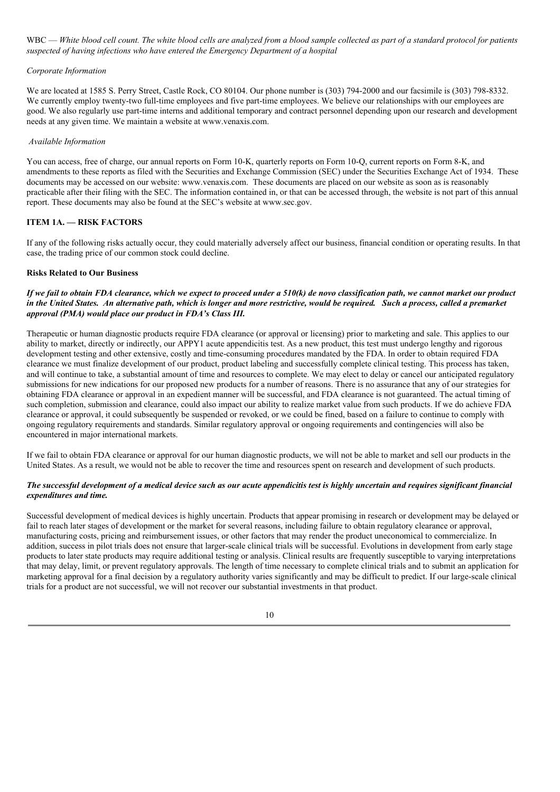$WBC - White blood cell count.$  The white blood cells are analyzed from a blood sample collected as part of a standard protocol for patients *suspected of having infections who have entered the Emergency Department of a hospital*

### *Corporate Information*

We are located at 1585 S. Perry Street, Castle Rock, CO 80104. Our phone number is (303) 794-2000 and our facsimile is (303) 798-8332. We currently employ twenty-two full-time employees and five part-time employees. We believe our relationships with our employees are good. We also regularly use part-time interns and additional temporary and contract personnel depending upon our research and development needs at any given time. We maintain a website at www.venaxis.com.

### *Available Information*

You can access, free of charge, our annual reports on Form 10-K, quarterly reports on Form 10-Q, current reports on Form 8-K, and amendments to these reports as filed with the Securities and Exchange Commission (SEC) under the Securities Exchange Act of 1934. These documents may be accessed on our website: www.venaxis.com. These documents are placed on our website as soon as is reasonably practicable after their filing with the SEC. The information contained in, or that can be accessed through, the website is not part of this annual report. These documents may also be found at the SEC's website at www.sec.gov.

# **ITEM 1A. — RISK FACTORS**

If any of the following risks actually occur, they could materially adversely affect our business, financial condition or operating results. In that case, the trading price of our common stock could decline.

# **Risks Related to Our Business**

# If we fail to obtain FDA clearance, which we expect to proceed under a 510(k) de novo classification path, we cannot market our product in the United States. An alternative path, which is longer and more restrictive, would be required. Such a process, called a premarket *approval (PMA) would place our product in FDA's Class III.*

Therapeutic or human diagnostic products require FDA clearance (or approval or licensing) prior to marketing and sale. This applies to our ability to market, directly or indirectly, our APPY1 acute appendicitis test. As a new product, this test must undergo lengthy and rigorous development testing and other extensive, costly and time-consuming procedures mandated by the FDA. In order to obtain required FDA clearance we must finalize development of our product, product labeling and successfully complete clinical testing. This process has taken, and will continue to take, a substantial amount of time and resources to complete. We may elect to delay or cancel our anticipated regulatory submissions for new indications for our proposed new products for a number of reasons. There is no assurance that any of our strategies for obtaining FDA clearance or approval in an expedient manner will be successful, and FDA clearance is not guaranteed. The actual timing of such completion, submission and clearance, could also impact our ability to realize market value from such products. If we do achieve FDA clearance or approval, it could subsequently be suspended or revoked, or we could be fined, based on a failure to continue to comply with ongoing regulatory requirements and standards. Similar regulatory approval or ongoing requirements and contingencies will also be encountered in major international markets.

If we fail to obtain FDA clearance or approval for our human diagnostic products, we will not be able to market and sell our products in the United States. As a result, we would not be able to recover the time and resources spent on research and development of such products.

## The successful development of a medical device such as our acute appendicitis test is highly uncertain and requires significant financial *expenditures and time.*

Successful development of medical devices is highly uncertain. Products that appear promising in research or development may be delayed or fail to reach later stages of development or the market for several reasons, including failure to obtain regulatory clearance or approval, manufacturing costs, pricing and reimbursement issues, or other factors that may render the product uneconomical to commercialize. In addition, success in pilot trials does not ensure that larger-scale clinical trials will be successful. Evolutions in development from early stage products to later state products may require additional testing or analysis. Clinical results are frequently susceptible to varying interpretations that may delay, limit, or prevent regulatory approvals. The length of time necessary to complete clinical trials and to submit an application for marketing approval for a final decision by a regulatory authority varies significantly and may be difficult to predict. If our large-scale clinical trials for a product are not successful, we will not recover our substantial investments in that product.

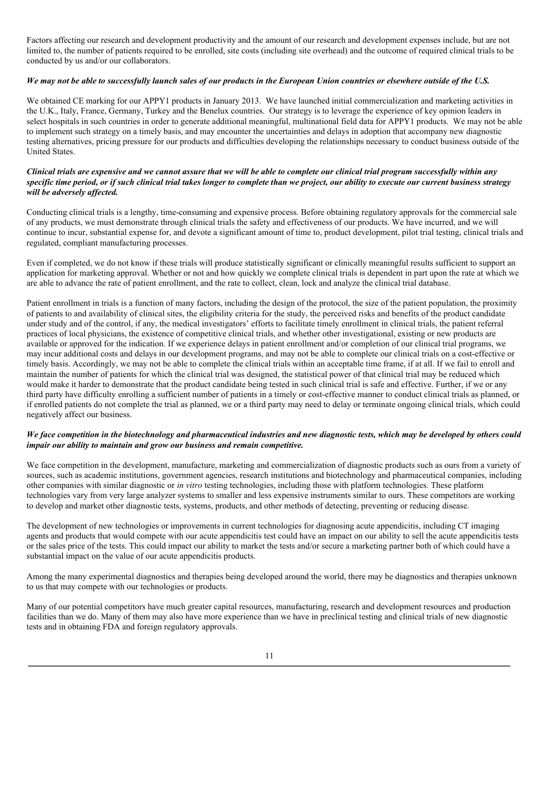Factors affecting our research and development productivity and the amount of our research and development expenses include, but are not limited to, the number of patients required to be enrolled, site costs (including site overhead) and the outcome of required clinical trials to be conducted by us and/or our collaborators.

## We may not be able to successfully launch sales of our products in the European Union countries or elsewhere outside of the U.S.

We obtained CE marking for our APPY1 products in January 2013. We have launched initial commercialization and marketing activities in the U.K., Italy, France, Germany, Turkey and the Benelux countries. Our strategy is to leverage the experience of key opinion leaders in select hospitals in such countries in order to generate additional meaningful, multinational field data for APPY1 products. We may not be able to implement such strategy on a timely basis, and may encounter the uncertainties and delays in adoption that accompany new diagnostic testing alternatives, pricing pressure for our products and difficulties developing the relationships necessary to conduct business outside of the United States.

## Clinical trials are expensive and we cannot assure that we will be able to complete our clinical trial program successfully within any specific time period, or if such clinical trial takes longer to complete than we project, our ability to execute our current business strategy *will be adversely af ected.*

Conducting clinical trials is a lengthy, time-consuming and expensive process. Before obtaining regulatory approvals for the commercial sale of any products, we must demonstrate through clinical trials the safety and effectiveness of our products. We have incurred, and we will continue to incur, substantial expense for, and devote a significant amount of time to, product development, pilot trial testing, clinical trials and regulated, compliant manufacturing processes.

Even if completed, we do not know if these trials will produce statistically significant or clinically meaningful results sufficient to support an application for marketing approval. Whether or not and how quickly we complete clinical trials is dependent in part upon the rate at which we are able to advance the rate of patient enrollment, and the rate to collect, clean, lock and analyze the clinical trial database.

Patient enrollment in trials is a function of many factors, including the design of the protocol, the size of the patient population, the proximity of patients to and availability of clinical sites, the eligibility criteria for the study, the perceived risks and benefits of the product candidate under study and of the control, if any, the medical investigators' efforts to facilitate timely enrollment in clinical trials, the patient referral practices of local physicians, the existence of competitive clinical trials, and whether other investigational, existing or new products are available or approved for the indication. If we experience delays in patient enrollment and/or completion of our clinical trial programs, we may incur additional costs and delays in our development programs, and may not be able to complete our clinical trials on a cost-effective or timely basis. Accordingly, we may not be able to complete the clinical trials within an acceptable time frame, if at all. If we fail to enroll and maintain the number of patients for which the clinical trial was designed, the statistical power of that clinical trial may be reduced which would make it harder to demonstrate that the product candidate being tested in such clinical trial is safe and effective. Further, if we or any third party have difficulty enrolling a sufficient number of patients in a timely or cost-effective manner to conduct clinical trials as planned, or if enrolled patients do not complete the trial as planned, we or a third party may need to delay or terminate ongoing clinical trials, which could negatively affect our business.

### We face competition in the biotechnology and pharmaceutical industries and new diagnostic tests, which may be developed by others could *impair our ability to maintain and grow our business and remain competitive.*

We face competition in the development, manufacture, marketing and commercialization of diagnostic products such as ours from a variety of sources, such as academic institutions, government agencies, research institutions and biotechnology and pharmaceutical companies, including other companies with similar diagnostic or *in vitro* testing technologies, including those with platform technologies. These platform technologies vary from very large analyzer systems to smaller and less expensive instruments similar to ours. These competitors are working to develop and market other diagnostic tests, systems, products, and other methods of detecting, preventing or reducing disease.

The development of new technologies or improvements in current technologies for diagnosing acute appendicitis, including CT imaging agents and products that would compete with our acute appendicitis test could have an impact on our ability to sell the acute appendicitis tests or the sales price of the tests. This could impact our ability to market the tests and/or secure a marketing partner both of which could have a substantial impact on the value of our acute appendicitis products.

Among the many experimental diagnostics and therapies being developed around the world, there may be diagnostics and therapies unknown to us that may compete with our technologies or products.

Many of our potential competitors have much greater capital resources, manufacturing, research and development resources and production facilities than we do. Many of them may also have more experience than we have in preclinical testing and clinical trials of new diagnostic tests and in obtaining FDA and foreign regulatory approvals.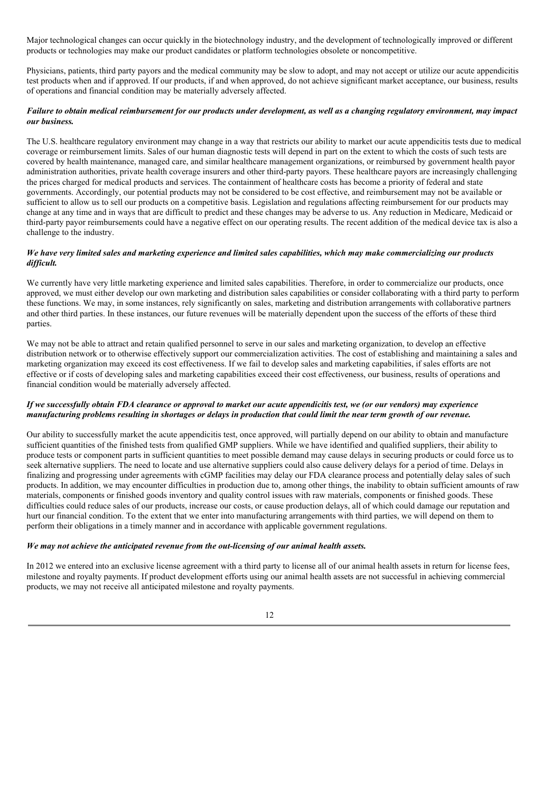Major technological changes can occur quickly in the biotechnology industry, and the development of technologically improved or different products or technologies may make our product candidates or platform technologies obsolete or noncompetitive.

Physicians, patients, third party payors and the medical community may be slow to adopt, and may not accept or utilize our acute appendicitis test products when and if approved. If our products, if and when approved, do not achieve significant market acceptance, our business, results of operations and financial condition may be materially adversely affected.

## Failure to obtain medical reimbursement for our products under development, as well as a changing regulatory environment, may impact *our business.*

The U.S. healthcare regulatory environment may change in a way that restricts our ability to market our acute appendicitis tests due to medical coverage or reimbursement limits. Sales of our human diagnostic tests will depend in part on the extent to which the costs of such tests are covered by health maintenance, managed care, and similar healthcare management organizations, or reimbursed by government health payor administration authorities, private health coverage insurers and other third-party payors. These healthcare payors are increasingly challenging the prices charged for medical products and services. The containment of healthcare costs has become a priority of federal and state governments. Accordingly, our potential products may not be considered to be cost effective, and reimbursement may not be available or sufficient to allow us to sell our products on a competitive basis. Legislation and regulations affecting reimbursement for our products may change at any time and in ways that are difficult to predict and these changes may be adverse to us. Any reduction in Medicare, Medicaid or third-party payor reimbursements could have a negative effect on our operating results. The recent addition of the medical device tax is also a challenge to the industry.

## We have very limited sales and marketing experience and limited sales capabilities, which may make commercializing our products *dif icult.*

We currently have very little marketing experience and limited sales capabilities. Therefore, in order to commercialize our products, once approved, we must either develop our own marketing and distribution sales capabilities or consider collaborating with a third party to perform these functions. We may, in some instances, rely significantly on sales, marketing and distribution arrangements with collaborative partners and other third parties. In these instances, our future revenues will be materially dependent upon the success of the efforts of these third parties.

We may not be able to attract and retain qualified personnel to serve in our sales and marketing organization, to develop an effective distribution network or to otherwise effectively support our commercialization activities. The cost of establishing and maintaining a sales and marketing organization may exceed its cost effectiveness. If we fail to develop sales and marketing capabilities, if sales efforts are not effective or if costs of developing sales and marketing capabilities exceed their cost effectiveness, our business, results of operations and financial condition would be materially adversely affected.

## If we successfully obtain FDA clearance or approval to market our acute appendicitis test, we (or our vendors) may experience manufacturing problems resulting in shortages or delays in production that could limit the near term growth of our revenue.

Our ability to successfully market the acute appendicitis test, once approved, will partially depend on our ability to obtain and manufacture sufficient quantities of the finished tests from qualified GMP suppliers. While we have identified and qualified suppliers, their ability to produce tests or component parts in sufficient quantities to meet possible demand may cause delays in securing products or could force us to seek alternative suppliers. The need to locate and use alternative suppliers could also cause delivery delays for a period of time. Delays in finalizing and progressing under agreements with cGMP facilities may delay our FDA clearance process and potentially delay sales of such products. In addition, we may encounter difficulties in production due to, among other things, the inability to obtain sufficient amounts of raw materials, components or finished goods inventory and quality control issues with raw materials, components or finished goods. These difficulties could reduce sales of our products, increase our costs, or cause production delays, all of which could damage our reputation and hurt our financial condition. To the extent that we enter into manufacturing arrangements with third parties, we will depend on them to perform their obligations in a timely manner and in accordance with applicable government regulations.

## *We may not achieve the anticipated revenue from the out-licensing of our animal health assets.*

In 2012 we entered into an exclusive license agreement with a third party to license all of our animal health assets in return for license fees, milestone and royalty payments. If product development efforts using our animal health assets are not successful in achieving commercial products, we may not receive all anticipated milestone and royalty payments.

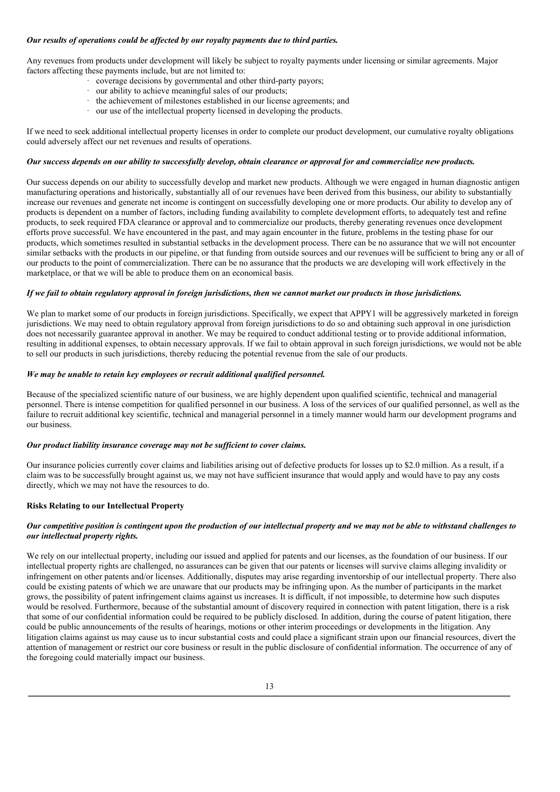## *Our results of operations could be af ected by our royalty payments due to third parties.*

Any revenues from products under development will likely be subject to royalty payments under licensing or similar agreements. Major factors affecting these payments include, but are not limited to:

- · coverage decisions by governmental and other third-party payors;
- · our ability to achieve meaningful sales of our products;
- · the achievement of milestones established in our license agreements; and
- our use of the intellectual property licensed in developing the products.

If we need to seek additional intellectual property licenses in order to complete our product development, our cumulative royalty obligations could adversely affect our net revenues and results of operations.

# Our success depends on our ability to successfully develop, obtain clearance or approval for and commercialize new products.

Our success depends on our ability to successfully develop and market new products. Although we were engaged in human diagnostic antigen manufacturing operations and historically, substantially all of our revenues have been derived from this business, our ability to substantially increase our revenues and generate net income is contingent on successfully developing one or more products. Our ability to develop any of products is dependent on a number of factors, including funding availability to complete development efforts, to adequately test and refine products, to seek required FDA clearance or approval and to commercialize our products, thereby generating revenues once development efforts prove successful. We have encountered in the past, and may again encounter in the future, problems in the testing phase for our products, which sometimes resulted in substantial setbacks in the development process. There can be no assurance that we will not encounter similar setbacks with the products in our pipeline, or that funding from outside sources and our revenues will be sufficient to bring any or all of our products to the point of commercialization. There can be no assurance that the products we are developing will work effectively in the marketplace, or that we will be able to produce them on an economical basis.

## If we fail to obtain regulatory approval in foreign jurisdictions, then we cannot market our products in those jurisdictions.

We plan to market some of our products in foreign jurisdictions. Specifically, we expect that APPY1 will be aggressively marketed in foreign jurisdictions. We may need to obtain regulatory approval from foreign jurisdictions to do so and obtaining such approval in one jurisdiction does not necessarily guarantee approval in another. We may be required to conduct additional testing or to provide additional information, resulting in additional expenses, to obtain necessary approvals. If we fail to obtain approval in such foreign jurisdictions, we would not be able to sell our products in such jurisdictions, thereby reducing the potential revenue from the sale of our products.

## *We may be unable to retain key employees or recruit additional qualified personnel.*

Because of the specialized scientific nature of our business, we are highly dependent upon qualified scientific, technical and managerial personnel. There is intense competition for qualified personnel in our business. A loss of the services of our qualified personnel, as well as the failure to recruit additional key scientific, technical and managerial personnel in a timely manner would harm our development programs and our business.

## *Our product liability insurance coverage may not be suf icient to cover claims.*

Our insurance policies currently cover claims and liabilities arising out of defective products for losses up to \$2.0 million. As a result, if a claim was to be successfully brought against us, we may not have sufficient insurance that would apply and would have to pay any costs directly, which we may not have the resources to do.

## **Risks Relating to our Intellectual Property**

## Our competitive position is contingent upon the production of our intellectual property and we may not be able to withstand challenges to *our intellectual property rights.*

We rely on our intellectual property, including our issued and applied for patents and our licenses, as the foundation of our business. If our intellectual property rights are challenged, no assurances can be given that our patents or licenses will survive claims alleging invalidity or infringement on other patents and/or licenses. Additionally, disputes may arise regarding inventorship of our intellectual property. There also could be existing patents of which we are unaware that our products may be infringing upon. As the number of participants in the market grows, the possibility of patent infringement claims against us increases. It is difficult, if not impossible, to determine how such disputes would be resolved. Furthermore, because of the substantial amount of discovery required in connection with patent litigation, there is a risk that some of our confidential information could be required to be publicly disclosed. In addition, during the course of patent litigation, there could be public announcements of the results of hearings, motions or other interim proceedings or developments in the litigation. Any litigation claims against us may cause us to incur substantial costs and could place a significant strain upon our financial resources, divert the attention of management or restrict our core business or result in the public disclosure of confidential information. The occurrence of any of the foregoing could materially impact our business.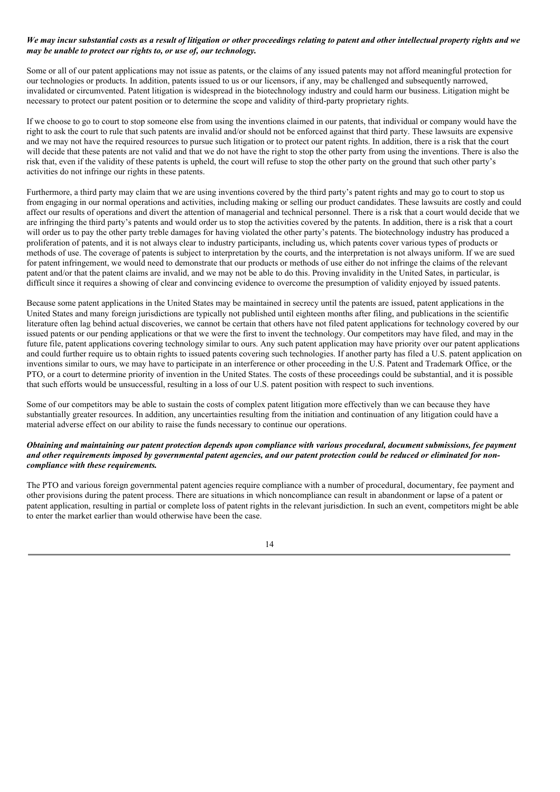## We may incur substantial costs as a result of litigation or other proceedings relating to patent and other intellectual property rights and we *may be unable to protect our rights to, or use of, our technology.*

Some or all of our patent applications may not issue as patents, or the claims of any issued patents may not afford meaningful protection for our technologies or products. In addition, patents issued to us or our licensors, if any, may be challenged and subsequently narrowed, invalidated or circumvented. Patent litigation is widespread in the biotechnology industry and could harm our business. Litigation might be necessary to protect our patent position or to determine the scope and validity of third-party proprietary rights.

If we choose to go to court to stop someone else from using the inventions claimed in our patents, that individual or company would have the right to ask the court to rule that such patents are invalid and/or should not be enforced against that third party. These lawsuits are expensive and we may not have the required resources to pursue such litigation or to protect our patent rights. In addition, there is a risk that the court will decide that these patents are not valid and that we do not have the right to stop the other party from using the inventions. There is also the risk that, even if the validity of these patents is upheld, the court will refuse to stop the other party on the ground that such other party's activities do not infringe our rights in these patents.

Furthermore, a third party may claim that we are using inventions covered by the third party's patent rights and may go to court to stop us from engaging in our normal operations and activities, including making or selling our product candidates. These lawsuits are costly and could affect our results of operations and divert the attention of managerial and technical personnel. There is a risk that a court would decide that we are infringing the third party's patents and would order us to stop the activities covered by the patents. In addition, there is a risk that a court will order us to pay the other party treble damages for having violated the other party's patents. The biotechnology industry has produced a proliferation of patents, and it is not always clear to industry participants, including us, which patents cover various types of products or methods of use. The coverage of patents is subject to interpretation by the courts, and the interpretation is not always uniform. If we are sued for patent infringement, we would need to demonstrate that our products or methods of use either do not infringe the claims of the relevant patent and/or that the patent claims are invalid, and we may not be able to do this. Proving invalidity in the United Sates, in particular, is difficult since it requires a showing of clear and convincing evidence to overcome the presumption of validity enjoyed by issued patents.

Because some patent applications in the United States may be maintained in secrecy until the patents are issued, patent applications in the United States and many foreign jurisdictions are typically not published until eighteen months after filing, and publications in the scientific literature often lag behind actual discoveries, we cannot be certain that others have not filed patent applications for technology covered by our issued patents or our pending applications or that we were the first to invent the technology. Our competitors may have filed, and may in the future file, patent applications covering technology similar to ours. Any such patent application may have priority over our patent applications and could further require us to obtain rights to issued patents covering such technologies. If another party has filed a U.S. patent application on inventions similar to ours, we may have to participate in an interference or other proceeding in the U.S. Patent and Trademark Office, or the PTO, or a court to determine priority of invention in the United States. The costs of these proceedings could be substantial, and it is possible that such efforts would be unsuccessful, resulting in a loss of our U.S. patent position with respect to such inventions.

Some of our competitors may be able to sustain the costs of complex patent litigation more effectively than we can because they have substantially greater resources. In addition, any uncertainties resulting from the initiation and continuation of any litigation could have a material adverse effect on our ability to raise the funds necessary to continue our operations.

## Obtaining and maintaining our patent protection depends upon compliance with various procedural, document submissions, fee payment and other requirements imposed by governmental patent agencies, and our patent protection could be reduced or eliminated for non*compliance with these requirements.*

The PTO and various foreign governmental patent agencies require compliance with a number of procedural, documentary, fee payment and other provisions during the patent process. There are situations in which noncompliance can result in abandonment or lapse of a patent or patent application, resulting in partial or complete loss of patent rights in the relevant jurisdiction. In such an event, competitors might be able to enter the market earlier than would otherwise have been the case.

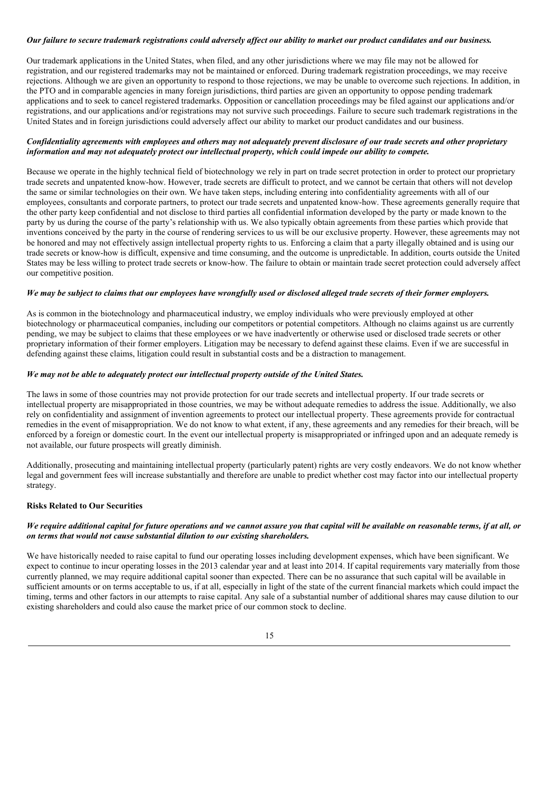### Our failure to secure trademark registrations could adversely affect our ability to market our product candidates and our business.

Our trademark applications in the United States, when filed, and any other jurisdictions where we may file may not be allowed for registration, and our registered trademarks may not be maintained or enforced. During trademark registration proceedings, we may receive rejections. Although we are given an opportunity to respond to those rejections, we may be unable to overcome such rejections. In addition, in the PTO and in comparable agencies in many foreign jurisdictions, third parties are given an opportunity to oppose pending trademark applications and to seek to cancel registered trademarks. Opposition or cancellation proceedings may be filed against our applications and/or registrations, and our applications and/or registrations may not survive such proceedings. Failure to secure such trademark registrations in the United States and in foreign jurisdictions could adversely affect our ability to market our product candidates and our business.

## Confidentiality agreements with employees and others may not adequately prevent disclosure of our trade secrets and other proprietary *information and may not adequately protect our intellectual property, which could impede our ability to compete.*

Because we operate in the highly technical field of biotechnology we rely in part on trade secret protection in order to protect our proprietary trade secrets and unpatented know-how. However, trade secrets are difficult to protect, and we cannot be certain that others will not develop the same or similar technologies on their own. We have taken steps, including entering into confidentiality agreements with all of our employees, consultants and corporate partners, to protect our trade secrets and unpatented know-how. These agreements generally require that the other party keep confidential and not disclose to third parties all confidential information developed by the party or made known to the party by us during the course of the party's relationship with us. We also typically obtain agreements from these parties which provide that inventions conceived by the party in the course of rendering services to us will be our exclusive property. However, these agreements may not be honored and may not effectively assign intellectual property rights to us. Enforcing a claim that a party illegally obtained and is using our trade secrets or know-how is difficult, expensive and time consuming, and the outcome is unpredictable. In addition, courts outside the United States may be less willing to protect trade secrets or know-how. The failure to obtain or maintain trade secret protection could adversely affect our competitive position.

## We may be subject to claims that our employees have wrongfully used or disclosed alleged trade secrets of their former employers.

As is common in the biotechnology and pharmaceutical industry, we employ individuals who were previously employed at other biotechnology or pharmaceutical companies, including our competitors or potential competitors. Although no claims against us are currently pending, we may be subject to claims that these employees or we have inadvertently or otherwise used or disclosed trade secrets or other proprietary information of their former employers. Litigation may be necessary to defend against these claims. Even if we are successful in defending against these claims, litigation could result in substantial costs and be a distraction to management.

### *We may not be able to adequately protect our intellectual property outside of the United States.*

The laws in some of those countries may not provide protection for our trade secrets and intellectual property. If our trade secrets or intellectual property are misappropriated in those countries, we may be without adequate remedies to address the issue. Additionally, we also rely on confidentiality and assignment of invention agreements to protect our intellectual property. These agreements provide for contractual remedies in the event of misappropriation. We do not know to what extent, if any, these agreements and any remedies for their breach, will be enforced by a foreign or domestic court. In the event our intellectual property is misappropriated or infringed upon and an adequate remedy is not available, our future prospects will greatly diminish.

Additionally, prosecuting and maintaining intellectual property (particularly patent) rights are very costly endeavors. We do not know whether legal and government fees will increase substantially and therefore are unable to predict whether cost may factor into our intellectual property strategy.

## **Risks Related to Our Securities**

### We require additional capital for future operations and we cannot assure you that capital will be available on reasonable terms, if at all, or *on terms that would not cause substantial dilution to our existing shareholders.*

We have historically needed to raise capital to fund our operating losses including development expenses, which have been significant. We expect to continue to incur operating losses in the 2013 calendar year and at least into 2014. If capital requirements vary materially from those currently planned, we may require additional capital sooner than expected. There can be no assurance that such capital will be available in sufficient amounts or on terms acceptable to us, if at all, especially in light of the state of the current financial markets which could impact the timing, terms and other factors in our attempts to raise capital. Any sale of a substantial number of additional shares may cause dilution to our existing shareholders and could also cause the market price of our common stock to decline.

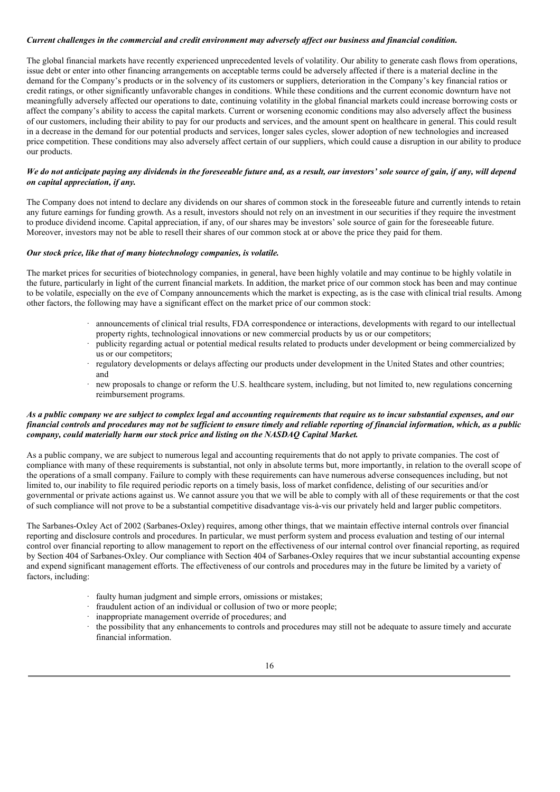## Current challenges in the commercial and credit environment may adversely affect our business and financial condition.

The global financial markets have recently experienced unprecedented levels of volatility. Our ability to generate cash flows from operations, issue debt or enter into other financing arrangements on acceptable terms could be adversely affected if there is a material decline in the demand for the Company's products or in the solvency of its customers or suppliers, deterioration in the Company's key financial ratios or credit ratings, or other significantly unfavorable changes in conditions. While these conditions and the current economic downturn have not meaningfully adversely affected our operations to date, continuing volatility in the global financial markets could increase borrowing costs or affect the company's ability to access the capital markets. Current or worsening economic conditions may also adversely affect the business of our customers, including their ability to pay for our products and services, and the amount spent on healthcare in general. This could result in a decrease in the demand for our potential products and services, longer sales cycles, slower adoption of new technologies and increased price competition. These conditions may also adversely affect certain of our suppliers, which could cause a disruption in our ability to produce our products.

## We do not anticipate paying any dividends in the foreseeable future and, as a result, our investors' sole source of gain, if any, will depend *on capital appreciation, if any.*

The Company does not intend to declare any dividends on our shares of common stock in the foreseeable future and currently intends to retain any future earnings for funding growth. As a result, investors should not rely on an investment in our securities if they require the investment to produce dividend income. Capital appreciation, if any, of our shares may be investors' sole source of gain for the foreseeable future. Moreover, investors may not be able to resell their shares of our common stock at or above the price they paid for them.

### *Our stock price, like that of many biotechnology companies, is volatile.*

The market prices for securities of biotechnology companies, in general, have been highly volatile and may continue to be highly volatile in the future, particularly in light of the current financial markets. In addition, the market price of our common stock has been and may continue to be volatile, especially on the eve of Company announcements which the market is expecting, as is the case with clinical trial results. Among other factors, the following may have a significant effect on the market price of our common stock:

- · announcements of clinical trial results, FDA correspondence or interactions, developments with regard to our intellectual property rights, technological innovations or new commercial products by us or our competitors;
- · publicity regarding actual or potential medical results related to products under development or being commercialized by us or our competitors;
- · regulatory developments or delays affecting our products under development in the United States and other countries; and
- · new proposals to change or reform the U.S. healthcare system, including, but not limited to, new regulations concerning reimbursement programs.

## As a public company we are subject to complex legal and accounting requirements that require us to incur substantial expenses, and our financial controls and procedures may not be sufficient to ensure timely and reliable reporting of financial information, which, as a public *company, could materially harm our stock price and listing on the NASDAQ Capital Market.*

As a public company, we are subject to numerous legal and accounting requirements that do not apply to private companies. The cost of compliance with many of these requirements is substantial, not only in absolute terms but, more importantly, in relation to the overall scope of the operations of a small company. Failure to comply with these requirements can have numerous adverse consequences including, but not limited to, our inability to file required periodic reports on a timely basis, loss of market confidence, delisting of our securities and/or governmental or private actions against us. We cannot assure you that we will be able to comply with all of these requirements or that the cost of such compliance will not prove to be a substantial competitive disadvantage vis-à-vis our privately held and larger public competitors.

The Sarbanes-Oxley Act of 2002 (Sarbanes-Oxley) requires, among other things, that we maintain effective internal controls over financial reporting and disclosure controls and procedures. In particular, we must perform system and process evaluation and testing of our internal control over financial reporting to allow management to report on the effectiveness of our internal control over financial reporting, as required by Section 404 of Sarbanes-Oxley. Our compliance with Section 404 of Sarbanes-Oxley requires that we incur substantial accounting expense and expend significant management efforts. The effectiveness of our controls and procedures may in the future be limited by a variety of factors, including:

- faulty human judgment and simple errors, omissions or mistakes;
- fraudulent action of an individual or collusion of two or more people;
- inappropriate management override of procedures; and
- · the possibility that any enhancements to controls and procedures may still not be adequate to assure timely and accurate financial information.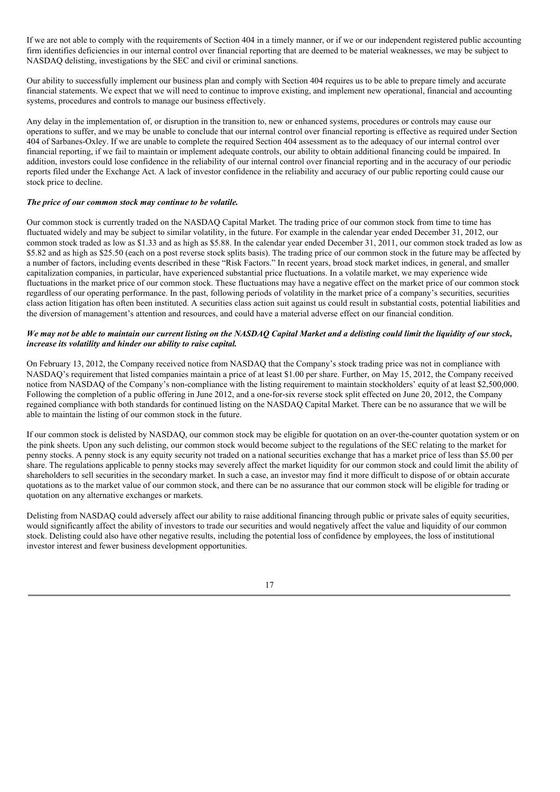If we are not able to comply with the requirements of Section 404 in a timely manner, or if we or our independent registered public accounting firm identifies deficiencies in our internal control over financial reporting that are deemed to be material weaknesses, we may be subject to NASDAQ delisting, investigations by the SEC and civil or criminal sanctions.

Our ability to successfully implement our business plan and comply with Section 404 requires us to be able to prepare timely and accurate financial statements. We expect that we will need to continue to improve existing, and implement new operational, financial and accounting systems, procedures and controls to manage our business effectively.

Any delay in the implementation of, or disruption in the transition to, new or enhanced systems, procedures or controls may cause our operations to suffer, and we may be unable to conclude that our internal control over financial reporting is effective as required under Section 404 of Sarbanes-Oxley. If we are unable to complete the required Section 404 assessment as to the adequacy of our internal control over financial reporting, if we fail to maintain or implement adequate controls, our ability to obtain additional financing could be impaired. In addition, investors could lose confidence in the reliability of our internal control over financial reporting and in the accuracy of our periodic reports filed under the Exchange Act. A lack of investor confidence in the reliability and accuracy of our public reporting could cause our stock price to decline.

## *The price of our common stock may continue to be volatile.*

Our common stock is currently traded on the NASDAQ Capital Market. The trading price of our common stock from time to time has fluctuated widely and may be subject to similar volatility, in the future. For example in the calendar year ended December 31, 2012, our common stock traded as low as \$1.33 and as high as \$5.88. In the calendar year ended December 31, 2011, our common stock traded as low as \$5.82 and as high as \$25.50 (each on a post reverse stock splits basis). The trading price of our common stock in the future may be affected by a number of factors, including events described in these "Risk Factors." In recent years, broad stock market indices, in general, and smaller capitalization companies, in particular, have experienced substantial price fluctuations. In a volatile market, we may experience wide fluctuations in the market price of our common stock. These fluctuations may have a negative effect on the market price of our common stock regardless of our operating performance. In the past, following periods of volatility in the market price of a company's securities, securities class action litigation has often been instituted. A securities class action suit against us could result in substantial costs, potential liabilities and the diversion of management's attention and resources, and could have a material adverse effect on our financial condition.

# We may not be able to maintain our current listing on the NASDAQ Capital Market and a delisting could limit the liquidity of our stock, *increase its volatility and hinder our ability to raise capital.*

On February 13, 2012, the Company received notice from NASDAQ that the Company's stock trading price was not in compliance with NASDAQ's requirement that listed companies maintain a price of at least \$1.00 per share. Further, on May 15, 2012, the Company received notice from NASDAQ of the Company's non-compliance with the listing requirement to maintain stockholders' equity of at least \$2,500,000. Following the completion of a public offering in June 2012, and a one-for-six reverse stock split effected on June 20, 2012, the Company regained compliance with both standards for continued listing on the NASDAQ Capital Market. There can be no assurance that we will be able to maintain the listing of our common stock in the future.

If our common stock is delisted by NASDAQ, our common stock may be eligible for quotation on an over-the-counter quotation system or on the pink sheets. Upon any such delisting, our common stock would become subject to the regulations of the SEC relating to the market for penny stocks. A penny stock is any equity security not traded on a national securities exchange that has a market price of less than \$5.00 per share. The regulations applicable to penny stocks may severely affect the market liquidity for our common stock and could limit the ability of shareholders to sell securities in the secondary market. In such a case, an investor may find it more difficult to dispose of or obtain accurate quotations as to the market value of our common stock, and there can be no assurance that our common stock will be eligible for trading or quotation on any alternative exchanges or markets.

Delisting from NASDAO could adversely affect our ability to raise additional financing through public or private sales of equity securities, would significantly affect the ability of investors to trade our securities and would negatively affect the value and liquidity of our common stock. Delisting could also have other negative results, including the potential loss of confidence by employees, the loss of institutional investor interest and fewer business development opportunities.

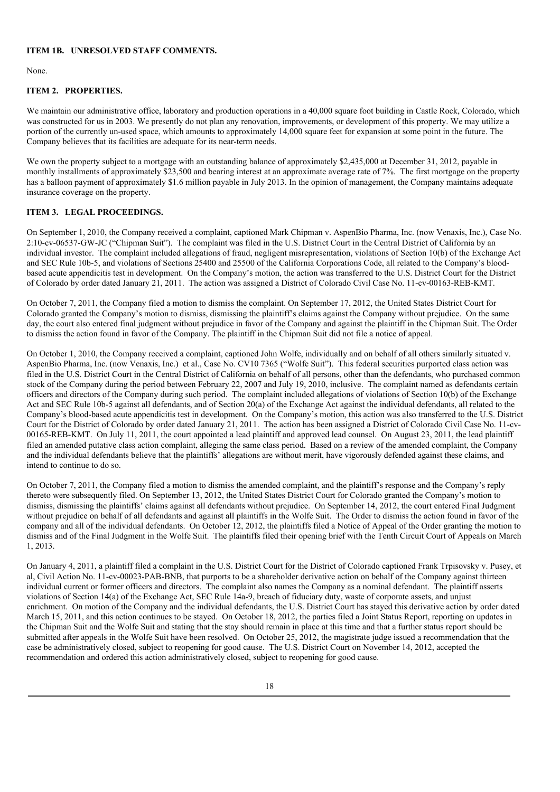### **ITEM 1B. UNRESOLVED STAFF COMMENTS.**

None.

# **ITEM 2. PROPERTIES.**

We maintain our administrative office, laboratory and production operations in a 40,000 square foot building in Castle Rock, Colorado, which was constructed for us in 2003. We presently do not plan any renovation, improvements, or development of this property. We may utilize a portion of the currently un-used space, which amounts to approximately 14,000 square feet for expansion at some point in the future. The Company believes that its facilities are adequate for its near-term needs.

We own the property subject to a mortgage with an outstanding balance of approximately \$2,435,000 at December 31, 2012, payable in monthly installments of approximately \$23,500 and bearing interest at an approximate average rate of 7%. The first mortgage on the property has a balloon payment of approximately \$1.6 million payable in July 2013. In the opinion of management, the Company maintains adequate insurance coverage on the property.

# **ITEM 3. LEGAL PROCEEDINGS.**

On September 1, 2010, the Company received a complaint, captioned Mark Chipman v. AspenBio Pharma, Inc. (now Venaxis, Inc.), Case No. 2:10-cv-06537-GW-JC ("Chipman Suit"). The complaint was filed in the U.S. District Court in the Central District of California by an individual investor. The complaint included allegations of fraud, negligent misrepresentation, violations of Section 10(b) of the Exchange Act and SEC Rule 10b-5, and violations of Sections 25400 and 25500 of the California Corporations Code, all related to the Company's bloodbased acute appendicitis test in development. On the Company's motion, the action was transferred to the U.S. District Court for the District of Colorado by order dated January 21, 2011. The action was assigned a District of Colorado Civil Case No. 11-cv-00163-REB-KMT.

On October 7, 2011, the Company filed a motion to dismiss the complaint. On September 17, 2012, the United States District Court for Colorado granted the Company's motion to dismiss, dismissing the plaintiff's claims against the Company without prejudice. On the same day, the court also entered final judgment without prejudice in favor of the Company and against the plaintiff in the Chipman Suit. The Order to dismiss the action found in favor of the Company. The plaintiff in the Chipman Suit did not file a notice of appeal.

On October 1, 2010, the Company received a complaint, captioned John Wolfe, individually and on behalf of all others similarly situated v. AspenBio Pharma, Inc. (now Venaxis, Inc.) et al., Case No. CV10 7365 ("Wolfe Suit"). This federal securities purported class action was filed in the U.S. District Court in the Central District of California on behalf of all persons, other than the defendants, who purchased common stock of the Company during the period between February 22, 2007 and July 19, 2010, inclusive. The complaint named as defendants certain officers and directors of the Company during such period. The complaint included allegations of violations of Section 10(b) of the Exchange Act and SEC Rule 10b-5 against all defendants, and of Section 20(a) of the Exchange Act against the individual defendants, all related to the Company's blood-based acute appendicitis test in development. On the Company's motion, this action was also transferred to the U.S. District Court for the District of Colorado by order dated January 21, 2011. The action has been assigned a District of Colorado Civil Case No. 11-cv-00165-REB-KMT. On July 11, 2011, the court appointed a lead plaintiff and approved lead counsel. On August 23, 2011, the lead plaintiff filed an amended putative class action complaint, alleging the same class period. Based on a review of the amended complaint, the Company and the individual defendants believe that the plaintiffs' allegations are without merit, have vigorously defended against these claims, and intend to continue to do so.

On October 7, 2011, the Company filed a motion to dismiss the amended complaint, and the plaintiff's response and the Company's reply thereto were subsequently filed. On September 13, 2012, the United States District Court for Colorado granted the Company's motion to dismiss, dismissing the plaintiffs' claims against all defendants without prejudice. On September 14, 2012, the court entered Final Judgment without prejudice on behalf of all defendants and against all plaintiffs in the Wolfe Suit. The Order to dismiss the action found in favor of the company and all of the individual defendants. On October 12, 2012, the plaintiffs filed a Notice of Appeal of the Order granting the motion to dismiss and of the Final Judgment in the Wolfe Suit. The plaintiffs filed their opening brief with the Tenth Circuit Court of Appeals on March 1, 2013.

On January 4, 2011, a plaintiff filed a complaint in the U.S. District Court for the District of Colorado captioned Frank Trpisovsky v. Pusey, et al, Civil Action No. 11-cv-00023-PAB-BNB, that purports to be a shareholder derivative action on behalf of the Company against thirteen individual current or former officers and directors. The complaint also names the Company as a nominal defendant. The plaintiff asserts violations of Section 14(a) of the Exchange Act, SEC Rule 14a-9, breach of fiduciary duty, waste of corporate assets, and unjust enrichment. On motion of the Company and the individual defendants, the U.S. District Court has stayed this derivative action by order dated March 15, 2011, and this action continues to be stayed. On October 18, 2012, the parties filed a Joint Status Report, reporting on updates in the Chipman Suit and the Wolfe Suit and stating that the stay should remain in place at this time and that a further status report should be submitted after appeals in the Wolfe Suit have been resolved. On October 25, 2012, the magistrate judge issued a recommendation that the case be administratively closed, subject to reopening for good cause. The U.S. District Court on November 14, 2012, accepted the recommendation and ordered this action administratively closed, subject to reopening for good cause.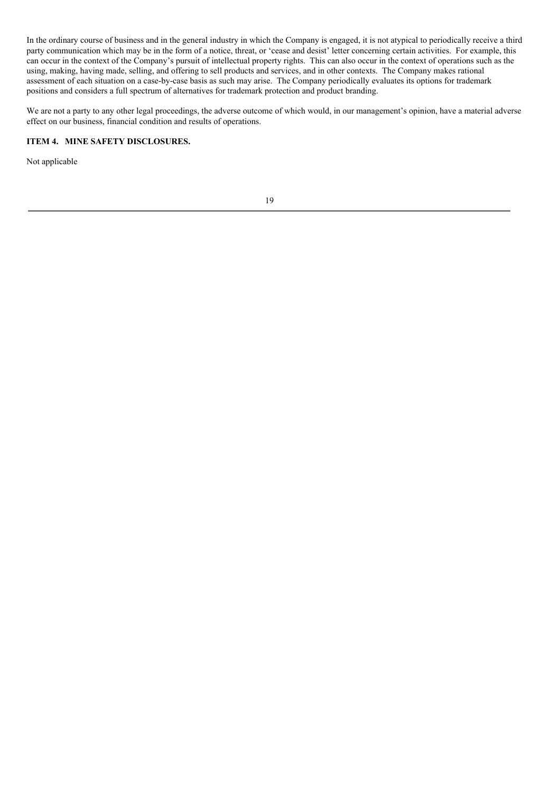In the ordinary course of business and in the general industry in which the Company is engaged, it is not atypical to periodically receive a third party communication which may be in the form of a notice, threat, or 'cease and desist' letter concerning certain activities. For example, this can occur in the context of the Company's pursuit of intellectual property rights. This can also occur in the context of operations such as the using, making, having made, selling, and offering to sell products and services, and in other contexts. The Company makes rational assessment of each situation on a case-by-case basis as such may arise. The Company periodically evaluates its options for trademark positions and considers a full spectrum of alternatives for trademark protection and product branding.

We are not a party to any other legal proceedings, the adverse outcome of which would, in our management's opinion, have a material adverse effect on our business, financial condition and results of operations.

## **ITEM 4. MINE SAFETY DISCLOSURES.**

Not applicable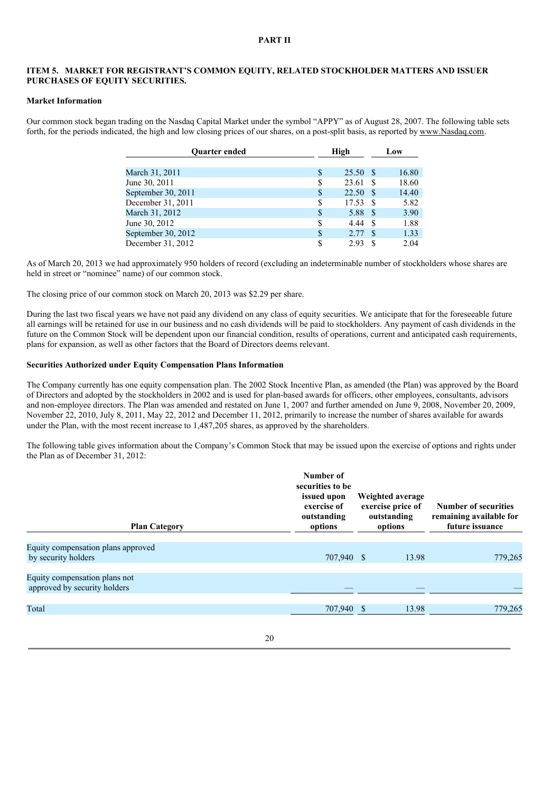# **PART II**

# **ITEM 5. MARKET FOR REGISTRANT'S COMMON EQUITY, RELATED STOCKHOLDER MATTERS AND ISSUER PURCHASES OF EQUITY SECURITIES.**

# **Market Information**

Our common stock began trading on the Nasdaq Capital Market under the symbol "APPY" as of August 28, 2007. The following table sets forth, for the periods indicated, the high and low closing prices of our shares, on a post-split basis, as reported by www.Nasdaq.com.

| <b>Ouarter ended</b> |    | High  |          |       |
|----------------------|----|-------|----------|-------|
|                      |    |       |          |       |
| March 31, 2011       | S  | 25.50 | - \$     | 16.80 |
| June 30, 2011        | S  | 23.61 | \$.      | 18.60 |
| September 30, 2011   | S  | 22.50 | -8       | 14.40 |
| December 31, 2011    | \$ | 17.53 | - S      | 5.82  |
| March 31, 2012       | \$ | 5.88  | -S       | 3.90  |
| June 30, 2012        | \$ | 4.44  | - S      | 1.88  |
| September 30, 2012   | \$ | 2.77  | <b>S</b> | 1.33  |
| December 31, 2012    | S  | 2.93  | S        | 2.04  |

As of March 20, 2013 we had approximately 950 holders of record (excluding an indeterminable number of stockholders whose shares are held in street or "nominee" name) of our common stock.

The closing price of our common stock on March 20, 2013 was \$2.29 per share.

During the last two fiscal years we have not paid any dividend on any class of equity securities. We anticipate that for the foreseeable future all earnings will be retained for use in our business and no cash dividends will be paid to stockholders. Any payment of cash dividends in the future on the Common Stock will be dependent upon our financial condition, results of operations, current and anticipated cash requirements, plans for expansion, as well as other factors that the Board of Directors deems relevant.

# **Securities Authorized under Equity Compensation Plans Information**

The Company currently has one equity compensation plan. The 2002 Stock Incentive Plan, as amended (the Plan) was approved by the Board of Directors and adopted by the stockholders in 2002 and is used for plan-based awards for officers, other employees, consultants, advisors and non-employee directors. The Plan was amended and restated on June 1, 2007 and further amended on June 9, 2008, November 20, 2009, November 22, 2010, July 8, 2011, May 22, 2012 and December 11, 2012, primarily to increase the number of shares available for awards under the Plan, with the most recent increase to 1,487,205 shares, as approved by the shareholders.

The following table gives information about the Company's Common Stock that may be issued upon the exercise of options and rights under the Plan as of December 31, 2012:

| Number of<br>securities to be<br>issued upon<br>exercise of<br>outstanding<br>options |                          | <b>Number of securities</b><br>remaining available for<br>future issuance |
|---------------------------------------------------------------------------------------|--------------------------|---------------------------------------------------------------------------|
|                                                                                       | 13.98                    | 779,265                                                                   |
|                                                                                       |                          |                                                                           |
|                                                                                       | 13.98                    | 779,265                                                                   |
|                                                                                       | 707,940 \$<br>707,940 \$ | Weighted average<br>exercise price of<br>outstanding<br>options           |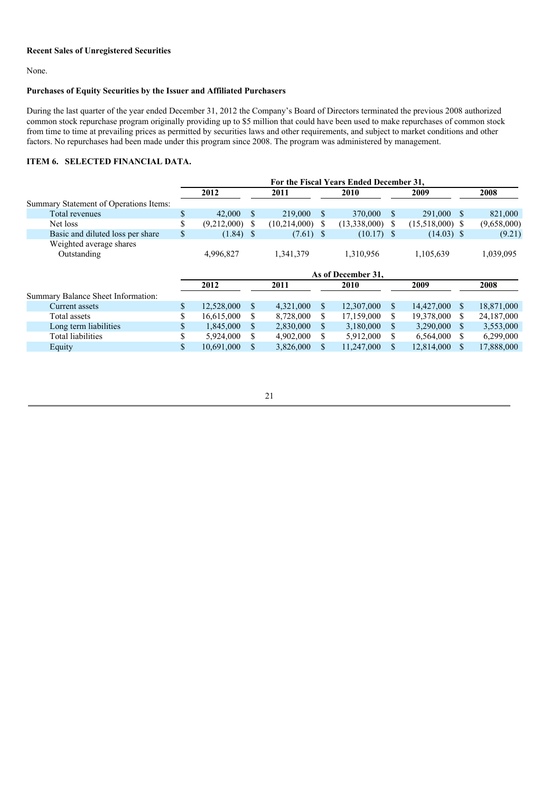# **Recent Sales of Unregistered Securities**

None.

# **Purchases of Equity Securities by the Issuer and Affiliated Purchasers**

During the last quarter of the year ended December 31, 2012 the Company's Board of Directors terminated the previous 2008 authorized common stock repurchase program originally providing up to \$5 million that could have been used to make repurchases of common stock from time to time at prevailing prices as permitted by securities laws and other requirements, and subject to market conditions and other factors. No repurchases had been made under this program since 2008. The program was administered by management.

# **ITEM 6. SELECTED FINANCIAL DATA.**

|                                        | For the Fiscal Years Ended December 31, |             |              |                   |      |                    |               |                   |     |             |
|----------------------------------------|-----------------------------------------|-------------|--------------|-------------------|------|--------------------|---------------|-------------------|-----|-------------|
|                                        |                                         | 2012        |              | 2011              |      | 2010               |               | 2009              |     | 2008        |
| Summary Statement of Operations Items: |                                         |             |              |                   |      |                    |               |                   |     |             |
| Total revenues                         | \$                                      | 42,000      | <sup>S</sup> | 219,000           | - \$ | 370,000            | <sup>S</sup>  | 291,000 \$        |     | 821,000     |
| Net loss                               | \$                                      | (9,212,000) | <sup>S</sup> | $(10,214,000)$ \$ |      | (13,338,000)       | -S            | $(15,518,000)$ \$ |     | (9,658,000) |
| Basic and diluted loss per share       | $\mathbb{S}$                            | $(1.84)$ \$ |              | $(7.61)$ \$       |      | $(10.17)$ \$       |               | $(14.03)$ \$      |     | (9.21)      |
| Weighted average shares<br>Outstanding |                                         | 4,996,827   |              | 1,341,379         |      | 1,310,956          |               | 1,105,639         |     | 1,039,095   |
|                                        |                                         |             |              |                   |      | As of December 31, |               |                   |     |             |
|                                        |                                         |             |              |                   |      |                    |               |                   |     |             |
|                                        |                                         | 2012        |              | 2011              |      | 2010               |               | 2009              |     | 2008        |
| Summary Balance Sheet Information:     |                                         |             |              |                   |      |                    |               |                   |     |             |
| Current assets                         | \$                                      | 12,528,000  | \$.          | 4.321,000         | \$.  | 12,307,000         | <sup>\$</sup> | 14.427,000 \$     |     | 18,871,000  |
| Total assets                           | \$                                      | 16,615,000  | S.           | 8,728,000         | S.   | 17,159,000         | \$            | 19,378,000        | S.  | 24,187,000  |
| Long term liabilities                  | \$                                      | 1,845,000   | S            | 2.830,000         | S.   | 3,180,000          | <sup>\$</sup> | 3,290,000         | - S | 3,553,000   |
| <b>Total liabilities</b>               |                                         | 5,924,000   | \$.          | 4.902.000         | \$   | 5,912,000          | \$.           | 6,564,000         | \$. | 6,299,000   |

21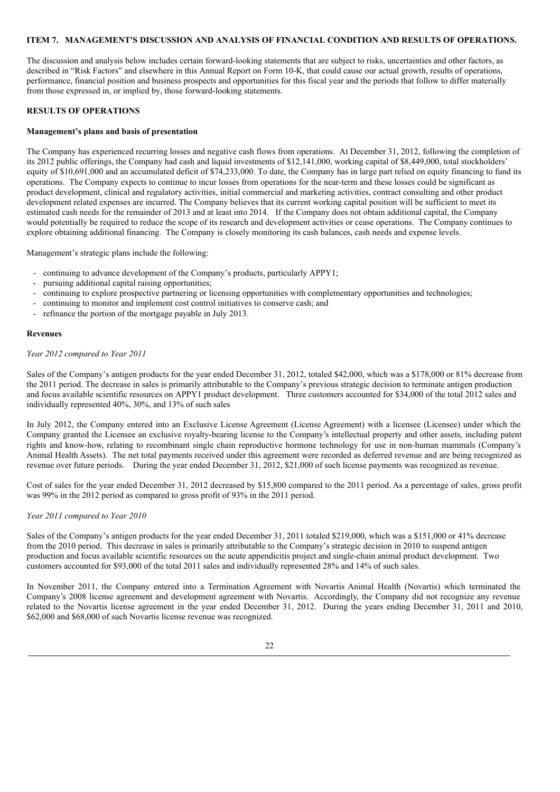## **ITEM 7. MANAGEMENT'S DISCUSSION AND ANALYSIS OF FINANCIAL CONDITION AND RESULTS OF OPERATIONS.**

The discussion and analysis below includes certain forward-looking statements that are subject to risks, uncertainties and other factors, as described in "Risk Factors" and elsewhere in this Annual Report on Form 10-K, that could cause our actual growth, results of operations, performance, financial position and business prospects and opportunities for this fiscal year and the periods that follow to differ materially from those expressed in, or implied by, those forward-looking statements.

## **RESULTS OF OPERATIONS**

### **Management's plans and basis of presentation**

The Company has experienced recurring losses and negative cash flows from operations. At December 31, 2012, following the completion of its 2012 public offerings, the Company had cash and liquid investments of \$12,141,000, working capital of \$8,449,000, total stockholders' equity of \$10,691,000 and an accumulated deficit of \$74,233,000. To date, the Company has in large part relied on equity financing to fund its operations. The Company expects to continue to incur losses from operations for the near-term and these losses could be significant as product development, clinical and regulatory activities, initial commercial and marketing activities, contract consulting and other product development related expenses are incurred. The Company believes that its current working capital position will be sufficient to meet its estimated cash needs for the remainder of 2013 and at least into 2014. If the Company does not obtain additional capital, the Company would potentially be required to reduce the scope of its research and development activities or cease operations. The Company continues to explore obtaining additional financing. The Company is closely monitoring its cash balances, cash needs and expense levels.

Management's strategic plans include the following:

- continuing to advance development of the Company's products, particularly APPY1;
- pursuing additional capital raising opportunities;
- continuing to explore prospective partnering or licensing opportunities with complementary opportunities and technologies;
- continuing to monitor and implement cost control initiatives to conserve cash; and
- refinance the portion of the mortgage payable in July 2013.

### **Revenues**

# *Year 2012 compared to Year 2011*

Sales of the Company's antigen products for the year ended December 31, 2012, totaled \$42,000, which was a \$178,000 or 81% decrease from the 2011 period. The decrease in sales is primarily attributable to the Company's previous strategic decision to terminate antigen production and focus available scientific resources on APPY1 product development. Three customers accounted for \$34,000 of the total 2012 sales and individually represented 40%, 30%, and 13% of such sales

In July 2012, the Company entered into an Exclusive License Agreement (License Agreement) with a licensee (Licensee) under which the Company granted the Licensee an exclusive royalty-bearing license to the Company's intellectual property and other assets, including patent rights and know-how, relating to recombinant single chain reproductive hormone technology for use in non-human mammals (Company's Animal Health Assets). The net total payments received under this agreement were recorded as deferred revenue and are being recognized as revenue over future periods. During the year ended December 31, 2012, \$21,000 of such license payments was recognized as revenue.

Cost of sales for the year ended December 31, 2012 decreased by \$15,800 compared to the 2011 period. As a percentage of sales, gross profit was 99% in the 2012 period as compared to gross profit of 93% in the 2011 period.

## *Year 2011 compared to Year 2010*

Sales of the Company's antigen products for the year ended December 31, 2011 totaled \$219,000, which was a \$151,000 or 41% decrease from the 2010 period. This decrease in sales is primarily attributable to the Company's strategic decision in 2010 to suspend antigen production and focus available scientific resources on the acute appendicitis project and single-chain animal product development. Two customers accounted for \$93,000 of the total 2011 sales and individually represented 28% and 14% of such sales.

In November 2011, the Company entered into a Termination Agreement with Novartis Animal Health (Novartis) which terminated the Company's 2008 license agreement and development agreement with Novartis. Accordingly, the Company did not recognize any revenue related to the Novartis license agreement in the year ended December 31, 2012. During the years ending December 31, 2011 and 2010, \$62,000 and \$68,000 of such Novartis license revenue was recognized.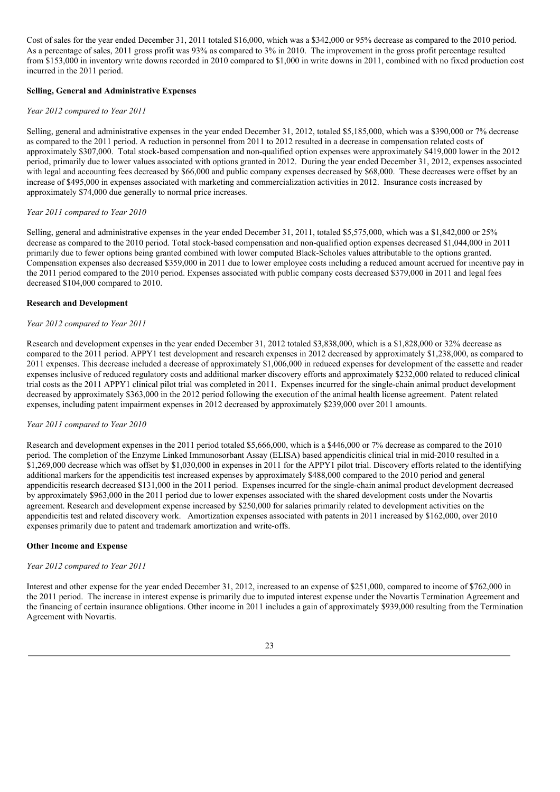Cost of sales for the year ended December 31, 2011 totaled \$16,000, which was a \$342,000 or 95% decrease as compared to the 2010 period. As a percentage of sales, 2011 gross profit was 93% as compared to 3% in 2010. The improvement in the gross profit percentage resulted from \$153,000 in inventory write downs recorded in 2010 compared to \$1,000 in write downs in 2011, combined with no fixed production cost incurred in the 2011 period.

## **Selling, General and Administrative Expenses**

## *Year 2012 compared to Year 2011*

Selling, general and administrative expenses in the year ended December 31, 2012, totaled \$5,185,000, which was a \$390,000 or 7% decrease as compared to the 2011 period. A reduction in personnel from 2011 to 2012 resulted in a decrease in compensation related costs of approximately \$307,000. Total stock-based compensation and non-qualified option expenses were approximately \$419,000 lower in the 2012 period, primarily due to lower values associated with options granted in 2012. During the year ended December 31, 2012, expenses associated with legal and accounting fees decreased by \$66,000 and public company expenses decreased by \$68,000. These decreases were offset by an increase of \$495,000 in expenses associated with marketing and commercialization activities in 2012. Insurance costs increased by approximately \$74,000 due generally to normal price increases.

## *Year 2011 compared to Year 2010*

Selling, general and administrative expenses in the year ended December 31, 2011, totaled \$5,575,000, which was a \$1,842,000 or 25% decrease as compared to the 2010 period. Total stock-based compensation and non-qualified option expenses decreased \$1,044,000 in 2011 primarily due to fewer options being granted combined with lower computed Black-Scholes values attributable to the options granted. Compensation expenses also decreased \$359,000 in 2011 due to lower employee costs including a reduced amount accrued for incentive pay in the 2011 period compared to the 2010 period. Expenses associated with public company costs decreased \$379,000 in 2011 and legal fees decreased \$104,000 compared to 2010.

## **Research and Development**

## *Year 2012 compared to Year 2011*

Research and development expenses in the year ended December 31, 2012 totaled \$3,838,000, which is a \$1,828,000 or 32% decrease as compared to the 2011 period. APPY1 test development and research expenses in 2012 decreased by approximately \$1,238,000, as compared to 2011 expenses. This decrease included a decrease of approximately \$1,006,000 in reduced expenses for development of the cassette and reader expenses inclusive of reduced regulatory costs and additional marker discovery efforts and approximately \$232,000 related to reduced clinical trial costs as the 2011 APPY1 clinical pilot trial was completed in 2011. Expenses incurred for the single-chain animal product development decreased by approximately \$363,000 in the 2012 period following the execution of the animal health license agreement. Patent related expenses, including patent impairment expenses in 2012 decreased by approximately \$239,000 over 2011 amounts.

## *Year 2011 compared to Year 2010*

Research and development expenses in the 2011 period totaled \$5,666,000, which is a \$446,000 or 7% decrease as compared to the 2010 period. The completion of the Enzyme Linked Immunosorbant Assay (ELISA) based appendicitis clinical trial in mid-2010 resulted in a  $$1,269,000$  decrease which was offset by \$1,030,000 in expenses in 2011 for the APPY<sub>1</sub> pilot trial. Discovery efforts related to the identifying additional markers for the appendicitis test increased expenses by approximately \$488,000 compared to the 2010 period and general appendicitis research decreased \$131,000 in the 2011 period. Expenses incurred for the single-chain animal product development decreased by approximately \$963,000 in the 2011 period due to lower expenses associated with the shared development costs under the Novartis agreement. Research and development expense increased by \$250,000 for salaries primarily related to development activities on the appendicitis test and related discovery work. Amortization expenses associated with patents in 2011 increased by \$162,000, over 2010 expenses primarily due to patent and trademark amortization and write-offs.

## **Other Income and Expense**

## *Year 2012 compared to Year 2011*

Interest and other expense for the year ended December 31, 2012, increased to an expense of \$251,000, compared to income of \$762,000 in the 2011 period. The increase in interest expense is primarily due to imputed interest expense under the Novartis Termination Agreement and the financing of certain insurance obligations. Other income in 2011 includes a gain of approximately \$939,000 resulting from the Termination Agreement with Novartis.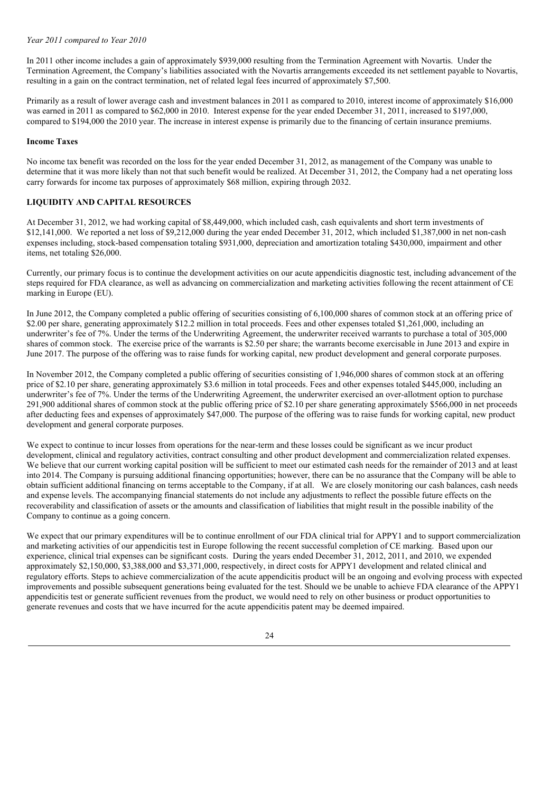In 2011 other income includes a gain of approximately \$939,000 resulting from the Termination Agreement with Novartis. Under the Termination Agreement, the Company's liabilities associated with the Novartis arrangements exceeded its net settlement payable to Novartis, resulting in a gain on the contract termination, net of related legal fees incurred of approximately \$7,500.

Primarily as a result of lower average cash and investment balances in 2011 as compared to 2010, interest income of approximately \$16,000 was earned in 2011 as compared to \$62,000 in 2010. Interest expense for the year ended December 31, 2011, increased to \$197,000, compared to \$194,000 the 2010 year. The increase in interest expense is primarily due to the financing of certain insurance premiums.

## **Income Taxes**

No income tax benefit was recorded on the loss for the year ended December 31, 2012, as management of the Company was unable to determine that it was more likely than not that such benefit would be realized. At December 31, 2012, the Company had a net operating loss carry forwards for income tax purposes of approximately \$68 million, expiring through 2032.

# **LIQUIDITY AND CAPITAL RESOURCES**

At December 31, 2012, we had working capital of \$8,449,000, which included cash, cash equivalents and short term investments of \$12,141,000. We reported a net loss of \$9,212,000 during the year ended December 31, 2012, which included \$1,387,000 in net non-cash expenses including, stock-based compensation totaling \$931,000, depreciation and amortization totaling \$430,000, impairment and other items, net totaling \$26,000.

Currently, our primary focus is to continue the development activities on our acute appendicitis diagnostic test, including advancement of the steps required for FDA clearance, as well as advancing on commercialization and marketing activities following the recent attainment of CE marking in Europe (EU).

In June 2012, the Company completed a public offering of securities consisting of 6,100,000 shares of common stock at an offering price of \$2.00 per share, generating approximately \$12.2 million in total proceeds. Fees and other expenses totaled \$1,261,000, including an underwriter's fee of 7%. Under the terms of the Underwriting Agreement, the underwriter received warrants to purchase a total of 305,000 shares of common stock. The exercise price of the warrants is \$2.50 per share; the warrants become exercisable in June 2013 and expire in June 2017. The purpose of the offering was to raise funds for working capital, new product development and general corporate purposes.

In November 2012, the Company completed a public offering of securities consisting of 1,946,000 shares of common stock at an offering price of \$2.10 per share, generating approximately \$3.6 million in total proceeds. Fees and other expenses totaled \$445,000, including an underwriter's fee of 7%. Under the terms of the Underwriting Agreement, the underwriter exercised an over-allotment option to purchase 291,900 additional shares of common stock at the public offering price of \$2.10 per share generating approximately \$566,000 in net proceeds after deducting fees and expenses of approximately \$47,000. The purpose of the offering was to raise funds for working capital, new product development and general corporate purposes.

We expect to continue to incur losses from operations for the near-term and these losses could be significant as we incur product development, clinical and regulatory activities, contract consulting and other product development and commercialization related expenses. We believe that our current working capital position will be sufficient to meet our estimated cash needs for the remainder of 2013 and at least into 2014. The Company is pursuing additional financing opportunities; however, there can be no assurance that the Company will be able to obtain sufficient additional financing on terms acceptable to the Company, if at all. We are closely monitoring our cash balances, cash needs and expense levels. The accompanying financial statements do not include any adjustments to reflect the possible future effects on the recoverability and classification of assets or the amounts and classification of liabilities that might result in the possible inability of the Company to continue as a going concern.

We expect that our primary expenditures will be to continue enrollment of our FDA clinical trial for APPY1 and to support commercialization and marketing activities of our appendicitis test in Europe following the recent successful completion of CE marking. Based upon our experience, clinical trial expenses can be significant costs. During the years ended December 31, 2012, 2011, and 2010, we expended approximately \$2,150,000, \$3,388,000 and \$3,371,000, respectively, in direct costs for APPY1 development and related clinical and regulatory efforts. Steps to achieve commercialization of the acute appendicitis product will be an ongoing and evolving process with expected improvements and possible subsequent generations being evaluated for the test. Should we be unable to achieve FDA clearance of the APPY1 appendicitis test or generate sufficient revenues from the product, we would need to rely on other business or product opportunities to generate revenues and costs that we have incurred for the acute appendicitis patent may be deemed impaired.

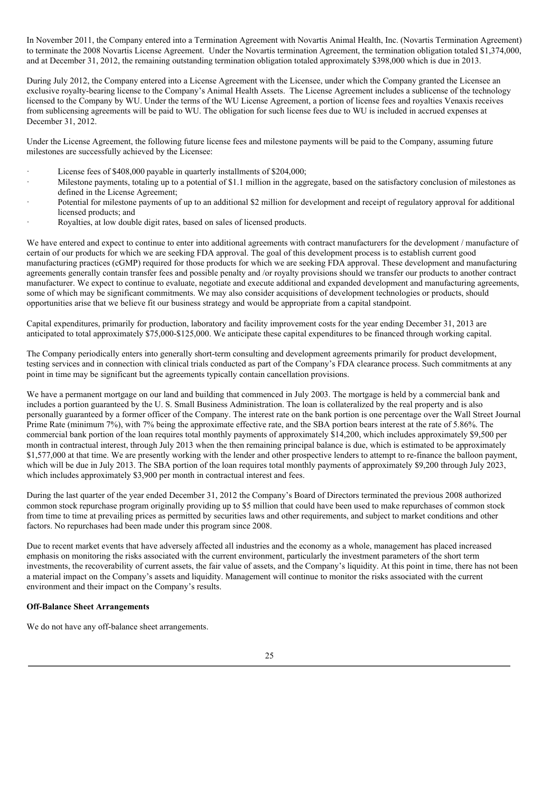In November 2011, the Company entered into a Termination Agreement with Novartis Animal Health, Inc. (Novartis Termination Agreement) to terminate the 2008 Novartis License Agreement. Under the Novartis termination Agreement, the termination obligation totaled \$1,374,000, and at December 31, 2012, the remaining outstanding termination obligation totaled approximately \$398,000 which is due in 2013.

During July 2012, the Company entered into a License Agreement with the Licensee, under which the Company granted the Licensee an exclusive royalty-bearing license to the Company's Animal Health Assets. The License Agreement includes a sublicense of the technology licensed to the Company by WU. Under the terms of the WU License Agreement, a portion of license fees and royalties Venaxis receives from sublicensing agreements will be paid to WU. The obligation for such license fees due to WU is included in accrued expenses at December 31, 2012.

Under the License Agreement, the following future license fees and milestone payments will be paid to the Company, assuming future milestones are successfully achieved by the Licensee:

- License fees of \$408,000 payable in quarterly installments of \$204,000:
- · Milestone payments, totaling up to a potential of \$1.1 million in the aggregate, based on the satisfactory conclusion of milestones as defined in the License Agreement;
- Potential for milestone payments of up to an additional \$2 million for development and receipt of regulatory approval for additional licensed products; and
- Royalties, at low double digit rates, based on sales of licensed products.

We have entered and expect to continue to enter into additional agreements with contract manufacturers for the development / manufacture of certain of our products for which we are seeking FDA approval. The goal of this development process is to establish current good manufacturing practices (cGMP) required for those products for which we are seeking FDA approval. These development and manufacturing agreements generally contain transfer fees and possible penalty and /or royalty provisions should we transfer our products to another contract manufacturer. We expect to continue to evaluate, negotiate and execute additional and expanded development and manufacturing agreements, some of which may be significant commitments. We may also consider acquisitions of development technologies or products, should opportunities arise that we believe fit our business strategy and would be appropriate from a capital standpoint.

Capital expenditures, primarily for production, laboratory and facility improvement costs for the year ending December 31, 2013 are anticipated to total approximately \$75,000-\$125,000. We anticipate these capital expenditures to be financed through working capital.

The Company periodically enters into generally short-term consulting and development agreements primarily for product development, testing services and in connection with clinical trials conducted as part of the Company's FDA clearance process. Such commitments at any point in time may be significant but the agreements typically contain cancellation provisions.

We have a permanent mortgage on our land and building that commenced in July 2003. The mortgage is held by a commercial bank and includes a portion guaranteed by the U. S. Small Business Administration. The loan is collateralized by the real property and is also personally guaranteed by a former officer of the Company. The interest rate on the bank portion is one percentage over the Wall Street Journal Prime Rate (minimum 7%), with 7% being the approximate effective rate, and the SBA portion bears interest at the rate of 5.86%. The commercial bank portion of the loan requires total monthly payments of approximately \$14,200, which includes approximately \$9,500 per month in contractual interest, through July 2013 when the then remaining principal balance is due, which is estimated to be approximately \$1,577,000 at that time. We are presently working with the lender and other prospective lenders to attempt to re-finance the balloon payment, which will be due in July 2013. The SBA portion of the loan requires total monthly payments of approximately \$9,200 through July 2023, which includes approximately \$3,900 per month in contractual interest and fees.

During the last quarter of the year ended December 31, 2012 the Company's Board of Directors terminated the previous 2008 authorized common stock repurchase program originally providing up to \$5 million that could have been used to make repurchases of common stock from time to time at prevailing prices as permitted by securities laws and other requirements, and subject to market conditions and other factors. No repurchases had been made under this program since 2008.

Due to recent market events that have adversely affected all industries and the economy as a whole, management has placed increased emphasis on monitoring the risks associated with the current environment, particularly the investment parameters of the short term investments, the recoverability of current assets, the fair value of assets, and the Company's liquidity. At this point in time, there has not been a material impact on the Company's assets and liquidity. Management will continue to monitor the risks associated with the current environment and their impact on the Company's results.

#### **Off-Balance Sheet Arrangements**

We do not have any off-balance sheet arrangements.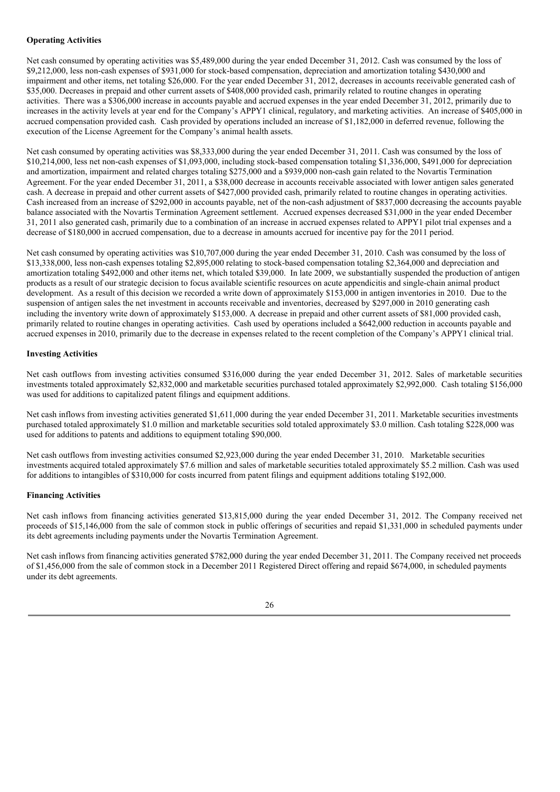## **Operating Activities**

Net cash consumed by operating activities was \$5,489,000 during the year ended December 31, 2012. Cash was consumed by the loss of \$9,212,000, less non-cash expenses of \$931,000 for stock-based compensation, depreciation and amortization totaling \$430,000 and impairment and other items, net totaling \$26,000. For the year ended December 31, 2012, decreases in accounts receivable generated cash of \$35,000. Decreases in prepaid and other current assets of \$408,000 provided cash, primarily related to routine changes in operating activities. There was a \$306,000 increase in accounts payable and accrued expenses in the year ended December 31, 2012, primarily due to increases in the activity levels at year end for the Company's APPY1 clinical, regulatory, and marketing activities. An increase of \$405,000 in accrued compensation provided cash. Cash provided by operations included an increase of \$1,182,000 in deferred revenue, following the execution of the License Agreement for the Company's animal health assets.

Net cash consumed by operating activities was \$8,333,000 during the year ended December 31, 2011. Cash was consumed by the loss of \$10,214,000, less net non-cash expenses of \$1,093,000, including stock-based compensation totaling \$1,336,000, \$491,000 for depreciation and amortization, impairment and related charges totaling \$275,000 and a \$939,000 non-cash gain related to the Novartis Termination Agreement. For the year ended December 31, 2011, a \$38,000 decrease in accounts receivable associated with lower antigen sales generated cash. A decrease in prepaid and other current assets of \$427,000 provided cash, primarily related to routine changes in operating activities. Cash increased from an increase of \$292,000 in accounts payable, net of the non-cash adjustment of \$837,000 decreasing the accounts payable balance associated with the Novartis Termination Agreement settlement. Accrued expenses decreased \$31,000 in the year ended December 31, 2011 also generated cash, primarily due to a combination of an increase in accrued expenses related to APPY1 pilot trial expenses and a decrease of \$180,000 in accrued compensation, due to a decrease in amounts accrued for incentive pay for the 2011 period.

Net cash consumed by operating activities was \$10,707,000 during the year ended December 31, 2010. Cash was consumed by the loss of \$13,338,000, less non-cash expenses totaling \$2,895,000 relating to stock-based compensation totaling \$2,364,000 and depreciation and amortization totaling \$492,000 and other items net, which totaled \$39,000. In late 2009, we substantially suspended the production of antigen products as a result of our strategic decision to focus available scientific resources on acute appendicitis and single-chain animal product development. As a result of this decision we recorded a write down of approximately \$153,000 in antigen inventories in 2010. Due to the suspension of antigen sales the net investment in accounts receivable and inventories, decreased by \$297,000 in 2010 generating cash including the inventory write down of approximately \$153,000. A decrease in prepaid and other current assets of \$81,000 provided cash, primarily related to routine changes in operating activities. Cash used by operations included a \$642,000 reduction in accounts payable and accrued expenses in 2010, primarily due to the decrease in expenses related to the recent completion of the Company's APPY1 clinical trial.

## **Investing Activities**

Net cash outflows from investing activities consumed \$316,000 during the year ended December 31, 2012. Sales of marketable securities investments totaled approximately \$2,832,000 and marketable securities purchased totaled approximately \$2,992,000. Cash totaling \$156,000 was used for additions to capitalized patent filings and equipment additions.

Net cash inflows from investing activities generated \$1,611,000 during the year ended December 31, 2011. Marketable securities investments purchased totaled approximately \$1.0 million and marketable securities sold totaled approximately \$3.0 million. Cash totaling \$228,000 was used for additions to patents and additions to equipment totaling \$90,000.

Net cash outflows from investing activities consumed \$2,923,000 during the year ended December 31, 2010. Marketable securities investments acquired totaled approximately \$7.6 million and sales of marketable securities totaled approximately \$5.2 million. Cash was used for additions to intangibles of \$310,000 for costs incurred from patent filings and equipment additions totaling \$192,000.

## **Financing Activities**

Net cash inflows from financing activities generated \$13,815,000 during the year ended December 31, 2012. The Company received net proceeds of \$15,146,000 from the sale of common stock in public offerings of securities and repaid \$1,331,000 in scheduled payments under its debt agreements including payments under the Novartis Termination Agreement.

Net cash inflows from financing activities generated \$782,000 during the year ended December 31, 2011. The Company received net proceeds of \$1,456,000 from the sale of common stock in a December 2011 Registered Direct offering and repaid \$674,000, in scheduled payments under its debt agreements.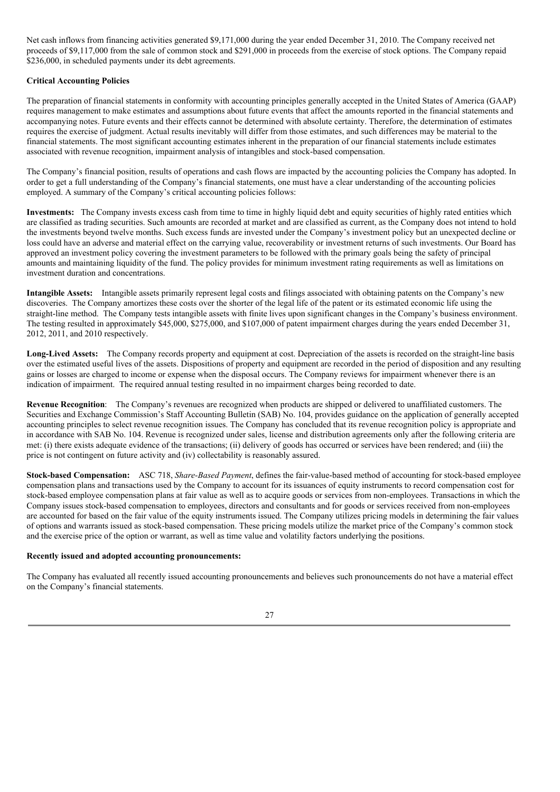Net cash inflows from financing activities generated \$9,171,000 during the year ended December 31, 2010. The Company received net proceeds of \$9,117,000 from the sale of common stock and \$291,000 in proceeds from the exercise of stock options. The Company repaid \$236,000, in scheduled payments under its debt agreements.

## **Critical Accounting Policies**

The preparation of financial statements in conformity with accounting principles generally accepted in the United States of America (GAAP) requires management to make estimates and assumptions about future events that affect the amounts reported in the financial statements and accompanying notes. Future events and their effects cannot be determined with absolute certainty. Therefore, the determination of estimates requires the exercise of judgment. Actual results inevitably will differ from those estimates, and such differences may be material to the financial statements. The most significant accounting estimates inherent in the preparation of our financial statements include estimates associated with revenue recognition, impairment analysis of intangibles and stock-based compensation.

The Company's financial position, results of operations and cash flows are impacted by the accounting policies the Company has adopted. In order to get a full understanding of the Company's financial statements, one must have a clear understanding of the accounting policies employed. A summary of the Company's critical accounting policies follows:

**Investments:** The Company invests excess cash from time to time in highly liquid debt and equity securities of highly rated entities which are classified as trading securities. Such amounts are recorded at market and are classified as current, as the Company does not intend to hold the investments beyond twelve months. Such excess funds are invested under the Company's investment policy but an unexpected decline or loss could have an adverse and material effect on the carrying value, recoverability or investment returns of such investments. Our Board has approved an investment policy covering the investment parameters to be followed with the primary goals being the safety of principal amounts and maintaining liquidity of the fund. The policy provides for minimum investment rating requirements as well as limitations on investment duration and concentrations.

**Intangible Assets:** Intangible assets primarily represent legal costs and filings associated with obtaining patents on the Company's new discoveries. The Company amortizes these costs over the shorter of the legal life of the patent or its estimated economic life using the straight-line method. The Company tests intangible assets with finite lives upon significant changes in the Company's business environment. The testing resulted in approximately \$45,000, \$275,000, and \$107,000 of patent impairment charges during the years ended December 31, 2012, 2011, and 2010 respectively.

**Long-Lived Assets:** The Company records property and equipment at cost. Depreciation of the assets is recorded on the straight-line basis over the estimated useful lives of the assets. Dispositions of property and equipment are recorded in the period of disposition and any resulting gains or losses are charged to income or expense when the disposal occurs. The Company reviews for impairment whenever there is an indication of impairment. The required annual testing resulted in no impairment charges being recorded to date.

**Revenue Recognition**: The Company's revenues are recognized when products are shipped or delivered to unaffiliated customers. The Securities and Exchange Commission's Staff Accounting Bulletin (SAB) No. 104, provides guidance on the application of generally accepted accounting principles to select revenue recognition issues. The Company has concluded that its revenue recognition policy is appropriate and in accordance with SAB No. 104. Revenue is recognized under sales, license and distribution agreements only after the following criteria are met: (i) there exists adequate evidence of the transactions; (ii) delivery of goods has occurred or services have been rendered; and (iii) the price is not contingent on future activity and (iv) collectability is reasonably assured.

**Stock-based Compensation:** ASC 718, *Share-Based Payment*, defines the fair-value-based method of accounting for stock-based employee compensation plans and transactions used by the Company to account for its issuances of equity instruments to record compensation cost for stock-based employee compensation plans at fair value as well as to acquire goods or services from non-employees. Transactions in which the Company issues stock-based compensation to employees, directors and consultants and for goods or services received from non-employees are accounted for based on the fair value of the equity instruments issued. The Company utilizes pricing models in determining the fair values of options and warrants issued as stock-based compensation. These pricing models utilize the market price of the Company's common stock and the exercise price of the option or warrant, as well as time value and volatility factors underlying the positions.

## **Recently issued and adopted accounting pronouncements:**

The Company has evaluated all recently issued accounting pronouncements and believes such pronouncements do not have a material effect on the Company's financial statements.

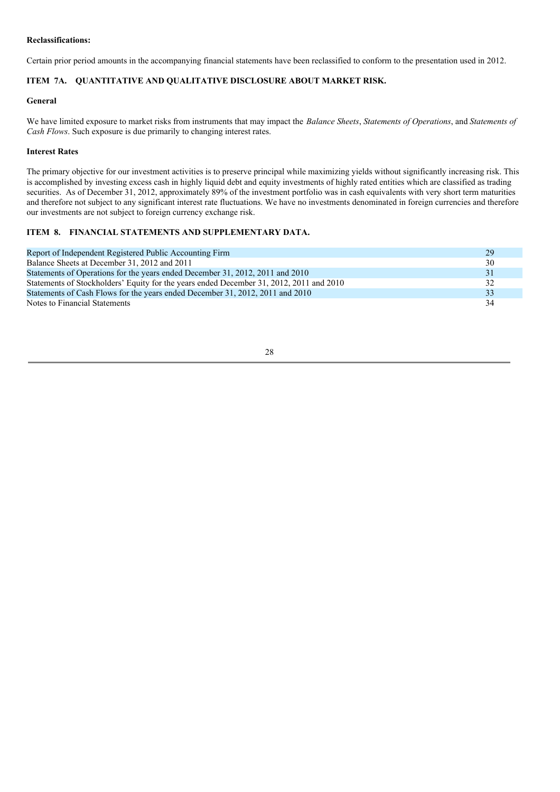## **Reclassifications:**

Certain prior period amounts in the accompanying financial statements have been reclassified to conform to the presentation used in 2012.

# **ITEM 7A. QUANTITATIVE AND QUALITATIVE DISCLOSURE ABOUT MARKET RISK.**

## **General**

We have limited exposure to market risks from instruments that may impact the *Balance Sheets*, *Statements of Operations*, and *Statements of Cash Flows*. Such exposure is due primarily to changing interest rates.

# **Interest Rates**

The primary objective for our investment activities is to preserve principal while maximizing yields without significantly increasing risk. This is accomplished by investing excess cash in highly liquid debt and equity investments of highly rated entities which are classified as trading securities. As of December 31, 2012, approximately 89% of the investment portfolio was in cash equivalents with very short term maturities and therefore not subject to any significant interest rate fluctuations. We have no investments denominated in foreign currencies and therefore our investments are not subject to foreign currency exchange risk.

# **ITEM 8. FINANCIAL STATEMENTS AND SUPPLEMENTARY DATA.**

| Report of Independent Registered Public Accounting Firm                                 | 29 |
|-----------------------------------------------------------------------------------------|----|
| Balance Sheets at December 31, 2012 and 2011                                            | 30 |
| Statements of Operations for the years ended December 31, 2012, 2011 and 2010           | 31 |
| Statements of Stockholders' Equity for the years ended December 31, 2012, 2011 and 2010 | 32 |
| Statements of Cash Flows for the years ended December 31, 2012, 2011 and 2010           | 33 |
| Notes to Financial Statements                                                           | 34 |

## 28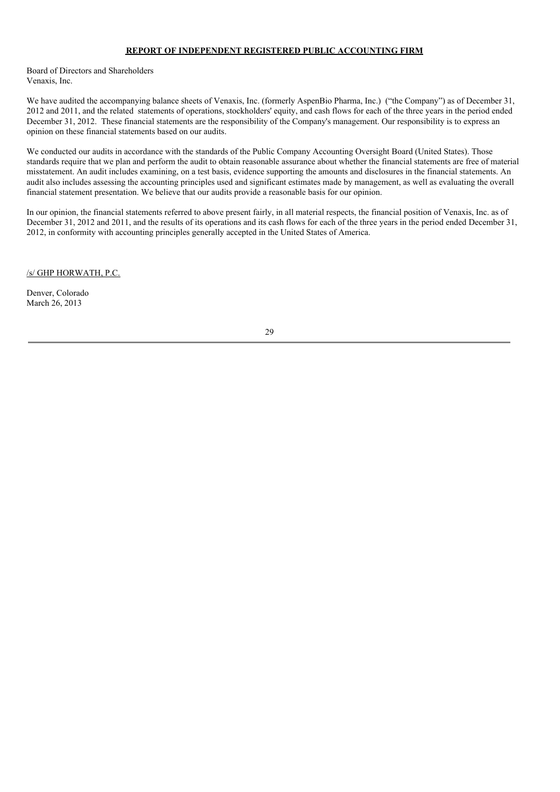### **REPORT OF INDEPENDENT REGISTERED PUBLIC ACCOUNTING FIRM**

Board of Directors and Shareholders Venaxis, Inc.

We have audited the accompanying balance sheets of Venaxis, Inc. (formerly AspenBio Pharma, Inc.) ("the Company") as of December 31, 2012 and 2011, and the related statements of operations, stockholders' equity, and cash flows for each of the three years in the period ended December 31, 2012. These financial statements are the responsibility of the Company's management. Our responsibility is to express an opinion on these financial statements based on our audits.

We conducted our audits in accordance with the standards of the Public Company Accounting Oversight Board (United States). Those standards require that we plan and perform the audit to obtain reasonable assurance about whether the financial statements are free of material misstatement. An audit includes examining, on a test basis, evidence supporting the amounts and disclosures in the financial statements. An audit also includes assessing the accounting principles used and significant estimates made by management, as well as evaluating the overall financial statement presentation. We believe that our audits provide a reasonable basis for our opinion.

In our opinion, the financial statements referred to above present fairly, in all material respects, the financial position of Venaxis, Inc. as of December 31, 2012 and 2011, and the results of its operations and its cash flows for each of the three years in the period ended December 31, 2012, in conformity with accounting principles generally accepted in the United States of America.

/s/ GHP HORWATH, P.C.

Denver, Colorado March 26, 2013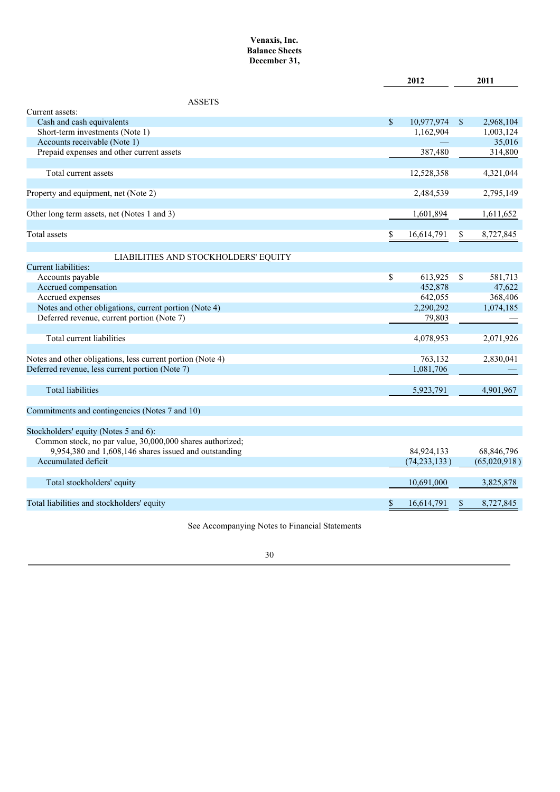## **Venaxis, Inc. Balance Sheets December 31,**

|                                                              | 2012             |               | 2011         |
|--------------------------------------------------------------|------------------|---------------|--------------|
| <b>ASSETS</b>                                                |                  |               |              |
| Current assets:                                              |                  |               |              |
| Cash and cash equivalents                                    | \$<br>10,977,974 | <sup>\$</sup> | 2,968,104    |
| Short-term investments (Note 1)                              | 1,162,904        |               | 1,003,124    |
| Accounts receivable (Note 1)                                 |                  |               | 35,016       |
| Prepaid expenses and other current assets                    | 387,480          |               | 314,800      |
| Total current assets                                         | 12,528,358       |               | 4,321,044    |
| Property and equipment, net (Note 2)                         | 2,484,539        |               | 2,795,149    |
| Other long term assets, net (Notes 1 and 3)                  | 1,601,894        |               | 1,611,652    |
|                                                              |                  |               |              |
| Total assets                                                 | \$<br>16,614,791 | \$            | 8,727,845    |
|                                                              |                  |               |              |
| LIABILITIES AND STOCKHOLDERS' EQUITY<br>Current liabilities: |                  |               |              |
| Accounts payable                                             | \$<br>613,925    | S             | 581,713      |
| Accrued compensation                                         | 452,878          |               | 47,622       |
| Accrued expenses                                             | 642,055          |               | 368,406      |
| Notes and other obligations, current portion (Note 4)        | 2,290,292        |               | 1,074,185    |
| Deferred revenue, current portion (Note 7)                   | 79,803           |               |              |
|                                                              |                  |               |              |
| Total current liabilities                                    | 4,078,953        |               | 2,071,926    |
|                                                              |                  |               |              |
| Notes and other obligations, less current portion (Note 4)   | 763,132          |               | 2,830,041    |
| Deferred revenue, less current portion (Note 7)              | 1,081,706        |               |              |
| <b>Total liabilities</b>                                     | 5,923,791        |               | 4,901,967    |
|                                                              |                  |               |              |
| Commitments and contingencies (Notes 7 and 10)               |                  |               |              |
| Stockholders' equity (Notes 5 and 6):                        |                  |               |              |
| Common stock, no par value, 30,000,000 shares authorized;    |                  |               |              |
| 9,954,380 and 1,608,146 shares issued and outstanding        | 84,924,133       |               | 68,846,796   |
| Accumulated deficit                                          | (74, 233, 133)   |               | (65,020,918) |
| Total stockholders' equity                                   | 10,691,000       |               | 3,825,878    |
| Total liabilities and stockholders' equity                   | \$<br>16,614,791 | \$            | 8,727,845    |
|                                                              |                  |               |              |

See Accompanying Notes to Financial Statements

| ۰.<br>۰. |
|----------|
|          |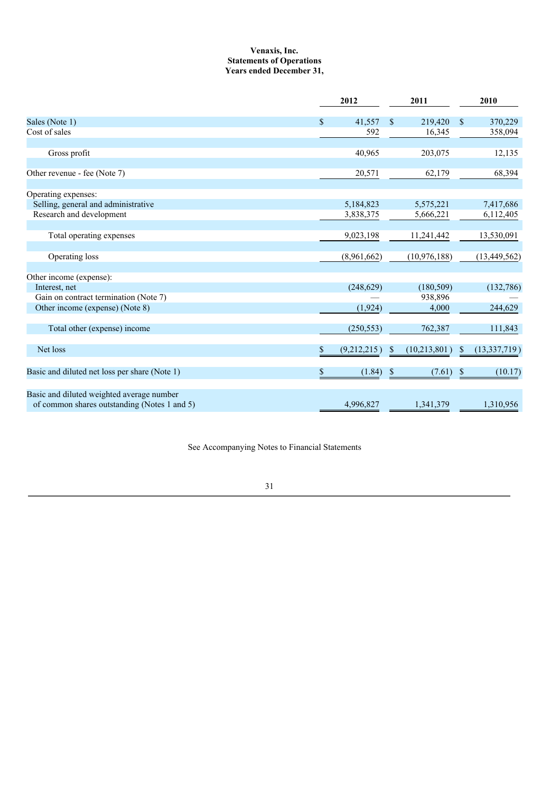## **Venaxis, Inc. Statements of Operations Years ended December 31,**

|                                               | 2012              |               | 2011           |               | 2010           |
|-----------------------------------------------|-------------------|---------------|----------------|---------------|----------------|
| Sales (Note 1)                                | \$<br>41,557      | \$            | 219,420        | $\mathbb{S}$  | 370,229        |
| Cost of sales                                 | 592               |               | 16,345         |               |                |
|                                               |                   |               |                |               | 358,094        |
| Gross profit                                  | 40,965            |               | 203,075        |               | 12,135         |
| Other revenue - fee (Note 7)                  | 20,571            |               | 62,179         |               | 68,394         |
| Operating expenses:                           |                   |               |                |               |                |
| Selling, general and administrative           | 5,184,823         |               | 5,575,221      |               | 7,417,686      |
| Research and development                      | 3,838,375         |               | 5,666,221      |               | 6,112,405      |
|                                               |                   |               |                |               |                |
| Total operating expenses                      | 9,023,198         |               | 11,241,442     |               | 13,530,091     |
|                                               |                   |               |                |               |                |
| Operating loss                                | (8,961,662)       |               | (10, 976, 188) |               | (13, 449, 562) |
|                                               |                   |               |                |               |                |
| Other income (expense):                       |                   |               |                |               |                |
| Interest, net                                 | (248, 629)        |               | (180, 509)     |               | (132,786)      |
| Gain on contract termination (Note 7)         |                   |               | 938,896        |               |                |
| Other income (expense) (Note 8)               | (1, 924)          |               | 4,000          |               | 244,629        |
| Total other (expense) income                  | (250, 553)        |               | 762,387        |               | 111,843        |
|                                               |                   |               |                |               |                |
| Net loss                                      | (9,212,215)<br>\$ | S             | (10,213,801)   | <sup>\$</sup> | (13, 337, 719) |
| Basic and diluted net loss per share (Note 1) | (1.84)<br>\$      | <sup>\$</sup> | (7.61)         | <sup>\$</sup> | (10.17)        |
| Basic and diluted weighted average number     |                   |               |                |               |                |
| of common shares outstanding (Notes 1 and 5)  | 4,996,827         |               | 1,341,379      |               | 1,310,956      |

See Accompanying Notes to Financial Statements

31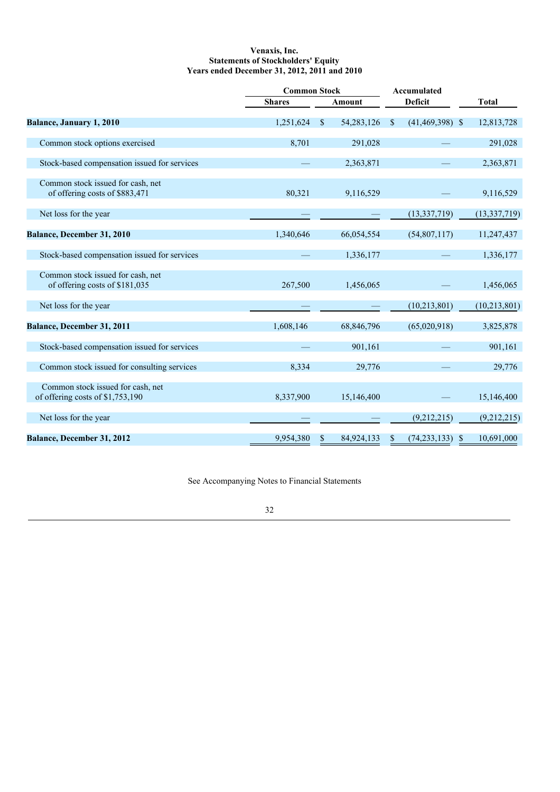### **Venaxis, Inc. Statements of Stockholders' Equity Years ended December 31, 2012, 2011 and 2010**

|                                                                       | <b>Common Stock</b> |                              | Accumulated                          |                |
|-----------------------------------------------------------------------|---------------------|------------------------------|--------------------------------------|----------------|
|                                                                       | <b>Shares</b>       | Amount                       | <b>Deficit</b>                       | <b>Total</b>   |
| Balance, January 1, 2010                                              | 1,251,624           | 54, 283, 126<br>$\mathbf{s}$ | $(41, 469, 398)$ \$<br><sup>\$</sup> | 12,813,728     |
| Common stock options exercised                                        | 8,701               | 291,028                      |                                      | 291,028        |
| Stock-based compensation issued for services                          |                     | 2,363,871                    |                                      | 2,363,871      |
| Common stock issued for cash, net<br>of offering costs of \$883,471   | 80,321              | 9,116,529                    |                                      | 9,116,529      |
| Net loss for the year                                                 |                     |                              | (13, 337, 719)                       | (13, 337, 719) |
| Balance, December 31, 2010                                            | 1,340,646           | 66,054,554                   | (54,807,117)                         | 11,247,437     |
| Stock-based compensation issued for services                          |                     | 1,336,177                    |                                      | 1,336,177      |
| Common stock issued for cash, net<br>of offering costs of \$181,035   | 267,500             | 1,456,065                    |                                      | 1,456,065      |
| Net loss for the year                                                 |                     |                              | (10,213,801)                         | (10,213,801)   |
| Balance, December 31, 2011                                            | 1,608,146           | 68,846,796                   | (65,020,918)                         | 3,825,878      |
| Stock-based compensation issued for services                          |                     | 901,161                      |                                      | 901,161        |
| Common stock issued for consulting services                           | 8.334               | 29,776                       |                                      | 29,776         |
| Common stock issued for cash, net<br>of offering costs of \$1,753,190 | 8,337,900           | 15,146,400                   |                                      | 15,146,400     |
| Net loss for the year                                                 |                     |                              | (9,212,215)                          | (9,212,215)    |
| Balance, December 31, 2012                                            | 9,954,380           | 84,924,133<br>S.             | $(74, 233, 133)$ \$<br>\$            | 10,691,000     |

See Accompanying Notes to Financial Statements

# 32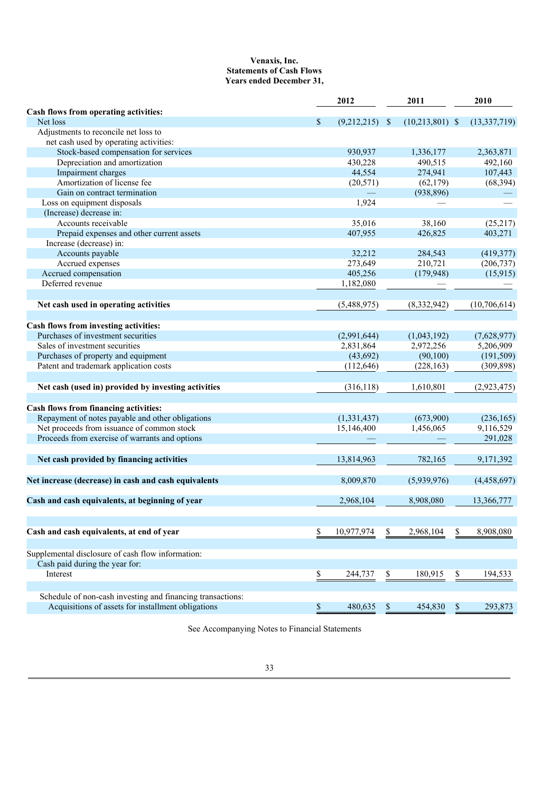## **Venaxis, Inc. Statements of Cash Flows Years ended December 31,**

|                                                            |               | 2012        | 2011                               |    | 2010           |
|------------------------------------------------------------|---------------|-------------|------------------------------------|----|----------------|
| Cash flows from operating activities:                      |               |             |                                    |    |                |
| Net loss                                                   | S             | (9,212,215) | $(10,213,801)$ \$<br><sup>\$</sup> |    | (13, 337, 719) |
| Adjustments to reconcile net loss to                       |               |             |                                    |    |                |
| net cash used by operating activities:                     |               |             |                                    |    |                |
| Stock-based compensation for services                      |               | 930,937     | 1,336,177                          |    | 2,363,871      |
| Depreciation and amortization                              |               | 430,228     | 490,515                            |    | 492,160        |
| Impairment charges                                         |               | 44,554      | 274,941                            |    | 107,443        |
| Amortization of license fee                                |               | (20, 571)   | (62, 179)                          |    | (68, 394)      |
| Gain on contract termination                               |               |             | (938, 896)                         |    |                |
| Loss on equipment disposals                                |               | 1,924       |                                    |    |                |
| (Increase) decrease in:                                    |               |             |                                    |    |                |
| Accounts receivable                                        |               | 35,016      | 38,160                             |    | (25, 217)      |
| Prepaid expenses and other current assets                  |               | 407,955     | 426,825                            |    | 403,271        |
| Increase (decrease) in:                                    |               |             |                                    |    |                |
| Accounts payable                                           |               | 32,212      | 284,543                            |    | (419, 377)     |
| Accrued expenses                                           |               | 273,649     | 210,721                            |    | (206, 737)     |
| Accrued compensation                                       |               | 405,256     | (179, 948)                         |    | (15,915)       |
| Deferred revenue                                           |               | 1,182,080   |                                    |    |                |
|                                                            |               |             |                                    |    |                |
| Net cash used in operating activities                      |               | (5,488,975) | (8, 332, 942)                      |    | (10,706,614)   |
|                                                            |               |             |                                    |    |                |
| Cash flows from investing activities:                      |               |             |                                    |    |                |
| Purchases of investment securities                         |               | (2,991,644) | (1,043,192)                        |    | (7,628,977)    |
| Sales of investment securities                             |               | 2,831,864   | 2,972,256                          |    | 5,206,909      |
| Purchases of property and equipment                        |               | (43,692)    | (90, 100)                          |    | (191, 509)     |
| Patent and trademark application costs                     |               | (112, 646)  | (228, 163)                         |    | (309, 898)     |
|                                                            |               |             |                                    |    |                |
| Net cash (used in) provided by investing activities        |               | (316, 118)  | 1,610,801                          |    | (2,923,475)    |
|                                                            |               |             |                                    |    |                |
| Cash flows from financing activities:                      |               |             |                                    |    |                |
| Repayment of notes payable and other obligations           |               | (1,331,437) | (673,900)                          |    | (236, 165)     |
| Net proceeds from issuance of common stock                 |               | 15,146,400  | 1,456,065                          |    | 9,116,529      |
| Proceeds from exercise of warrants and options             |               |             |                                    |    | 291,028        |
|                                                            |               |             |                                    |    |                |
| Net cash provided by financing activities                  |               | 13,814,963  | 782,165                            |    | 9,171,392      |
|                                                            |               |             |                                    |    |                |
| Net increase (decrease) in cash and cash equivalents       |               | 8,009,870   | (5,939,976)                        |    | (4,458,697)    |
|                                                            |               |             |                                    |    |                |
| Cash and cash equivalents, at beginning of year            |               | 2,968,104   | 8,908,080                          |    | 13,366,777     |
|                                                            |               |             |                                    |    |                |
|                                                            |               |             |                                    |    |                |
| Cash and cash equivalents, at end of year                  | \$            | 10,977,974  | 2,968,104                          | S  | 8,908,080      |
|                                                            |               |             |                                    |    |                |
| Supplemental disclosure of cash flow information:          |               |             |                                    |    |                |
| Cash paid during the year for:                             |               |             |                                    |    |                |
| Interest                                                   |               |             |                                    |    |                |
|                                                            | \$            | 244,737     | \$<br>180,915                      | \$ | 194,533        |
|                                                            |               |             |                                    |    |                |
| Schedule of non-cash investing and financing transactions: |               |             |                                    |    |                |
| Acquisitions of assets for installment obligations         | $\frac{1}{2}$ | 480,635     | 454,830<br>$\frac{1}{2}$           | \$ | 293,873        |

See Accompanying Notes to Financial Statements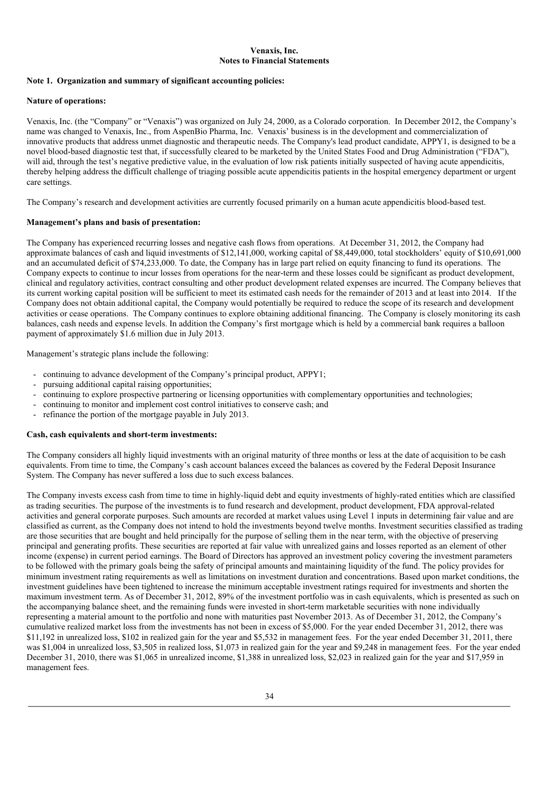### **Venaxis, Inc. Notes to Financial Statements**

### **Note 1. Organization and summary of significant accounting policies:**

### **Nature of operations:**

Venaxis, Inc. (the "Company" or "Venaxis") was organized on July 24, 2000, as a Colorado corporation. In December 2012, the Company's name was changed to Venaxis, Inc., from AspenBio Pharma, Inc. Venaxis' business is in the development and commercialization of innovative products that address unmet diagnostic and therapeutic needs. The Company's lead product candidate, APPY1, is designed to be a novel blood-based diagnostic test that, if successfully cleared to be marketed by the United States Food and Drug Administration ("FDA"), will aid, through the test's negative predictive value, in the evaluation of low risk patients initially suspected of having acute appendicitis, thereby helping address the difficult challenge of triaging possible acute appendicitis patients in the hospital emergency department or urgent care settings.

The Company's research and development activities are currently focused primarily on a human acute appendicitis blood-based test.

## **Management's plans and basis of presentation:**

The Company has experienced recurring losses and negative cash flows from operations. At December 31, 2012, the Company had approximate balances of cash and liquid investments of \$12,141,000, working capital of \$8,449,000, total stockholders' equity of \$10,691,000 and an accumulated deficit of \$74,233,000. To date, the Company has in large part relied on equity financing to fund its operations. The Company expects to continue to incur losses from operations for the near-term and these losses could be significant as product development, clinical and regulatory activities, contract consulting and other product development related expenses are incurred. The Company believes that its current working capital position will be sufficient to meet its estimated cash needs for the remainder of 2013 and at least into 2014. If the Company does not obtain additional capital, the Company would potentially be required to reduce the scope of its research and development activities or cease operations. The Company continues to explore obtaining additional financing. The Company is closely monitoring its cash balances, cash needs and expense levels. In addition the Company's first mortgage which is held by a commercial bank requires a balloon payment of approximately \$1.6 million due in July 2013.

Management's strategic plans include the following:

- continuing to advance development of the Company's principal product, APPY1;
- pursuing additional capital raising opportunities;
- continuing to explore prospective partnering or licensing opportunities with complementary opportunities and technologies;
- continuing to monitor and implement cost control initiatives to conserve cash; and
- refinance the portion of the mortgage payable in July 2013.

#### **Cash, cash equivalents and short-term investments:**

The Company considers all highly liquid investments with an original maturity of three months or less at the date of acquisition to be cash equivalents. From time to time, the Company's cash account balances exceed the balances as covered by the Federal Deposit Insurance System. The Company has never suffered a loss due to such excess balances.

The Company invests excess cash from time to time in highly-liquid debt and equity investments of highly-rated entities which are classified as trading securities. The purpose of the investments is to fund research and development, product development, FDA approval-related activities and general corporate purposes. Such amounts are recorded at market values using Level 1 inputs in determining fair value and are classified as current, as the Company does not intend to hold the investments beyond twelve months. Investment securities classified as trading are those securities that are bought and held principally for the purpose of selling them in the near term, with the objective of preserving principal and generating profits. These securities are reported at fair value with unrealized gains and losses reported as an element of other income (expense) in current period earnings. The Board of Directors has approved an investment policy covering the investment parameters to be followed with the primary goals being the safety of principal amounts and maintaining liquidity of the fund. The policy provides for minimum investment rating requirements as well as limitations on investment duration and concentrations. Based upon market conditions, the investment guidelines have been tightened to increase the minimum acceptable investment ratings required for investments and shorten the maximum investment term. As of December 31, 2012, 89% of the investment portfolio was in cash equivalents, which is presented as such on the accompanying balance sheet, and the remaining funds were invested in short-term marketable securities with none individually representing a material amount to the portfolio and none with maturities past November 2013. As of December 31, 2012, the Company's cumulative realized market loss from the investments has not been in excess of \$5,000. For the year ended December 31, 2012, there was \$11,192 in unrealized loss, \$102 in realized gain for the year and \$5,532 in management fees. For the year ended December 31, 2011, there was \$1,004 in unrealized loss, \$3,505 in realized loss, \$1,073 in realized gain for the year and \$9,248 in management fees. For the year ended December 31, 2010, there was \$1,065 in unrealized income, \$1,388 in unrealized loss, \$2,023 in realized gain for the year and \$17,959 in management fees.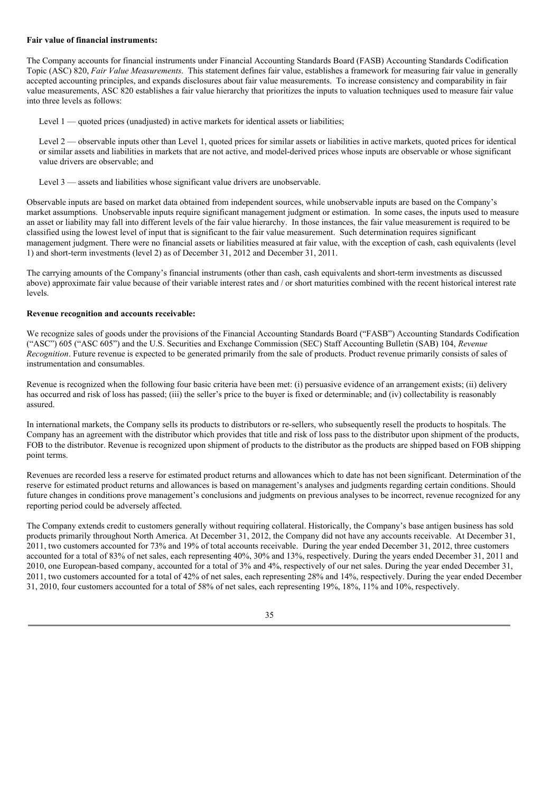### **Fair value of financial instruments:**

The Company accounts for financial instruments under Financial Accounting Standards Board (FASB) Accounting Standards Codification Topic (ASC) 820, *Fair Value Measurements*. This statement defines fair value, establishes a framework for measuring fair value in generally accepted accounting principles, and expands disclosures about fair value measurements. To increase consistency and comparability in fair value measurements, ASC 820 establishes a fair value hierarchy that prioritizes the inputs to valuation techniques used to measure fair value into three levels as follows:

Level  $1$  — quoted prices (unadjusted) in active markets for identical assets or liabilities;

Level 2 — observable inputs other than Level 1, quoted prices for similar assets or liabilities in active markets, quoted prices for identical or similar assets and liabilities in markets that are not active, and model-derived prices whose inputs are observable or whose significant value drivers are observable; and

Level 3 — assets and liabilities whose significant value drivers are unobservable.

Observable inputs are based on market data obtained from independent sources, while unobservable inputs are based on the Company's market assumptions. Unobservable inputs require significant management judgment or estimation. In some cases, the inputs used to measure an asset or liability may fall into different levels of the fair value hierarchy. In those instances, the fair value measurement is required to be classified using the lowest level of input that is significant to the fair value measurement. Such determination requires significant management judgment. There were no financial assets or liabilities measured at fair value, with the exception of cash, cash equivalents (level 1) and short-term investments (level 2) as of December 31, 2012 and December 31, 2011.

The carrying amounts of the Company's financial instruments (other than cash, cash equivalents and short-term investments as discussed above) approximate fair value because of their variable interest rates and / or short maturities combined with the recent historical interest rate levels.

### **Revenue recognition and accounts receivable:**

We recognize sales of goods under the provisions of the Financial Accounting Standards Board ("FASB") Accounting Standards Codification ("ASC") 605 ("ASC 605") and the U.S. Securities and Exchange Commission (SEC) Staff Accounting Bulletin (SAB) 104, *Revenue Recognition*. Future revenue is expected to be generated primarily from the sale of products. Product revenue primarily consists of sales of instrumentation and consumables.

Revenue is recognized when the following four basic criteria have been met: (i) persuasive evidence of an arrangement exists; (ii) delivery has occurred and risk of loss has passed; (iii) the seller's price to the buyer is fixed or determinable; and (iv) collectability is reasonably assured.

In international markets, the Company sells its products to distributors or re-sellers, who subsequently resell the products to hospitals. The Company has an agreement with the distributor which provides that title and risk of loss pass to the distributor upon shipment of the products, FOB to the distributor. Revenue is recognized upon shipment of products to the distributor as the products are shipped based on FOB shipping point terms.

Revenues are recorded less a reserve for estimated product returns and allowances which to date has not been significant. Determination of the reserve for estimated product returns and allowances is based on management's analyses and judgments regarding certain conditions. Should future changes in conditions prove management's conclusions and judgments on previous analyses to be incorrect, revenue recognized for any reporting period could be adversely affected.

The Company extends credit to customers generally without requiring collateral. Historically, the Company's base antigen business has sold products primarily throughout North America. At December 31, 2012, the Company did not have any accounts receivable. At December 31, 2011, two customers accounted for 73% and 19% of total accounts receivable. During the year ended December 31, 2012, three customers accounted for a total of 83% of net sales, each representing 40%, 30% and 13%, respectively. During the years ended December 31, 2011 and 2010, one European-based company, accounted for a total of 3% and 4%, respectively of our net sales. During the year ended December 31, 2011, two customers accounted for a total of 42% of net sales, each representing 28% and 14%, respectively. During the year ended December 31, 2010, four customers accounted for a total of 58% of net sales, each representing 19%, 18%, 11% and 10%, respectively.

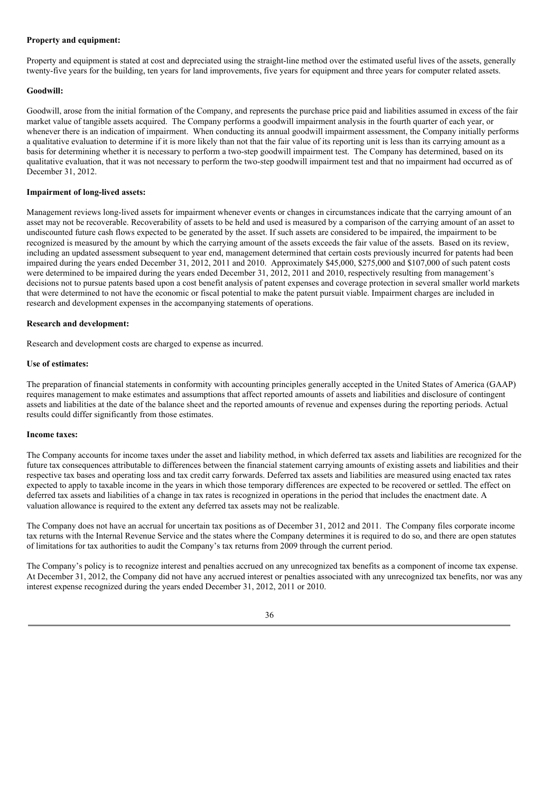### **Property and equipment:**

Property and equipment is stated at cost and depreciated using the straight-line method over the estimated useful lives of the assets, generally twenty-five years for the building, ten years for land improvements, five years for equipment and three years for computer related assets.

## **Goodwill:**

Goodwill, arose from the initial formation of the Company, and represents the purchase price paid and liabilities assumed in excess of the fair market value of tangible assets acquired. The Company performs a goodwill impairment analysis in the fourth quarter of each year, or whenever there is an indication of impairment. When conducting its annual goodwill impairment assessment, the Company initially performs a qualitative evaluation to determine if it is more likely than not that the fair value of its reporting unit is less than its carrying amount as a basis for determining whether it is necessary to perform a two-step goodwill impairment test. The Company has determined, based on its qualitative evaluation, that it was not necessary to perform the two-step goodwill impairment test and that no impairment had occurred as of December 31, 2012.

### **Impairment of long-lived assets:**

Management reviews long-lived assets for impairment whenever events or changes in circumstances indicate that the carrying amount of an asset may not be recoverable. Recoverability of assets to be held and used is measured by a comparison of the carrying amount of an asset to undiscounted future cash flows expected to be generated by the asset. If such assets are considered to be impaired, the impairment to be recognized is measured by the amount by which the carrying amount of the assets exceeds the fair value of the assets. Based on its review, including an updated assessment subsequent to year end, management determined that certain costs previously incurred for patents had been impaired during the years ended December 31, 2012, 2011 and 2010. Approximately \$45,000, \$275,000 and \$107,000 of such patent costs were determined to be impaired during the years ended December 31, 2012, 2011 and 2010, respectively resulting from management's decisions not to pursue patents based upon a cost benefit analysis of patent expenses and coverage protection in several smaller world markets that were determined to not have the economic or fiscal potential to make the patent pursuit viable. Impairment charges are included in research and development expenses in the accompanying statements of operations.

### **Research and development:**

Research and development costs are charged to expense as incurred.

### **Use of estimates:**

The preparation of financial statements in conformity with accounting principles generally accepted in the United States of America (GAAP) requires management to make estimates and assumptions that affect reported amounts of assets and liabilities and disclosure of contingent assets and liabilities at the date of the balance sheet and the reported amounts of revenue and expenses during the reporting periods. Actual results could differ significantly from those estimates.

#### **Income taxes:**

The Company accounts for income taxes under the asset and liability method, in which deferred tax assets and liabilities are recognized for the future tax consequences attributable to differences between the financial statement carrying amounts of existing assets and liabilities and their respective tax bases and operating loss and tax credit carry forwards. Deferred tax assets and liabilities are measured using enacted tax rates expected to apply to taxable income in the years in which those temporary differences are expected to be recovered or settled. The effect on deferred tax assets and liabilities of a change in tax rates is recognized in operations in the period that includes the enactment date. A valuation allowance is required to the extent any deferred tax assets may not be realizable.

The Company does not have an accrual for uncertain tax positions as of December 31, 2012 and 2011. The Company files corporate income tax returns with the Internal Revenue Service and the states where the Company determines it is required to do so, and there are open statutes of limitations for tax authorities to audit the Company's tax returns from 2009 through the current period.

The Company's policy is to recognize interest and penalties accrued on any unrecognized tax benefits as a component of income tax expense. At December 31, 2012, the Company did not have any accrued interest or penalties associated with any unrecognized tax benefits, nor was any interest expense recognized during the years ended December 31, 2012, 2011 or 2010.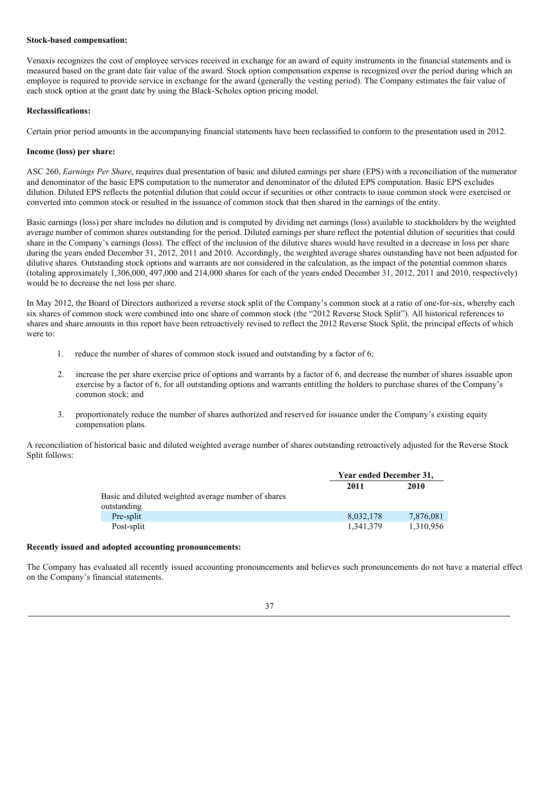### **Stock-based compensation:**

Venaxis recognizes the cost of employee services received in exchange for an award of equity instruments in the financial statements and is measured based on the grant date fair value of the award. Stock option compensation expense is recognized over the period during which an employee is required to provide service in exchange for the award (generally the vesting period). The Company estimates the fair value of each stock option at the grant date by using the Black-Scholes option pricing model.

### **Reclassifications:**

Certain prior period amounts in the accompanying financial statements have been reclassified to conform to the presentation used in 2012.

# **Income (loss) per share:**

ASC 260, *Earnings Per Share*, requires dual presentation of basic and diluted earnings per share (EPS) with a reconciliation of the numerator and denominator of the basic EPS computation to the numerator and denominator of the diluted EPS computation. Basic EPS excludes dilution. Diluted EPS reflects the potential dilution that could occur if securities or other contracts to issue common stock were exercised or converted into common stock or resulted in the issuance of common stock that then shared in the earnings of the entity.

Basic earnings (loss) per share includes no dilution and is computed by dividing net earnings (loss) available to stockholders by the weighted average number of common shares outstanding for the period. Diluted earnings per share reflect the potential dilution of securities that could share in the Company's earnings (loss). The effect of the inclusion of the dilutive shares would have resulted in a decrease in loss per share during the years ended December 31, 2012, 2011 and 2010. Accordingly, the weighted average shares outstanding have not been adjusted for dilutive shares. Outstanding stock options and warrants are not considered in the calculation, as the impact of the potential common shares (totaling approximately 1,306,000, 497,000 and 214,000 shares for each of the years ended December 31, 2012, 2011 and 2010, respectively) would be to decrease the net loss per share.

In May 2012, the Board of Directors authorized a reverse stock split of the Company's common stock at a ratio of one-for-six, whereby each six shares of common stock were combined into one share of common stock (the "2012 Reverse Stock Split"). All historical references to shares and share amounts in this report have been retroactively revised to reflect the 2012 Reverse Stock Split, the principal effects of which were to:

- 1. reduce the number of shares of common stock issued and outstanding by a factor of 6;
- 2. increase the per share exercise price of options and warrants by a factor of 6, and decrease the number of shares issuable upon exercise by a factor of 6, for all outstanding options and warrants entitling the holders to purchase shares of the Company's common stock; and
- 3. proportionately reduce the number of shares authorized and reserved for issuance under the Company's existing equity compensation plans.

A reconciliation of historical basic and diluted weighted average number of shares outstanding retroactively adjusted for the Reverse Stock Split follows:

|                                                                    | Year ended December 31, |           |  |
|--------------------------------------------------------------------|-------------------------|-----------|--|
|                                                                    | 2011                    | 2010      |  |
| Basic and diluted weighted average number of shares<br>outstanding |                         |           |  |
| Pre-split                                                          | 8.032.178               | 7,876,081 |  |
| Post-split                                                         | 1.341.379               | 1,310,956 |  |

#### **Recently issued and adopted accounting pronouncements:**

The Company has evaluated all recently issued accounting pronouncements and believes such pronouncements do not have a material effect on the Company's financial statements.

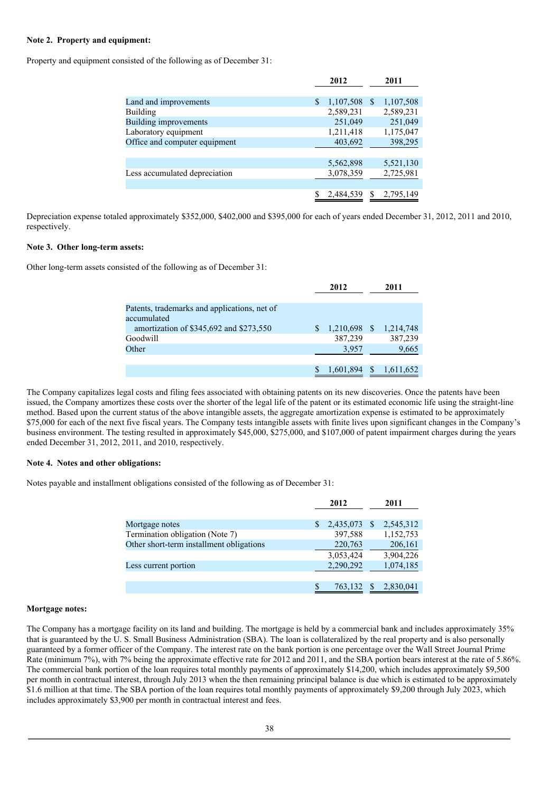## **Note 2. Property and equipment:**

Property and equipment consisted of the following as of December 31:

| 2012 |           | 2011           |  |
|------|-----------|----------------|--|
|      |           |                |  |
| S    |           | 1,107,508      |  |
|      | 2,589,231 | 2,589,231      |  |
|      | 251,049   | 251,049        |  |
|      | 1,211,418 | 1,175,047      |  |
|      | 403,692   | 398,295        |  |
|      |           |                |  |
|      | 5,562,898 | 5,521,130      |  |
|      | 3,078,359 | 2,725,981      |  |
|      |           |                |  |
| S    | 2,484,539 | 2,795,149      |  |
|      |           | $1,107,508$ \$ |  |

Depreciation expense totaled approximately \$352,000, \$402,000 and \$395,000 for each of years ended December 31, 2012, 2011 and 2010, respectively.

#### **Note 3. Other long-term assets:**

Other long-term assets consisted of the following as of December 31:

|                                              | 2012         | 2011      |
|----------------------------------------------|--------------|-----------|
|                                              |              |           |
| Patents, trademarks and applications, net of |              |           |
| accumulated                                  |              |           |
| amortization of \$345,692 and \$273,550      | 1,210,698 \$ | 1,214,748 |
| Goodwill                                     | 387,239      | 387,239   |
| Other                                        | 3,957        | 9,665     |
|                                              |              |           |
|                                              | 1,601,894    | 1,611,652 |

The Company capitalizes legal costs and filing fees associated with obtaining patents on its new discoveries. Once the patents have been issued, the Company amortizes these costs over the shorter of the legal life of the patent or its estimated economic life using the straight-line method. Based upon the current status of the above intangible assets, the aggregate amortization expense is estimated to be approximately \$75,000 for each of the next five fiscal years. The Company tests intangible assets with finite lives upon significant changes in the Company's business environment. The testing resulted in approximately \$45,000, \$275,000, and \$107,000 of patent impairment charges during the years ended December 31, 2012, 2011, and 2010, respectively.

# **Note 4. Notes and other obligations:**

Notes payable and installment obligations consisted of the following as of December 31:

|                                          |   | 2012      |              | 2011      |
|------------------------------------------|---|-----------|--------------|-----------|
|                                          |   |           |              |           |
| Mortgage notes                           |   | 2,435,073 | <sup>S</sup> | 2,545,312 |
| Termination obligation (Note 7)          |   | 397,588   |              | 1,152,753 |
| Other short-term installment obligations |   | 220,763   |              | 206,161   |
|                                          |   | 3,053,424 |              | 3,904,226 |
| Less current portion                     |   | 2,290,292 |              | 1,074,185 |
|                                          |   |           |              |           |
|                                          | S | 763,132   |              | 2,830,041 |

#### **Mortgage notes:**

The Company has a mortgage facility on its land and building. The mortgage is held by a commercial bank and includes approximately 35% that is guaranteed by the U. S. Small Business Administration (SBA). The loan is collateralized by the real property and is also personally guaranteed by a former officer of the Company. The interest rate on the bank portion is one percentage over the Wall Street Journal Prime Rate (minimum 7%), with 7% being the approximate effective rate for 2012 and 2011, and the SBA portion bears interest at the rate of 5.86%. The commercial bank portion of the loan requires total monthly payments of approximately \$14,200, which includes approximately \$9,500 per month in contractual interest, through July 2013 when the then remaining principal balance is due which is estimated to be approximately \$1.6 million at that time. The SBA portion of the loan requires total monthly payments of approximately \$9,200 through July 2023, which includes approximately \$3,900 per month in contractual interest and fees.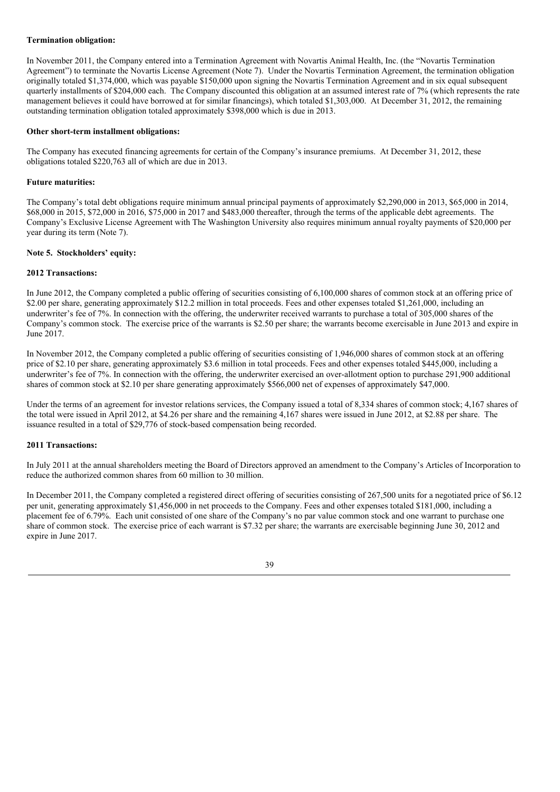# **Termination obligation:**

In November 2011, the Company entered into a Termination Agreement with Novartis Animal Health, Inc. (the "Novartis Termination Agreement") to terminate the Novartis License Agreement (Note 7). Under the Novartis Termination Agreement, the termination obligation originally totaled \$1,374,000, which was payable \$150,000 upon signing the Novartis Termination Agreement and in six equal subsequent quarterly installments of \$204,000 each. The Company discounted this obligation at an assumed interest rate of 7% (which represents the rate management believes it could have borrowed at for similar financings), which totaled \$1,303,000. At December 31, 2012, the remaining outstanding termination obligation totaled approximately \$398,000 which is due in 2013.

## **Other short-term installment obligations:**

The Company has executed financing agreements for certain of the Company's insurance premiums. At December 31, 2012, these obligations totaled \$220,763 all of which are due in 2013.

## **Future maturities:**

The Company's total debt obligations require minimum annual principal payments of approximately \$2,290,000 in 2013, \$65,000 in 2014, \$68,000 in 2015, \$72,000 in 2016, \$75,000 in 2017 and \$483,000 thereafter, through the terms of the applicable debt agreements. The Company's Exclusive License Agreement with The Washington University also requires minimum annual royalty payments of \$20,000 per year during its term (Note 7).

## **Note 5. Stockholders' equity:**

# **2012 Transactions:**

In June 2012, the Company completed a public offering of securities consisting of 6,100,000 shares of common stock at an offering price of \$2.00 per share, generating approximately \$12.2 million in total proceeds. Fees and other expenses totaled \$1,261,000, including an underwriter's fee of 7%. In connection with the offering, the underwriter received warrants to purchase a total of 305,000 shares of the Company's common stock. The exercise price of the warrants is \$2.50 per share; the warrants become exercisable in June 2013 and expire in June 2017.

In November 2012, the Company completed a public offering of securities consisting of 1,946,000 shares of common stock at an offering price of \$2.10 per share, generating approximately \$3.6 million in total proceeds. Fees and other expenses totaled \$445,000, including a underwriter's fee of 7%. In connection with the offering, the underwriter exercised an over-allotment option to purchase 291,900 additional shares of common stock at \$2.10 per share generating approximately \$566,000 net of expenses of approximately \$47,000.

Under the terms of an agreement for investor relations services, the Company issued a total of 8,334 shares of common stock; 4,167 shares of the total were issued in April 2012, at \$4.26 per share and the remaining 4,167 shares were issued in June 2012, at \$2.88 per share. The issuance resulted in a total of \$29,776 of stock-based compensation being recorded.

## **2011 Transactions:**

In July 2011 at the annual shareholders meeting the Board of Directors approved an amendment to the Company's Articles of Incorporation to reduce the authorized common shares from 60 million to 30 million.

In December 2011, the Company completed a registered direct offering of securities consisting of 267,500 units for a negotiated price of \$6.12 per unit, generating approximately \$1,456,000 in net proceeds to the Company. Fees and other expenses totaled \$181,000, including a placement fee of 6.79%. Each unit consisted of one share of the Company's no par value common stock and one warrant to purchase one share of common stock. The exercise price of each warrant is \$7.32 per share; the warrants are exercisable beginning June 30, 2012 and expire in June 2017.

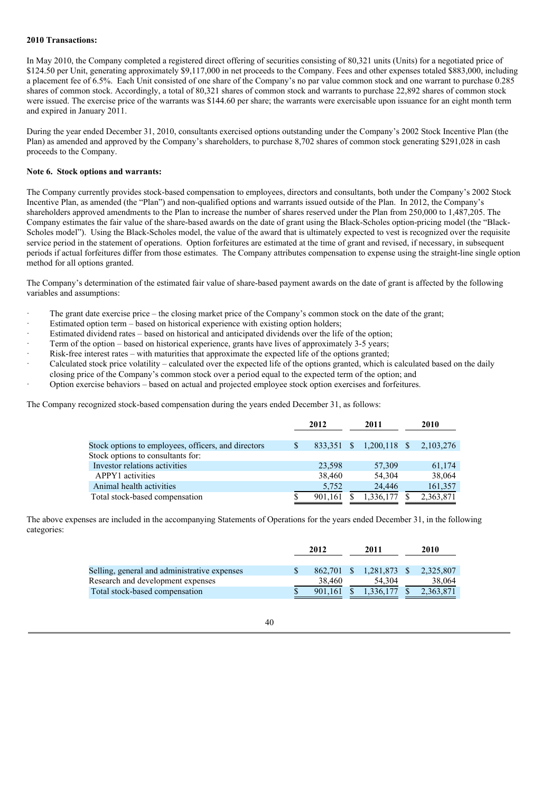### **2010 Transactions:**

In May 2010, the Company completed a registered direct offering of securities consisting of 80,321 units (Units) for a negotiated price of \$124.50 per Unit, generating approximately \$9,117,000 in net proceeds to the Company. Fees and other expenses totaled \$883,000, including a placement fee of 6.5%. Each Unit consisted of one share of the Company's no par value common stock and one warrant to purchase 0.285 shares of common stock. Accordingly, a total of 80,321 shares of common stock and warrants to purchase 22,892 shares of common stock were issued. The exercise price of the warrants was \$144.60 per share; the warrants were exercisable upon issuance for an eight month term and expired in January 2011.

During the year ended December 31, 2010, consultants exercised options outstanding under the Company's 2002 Stock Incentive Plan (the Plan) as amended and approved by the Company's shareholders, to purchase 8,702 shares of common stock generating \$291,028 in cash proceeds to the Company.

### **Note 6. Stock options and warrants:**

The Company currently provides stock-based compensation to employees, directors and consultants, both under the Company's 2002 Stock Incentive Plan, as amended (the "Plan") and non-qualified options and warrants issued outside of the Plan. In 2012, the Company's shareholders approved amendments to the Plan to increase the number of shares reserved under the Plan from 250,000 to 1,487,205. The Company estimates the fair value of the share-based awards on the date of grant using the Black-Scholes option-pricing model (the "Black-Scholes model"). Using the Black-Scholes model, the value of the award that is ultimately expected to vest is recognized over the requisite service period in the statement of operations. Option forfeitures are estimated at the time of grant and revised, if necessary, in subsequent periods if actual forfeitures differ from those estimates. The Company attributes compensation to expense using the straight-line single option method for all options granted.

The Company's determination of the estimated fair value of share-based payment awards on the date of grant is affected by the following variables and assumptions:

- The grant date exercise price the closing market price of the Company's common stock on the date of the grant;
- Estimated option term based on historical experience with existing option holders;
- Estimated dividend rates based on historical and anticipated dividends over the life of the option;
- Term of the option based on historical experience, grants have lives of approximately 3-5 years;
- Risk-free interest rates with maturities that approximate the expected life of the options granted;
- · Calculated stock price volatility calculated over the expected life of the options granted, which is calculated based on the daily closing price of the Company's common stock over a period equal to the expected term of the option; and
- · Option exercise behaviors based on actual and projected employee stock option exercises and forfeitures.

The Company recognized stock-based compensation during the years ended December 31, as follows:

|                                                     |   | 2012       | 2011                     | 2010      |
|-----------------------------------------------------|---|------------|--------------------------|-----------|
| Stock options to employees, officers, and directors | S | 833.351 \$ | $1,200,118$ \$ 2,103,276 |           |
| Stock options to consultants for:                   |   |            |                          |           |
| Investor relations activities                       |   | 23.598     | 57,309                   | 61,174    |
| <b>APPY1</b> activities                             |   | 38,460     | 54,304                   | 38,064    |
| Animal health activities                            |   | 5,752      | 24,446                   | 161,357   |
| Total stock-based compensation                      |   | 901.161    | 1.336.177                | 2,363,871 |

The above expenses are included in the accompanying Statements of Operations for the years ended December 31, in the following categories:

|                                              | 2012       | 2011         | 2010      |
|----------------------------------------------|------------|--------------|-----------|
| Selling, general and administrative expenses | 862.701 \$ | 1,281,873 \$ | 2.325.807 |
| Research and development expenses            | 38,460     | 54.304       | 38,064    |
| Total stock-based compensation               | 901.161    | 1.336.177    | 2,363,871 |

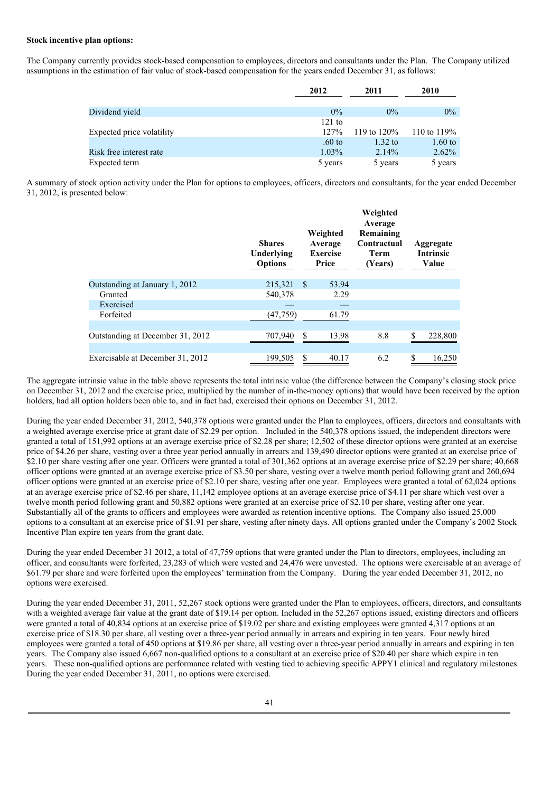### **Stock incentive plan options:**

The Company currently provides stock-based compensation to employees, directors and consultants under the Plan. The Company utilized assumptions in the estimation of fair value of stock-based compensation for the years ended December 31, as follows:

|                           | 2012              | 2011           | 2010           |
|---------------------------|-------------------|----------------|----------------|
|                           |                   |                |                |
| Dividend yield            | $0\%$             | $0\%$          | $0\%$          |
|                           | $121$ to          |                |                |
| Expected price volatility | 127%              | 119 to $120\%$ | 110 to $119\%$ |
|                           | .60 <sub>to</sub> | $1.32$ to      | $1.60$ to      |
| Risk free interest rate   | $1.03\%$          | 2.14%          | $2.62\%$       |
| Expected term             | 5 years           | 5 years        | 5 years        |

A summary of stock option activity under the Plan for options to employees, officers, directors and consultants, for the year ended December 31, 2012, is presented below:

|                                  | <b>Shares</b><br>Underlying<br><b>Options</b> | Weighted<br>Average<br><b>Exercise</b><br>Price | Weighted<br>Average<br>Remaining<br>Contractual<br><b>Term</b><br>(Years) | Aggregate<br><b>Intrinsic</b><br>Value |
|----------------------------------|-----------------------------------------------|-------------------------------------------------|---------------------------------------------------------------------------|----------------------------------------|
| Outstanding at January 1, 2012   | 215,321                                       | -S                                              | 53.94                                                                     |                                        |
| Granted                          | 540,378                                       |                                                 | 2.29                                                                      |                                        |
| Exercised                        |                                               |                                                 |                                                                           |                                        |
| Forfeited                        | (47, 759)                                     |                                                 | 61.79                                                                     |                                        |
|                                  |                                               |                                                 |                                                                           |                                        |
| Outstanding at December 31, 2012 | 707,940                                       | \$                                              | 8.8<br>13.98                                                              | \$<br>228,800                          |
| Exercisable at December 31, 2012 | 199,505                                       | \$                                              | 6.2<br>40.17                                                              | \$<br>16,250                           |

The aggregate intrinsic value in the table above represents the total intrinsic value (the difference between the Company's closing stock price on December 31, 2012 and the exercise price, multiplied by the number of in-the-money options) that would have been received by the option holders, had all option holders been able to, and in fact had, exercised their options on December 31, 2012.

During the year ended December 31, 2012, 540,378 options were granted under the Plan to employees, officers, directors and consultants with a weighted average exercise price at grant date of \$2.29 per option. Included in the 540,378 options issued, the independent directors were granted a total of 151,992 options at an average exercise price of \$2.28 per share; 12,502 of these director options were granted at an exercise price of \$4.26 per share, vesting over a three year period annually in arrears and 139,490 director options were granted at an exercise price of \$2.10 per share vesting after one year. Officers were granted a total of 301,362 options at an average exercise price of \$2.29 per share; 40,668 officer options were granted at an average exercise price of \$3.50 per share, vesting over a twelve month period following grant and 260,694 officer options were granted at an exercise price of \$2.10 per share, vesting after one year. Employees were granted a total of 62,024 options at an average exercise price of \$2.46 per share, 11,142 employee options at an average exercise price of \$4.11 per share which vest over a twelve month period following grant and 50,882 options were granted at an exercise price of \$2.10 per share, vesting after one year. Substantially all of the grants to officers and employees were awarded as retention incentive options. The Company also issued 25,000 options to a consultant at an exercise price of \$1.91 per share, vesting after ninety days. All options granted under the Company's 2002 Stock Incentive Plan expire ten years from the grant date.

During the year ended December 31 2012, a total of 47,759 options that were granted under the Plan to directors, employees, including an officer, and consultants were forfeited, 23,283 of which were vested and 24,476 were unvested. The options were exercisable at an average of \$61.79 per share and were forfeited upon the employees' termination from the Company. During the year ended December 31, 2012, no options were exercised.

During the year ended December 31, 2011, 52,267 stock options were granted under the Plan to employees, officers, directors, and consultants with a weighted average fair value at the grant date of \$19.14 per option. Included in the 52,267 options issued, existing directors and officers were granted a total of 40,834 options at an exercise price of \$19.02 per share and existing employees were granted 4,317 options at an exercise price of \$18.30 per share, all vesting over a three-year period annually in arrears and expiring in ten years. Four newly hired employees were granted a total of 450 options at \$19.86 per share, all vesting over a three-year period annually in arrears and expiring in ten years. The Company also issued 6,667 non-qualified options to a consultant at an exercise price of \$20.40 per share which expire in ten years. These non-qualified options are performance related with vesting tied to achieving specific APPY1 clinical and regulatory milestones. During the year ended December 31, 2011, no options were exercised.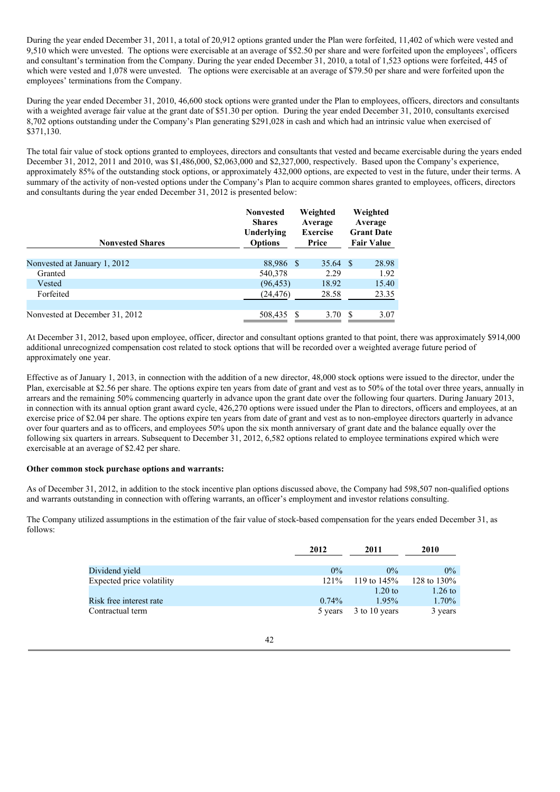During the year ended December 31, 2011, a total of 20,912 options granted under the Plan were forfeited, 11,402 of which were vested and 9,510 which were unvested. The options were exercisable at an average of \$52.50 per share and were forfeited upon the employees', officers and consultant's termination from the Company. During the year ended December 31, 2010, a total of 1,523 options were forfeited, 445 of which were vested and 1,078 were unvested. The options were exercisable at an average of \$79.50 per share and were forfeited upon the employees' terminations from the Company.

During the year ended December 31, 2010, 46,600 stock options were granted under the Plan to employees, officers, directors and consultants with a weighted average fair value at the grant date of \$51.30 per option. During the year ended December 31, 2010, consultants exercised 8,702 options outstanding under the Company's Plan generating \$291,028 in cash and which had an intrinsic value when exercised of \$371,130.

The total fair value of stock options granted to employees, directors and consultants that vested and became exercisable during the years ended December 31, 2012, 2011 and 2010, was \$1,486,000, \$2,063,000 and \$2,327,000, respectively. Based upon the Company's experience, approximately 85% of the outstanding stock options, or approximately 432,000 options, are expected to vest in the future, under their terms. A summary of the activity of non-vested options under the Company's Plan to acquire common shares granted to employees, officers, directors and consultants during the year ended December 31, 2012 is presented below:

| <b>Nonvested Shares</b>        | <b>Nonvested</b><br><b>Shares</b><br>Underlying<br><b>Options</b> | Weighted<br>Average<br><b>Exercise</b><br>Price | Weighted<br>Average<br><b>Grant Date</b><br><b>Fair Value</b> |
|--------------------------------|-------------------------------------------------------------------|-------------------------------------------------|---------------------------------------------------------------|
| Nonvested at January 1, 2012   | 88,986 \$                                                         | 35.64                                           | 28.98<br>- \$                                                 |
| Granted                        | 540,378                                                           | 2.29                                            | 1.92                                                          |
| Vested                         | (96, 453)                                                         | 18.92                                           | 15.40                                                         |
| Forfeited                      | (24, 476)                                                         | 28.58                                           | 23.35                                                         |
|                                |                                                                   |                                                 |                                                               |
| Nonvested at December 31, 2012 | 508,435                                                           | 3.70                                            | \$<br>3.07                                                    |

At December 31, 2012, based upon employee, officer, director and consultant options granted to that point, there was approximately \$914,000 additional unrecognized compensation cost related to stock options that will be recorded over a weighted average future period of approximately one year.

Effective as of January 1, 2013, in connection with the addition of a new director, 48,000 stock options were issued to the director, under the Plan, exercisable at \$2.56 per share. The options expire ten years from date of grant and vest as to 50% of the total over three years, annually in arrears and the remaining 50% commencing quarterly in advance upon the grant date over the following four quarters. During January 2013, in connection with its annual option grant award cycle, 426,270 options were issued under the Plan to directors, officers and employees, at an exercise price of \$2.04 per share. The options expire ten years from date of grant and vest as to non-employee directors quarterly in advance over four quarters and as to officers, and employees 50% upon the six month anniversary of grant date and the balance equally over the following six quarters in arrears. Subsequent to December 31, 2012, 6,582 options related to employee terminations expired which were exercisable at an average of \$2.42 per share.

## **Other common stock purchase options and warrants:**

As of December 31, 2012, in addition to the stock incentive plan options discussed above, the Company had 598,507 non-qualified options and warrants outstanding in connection with offering warrants, an officer's employment and investor relations consulting.

The Company utilized assumptions in the estimation of the fair value of stock-based compensation for the years ended December 31, as follows:

|                           | 2012<br>2011 |                    | 2010               |
|---------------------------|--------------|--------------------|--------------------|
| Dividend yield            | $0\%$        | $0\%$              | $0\%$              |
| Expected price volatility | 121%         | 119 to $145%$      | 128 to $130\%$     |
| Risk free interest rate   | $0.74\%$     | $1.20$ to<br>1.95% | $1.26$ to<br>1.70% |
| Contractual term          | 5 years      | 3 to 10 years      | 3 years            |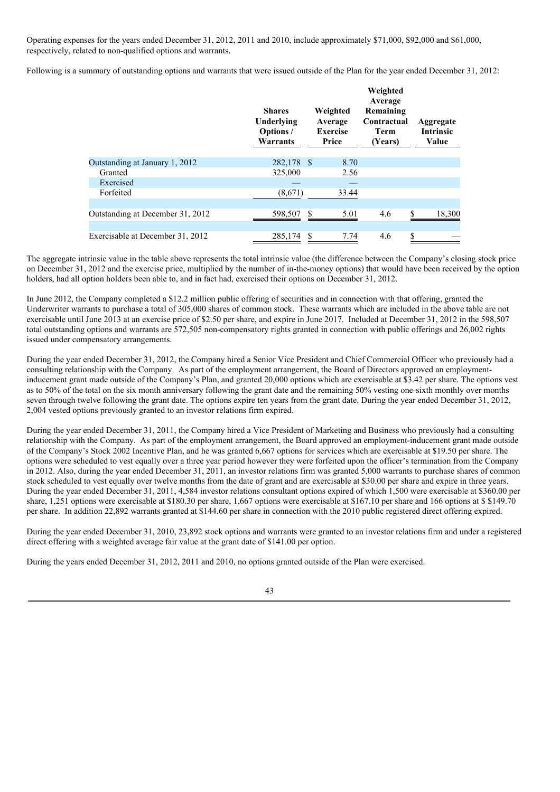Operating expenses for the years ended December 31, 2012, 2011 and 2010, include approximately \$71,000, \$92,000 and \$61,000, respectively, related to non-qualified options and warrants.

Following is a summary of outstanding options and warrants that were issued outside of the Plan for the year ended December 31, 2012:

|                                  | <b>Shares</b><br>Underlying<br>Options /<br>Warrants |     | Weighted<br>Average<br><b>Exercise</b><br>Price | Weighted<br>Average<br>Remaining<br>Contractual<br><b>Term</b><br>(Years) | Aggregate<br><b>Intrinsic</b><br>Value |
|----------------------------------|------------------------------------------------------|-----|-------------------------------------------------|---------------------------------------------------------------------------|----------------------------------------|
| Outstanding at January 1, 2012   | 282,178 \$                                           |     | 8.70                                            |                                                                           |                                        |
| Granted                          | 325,000                                              |     | 2.56                                            |                                                                           |                                        |
| Exercised                        |                                                      |     |                                                 |                                                                           |                                        |
| Forfeited                        | (8,671)                                              |     | 33.44                                           |                                                                           |                                        |
|                                  |                                                      |     |                                                 |                                                                           |                                        |
| Outstanding at December 31, 2012 | 598,507                                              | \$. | 5.01                                            | 4.6                                                                       | \$<br>18,300                           |
| Exercisable at December 31, 2012 | 285,174                                              | S   | 7.74                                            | 4.6                                                                       | \$                                     |

The aggregate intrinsic value in the table above represents the total intrinsic value (the difference between the Company's closing stock price on December 31, 2012 and the exercise price, multiplied by the number of in-the-money options) that would have been received by the option holders, had all option holders been able to, and in fact had, exercised their options on December 31, 2012.

In June 2012, the Company completed a \$12.2 million public offering of securities and in connection with that offering, granted the Underwriter warrants to purchase a total of 305,000 shares of common stock. These warrants which are included in the above table are not exercisable until June 2013 at an exercise price of \$2.50 per share, and expire in June 2017. Included at December 31, 2012 in the 598,507 total outstanding options and warrants are 572,505 non-compensatory rights granted in connection with public offerings and 26,002 rights issued under compensatory arrangements.

During the year ended December 31, 2012, the Company hired a Senior Vice President and Chief Commercial Officer who previously had a consulting relationship with the Company. As part of the employment arrangement, the Board of Directors approved an employmentinducement grant made outside of the Company's Plan, and granted 20,000 options which are exercisable at \$3.42 per share. The options vest as to 50% of the total on the six month anniversary following the grant date and the remaining 50% vesting one-sixth monthly over months seven through twelve following the grant date. The options expire ten years from the grant date. During the year ended December 31, 2012, 2,004 vested options previously granted to an investor relations firm expired.

During the year ended December 31, 2011, the Company hired a Vice President of Marketing and Business who previously had a consulting relationship with the Company. As part of the employment arrangement, the Board approved an employment-inducement grant made outside of the Company's Stock 2002 Incentive Plan, and he was granted 6,667 options for services which are exercisable at \$19.50 per share. The options were scheduled to vest equally over a three year period however they were forfeited upon the officer's termination from the Company in 2012. Also, during the year ended December 31, 2011, an investor relations firm was granted 5,000 warrants to purchase shares of common stock scheduled to vest equally over twelve months from the date of grant and are exercisable at \$30.00 per share and expire in three years. During the year ended December 31, 2011, 4,584 investor relations consultant options expired of which 1,500 were exercisable at \$360.00 per share, 1,251 options were exercisable at \$180.30 per share, 1,667 options were exercisable at \$167.10 per share and 166 options at \$ \$149.70 per share. In addition 22,892 warrants granted at \$144.60 per share in connection with the 2010 public registered direct offering expired.

During the year ended December 31, 2010, 23,892 stock options and warrants were granted to an investor relations firm and under a registered direct offering with a weighted average fair value at the grant date of \$141.00 per option.

During the years ended December 31, 2012, 2011 and 2010, no options granted outside of the Plan were exercised.

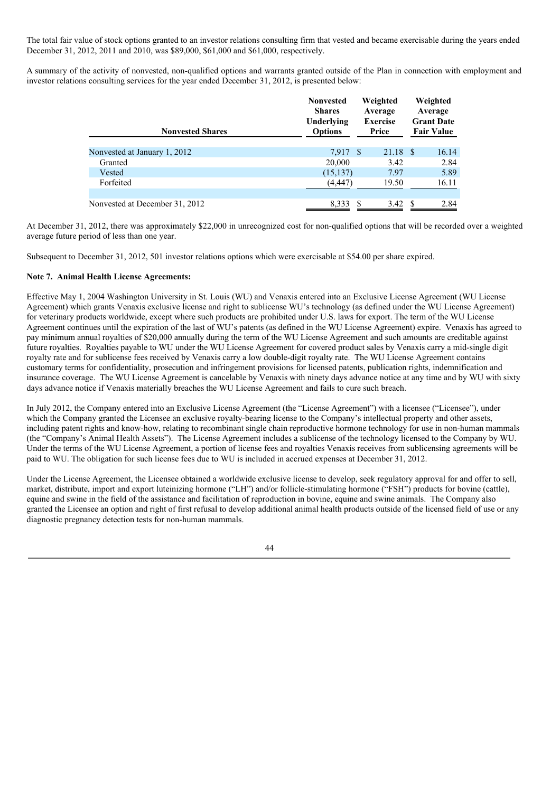The total fair value of stock options granted to an investor relations consulting firm that vested and became exercisable during the years ended December 31, 2012, 2011 and 2010, was \$89,000, \$61,000 and \$61,000, respectively.

A summary of the activity of nonvested, non-qualified options and warrants granted outside of the Plan in connection with employment and investor relations consulting services for the year ended December 31, 2012, is presented below:

| <b>Nonvested Shares</b>        | <b>Nonvested</b><br><b>Shares</b><br>Underlying<br><b>Options</b> | Weighted<br>Average<br><b>Exercise</b><br>Price | Weighted<br>Average<br><b>Grant Date</b><br><b>Fair Value</b> |
|--------------------------------|-------------------------------------------------------------------|-------------------------------------------------|---------------------------------------------------------------|
| Nonvested at January 1, 2012   | 7,917                                                             | 21.18<br>S                                      | 16.14<br>- \$                                                 |
| Granted                        | 20,000                                                            | 3.42                                            | 2.84                                                          |
| Vested                         | (15, 137)                                                         | 7.97                                            | 5.89                                                          |
| Forfeited                      | (4,447)                                                           | 19.50                                           | 16.11                                                         |
|                                |                                                                   |                                                 |                                                               |
| Nonvested at December 31, 2012 | 8,333                                                             | 3.42                                            | 2.84<br>-S                                                    |

At December 31, 2012, there was approximately \$22,000 in unrecognized cost for non-qualified options that will be recorded over a weighted average future period of less than one year.

Subsequent to December 31, 2012, 501 investor relations options which were exercisable at \$54.00 per share expired.

# **Note 7. Animal Health License Agreements:**

Effective May 1, 2004 Washington University in St. Louis (WU) and Venaxis entered into an Exclusive License Agreement (WU License Agreement) which grants Venaxis exclusive license and right to sublicense WU's technology (as defined under the WU License Agreement) for veterinary products worldwide, except where such products are prohibited under U.S. laws for export. The term of the WU License Agreement continues until the expiration of the last of WU's patents (as defined in the WU License Agreement) expire. Venaxis has agreed to pay minimum annual royalties of \$20,000 annually during the term of the WU License Agreement and such amounts are creditable against future royalties. Royalties payable to WU under the WU License Agreement for covered product sales by Venaxis carry a mid-single digit royalty rate and for sublicense fees received by Venaxis carry a low double-digit royalty rate. The WU License Agreement contains customary terms for confidentiality, prosecution and infringement provisions for licensed patents, publication rights, indemnification and insurance coverage. The WU License Agreement is cancelable by Venaxis with ninety days advance notice at any time and by WU with sixty days advance notice if Venaxis materially breaches the WU License Agreement and fails to cure such breach.

In July 2012, the Company entered into an Exclusive License Agreement (the "License Agreement") with a licensee ("Licensee"), under which the Company granted the Licensee an exclusive royalty-bearing license to the Company's intellectual property and other assets, including patent rights and know-how, relating to recombinant single chain reproductive hormone technology for use in non-human mammals (the "Company's Animal Health Assets"). The License Agreement includes a sublicense of the technology licensed to the Company by WU. Under the terms of the WU License Agreement, a portion of license fees and royalties Venaxis receives from sublicensing agreements will be paid to WU. The obligation for such license fees due to WU is included in accrued expenses at December 31, 2012.

Under the License Agreement, the Licensee obtained a worldwide exclusive license to develop, seek regulatory approval for and offer to sell, market, distribute, import and export luteinizing hormone ("LH") and/or follicle-stimulating hormone ("FSH") products for bovine (cattle), equine and swine in the field of the assistance and facilitation of reproduction in bovine, equine and swine animals. The Company also granted the Licensee an option and right of first refusal to develop additional animal health products outside of the licensed field of use or any diagnostic pregnancy detection tests for non-human mammals.

44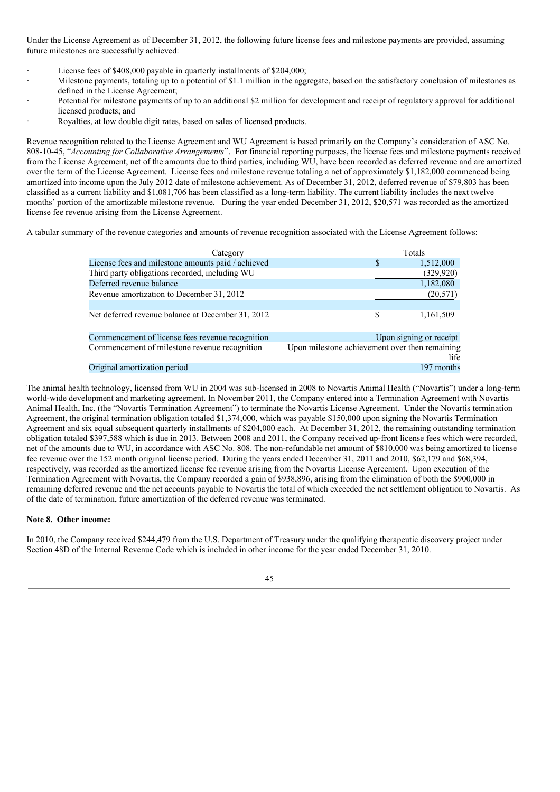Under the License Agreement as of December 31, 2012, the following future license fees and milestone payments are provided, assuming future milestones are successfully achieved:

- License fees of \$408,000 payable in quarterly installments of \$204,000;
- Milestone payments, totaling up to a potential of \$1.1 million in the aggregate, based on the satisfactory conclusion of milestones as defined in the License Agreement;
- · Potential for milestone payments of up to an additional \$2 million for development and receipt of regulatory approval for additional licensed products; and
- Royalties, at low double digit rates, based on sales of licensed products.

Revenue recognition related to the License Agreement and WU Agreement is based primarily on the Company's consideration of ASC No. 808-10-45, "*Accounting for Collaborative Arrangements*". For financial reporting purposes, the license fees and milestone payments received from the License Agreement, net of the amounts due to third parties, including WU, have been recorded as deferred revenue and are amortized over the term of the License Agreement. License fees and milestone revenue totaling a net of approximately \$1,182,000 commenced being amortized into income upon the July 2012 date of milestone achievement. As of December 31, 2012, deferred revenue of \$79,803 has been classified as a current liability and \$1,081,706 has been classified as a long-term liability. The current liability includes the next twelve months' portion of the amortizable milestone revenue. During the year ended December 31, 2012, \$20,571 was recorded as the amortized license fee revenue arising from the License Agreement.

A tabular summary of the revenue categories and amounts of revenue recognition associated with the License Agreement follows:

| Category                                           | Totals                                         |   |                         |
|----------------------------------------------------|------------------------------------------------|---|-------------------------|
| License fees and milestone amounts paid / achieved |                                                | S | 1,512,000               |
| Third party obligations recorded, including WU     |                                                |   | (329, 920)              |
| Deferred revenue balance                           |                                                |   | 1,182,080               |
| Revenue amortization to December 31, 2012          |                                                |   | (20, 571)               |
|                                                    |                                                |   |                         |
| Net deferred revenue balance at December 31, 2012  |                                                | ፍ | 1,161,509               |
|                                                    |                                                |   |                         |
| Commencement of license fees revenue recognition   |                                                |   | Upon signing or receipt |
| Commencement of milestone revenue recognition      | Upon milestone achievement over then remaining |   |                         |
|                                                    |                                                |   | life.                   |
| Original amortization period                       |                                                |   | 197 months              |

The animal health technology, licensed from WU in 2004 was sub-licensed in 2008 to Novartis Animal Health ("Novartis") under a long-term world-wide development and marketing agreement. In November 2011, the Company entered into a Termination Agreement with Novartis Animal Health, Inc. (the "Novartis Termination Agreement") to terminate the Novartis License Agreement. Under the Novartis termination Agreement, the original termination obligation totaled \$1,374,000, which was payable \$150,000 upon signing the Novartis Termination Agreement and six equal subsequent quarterly installments of \$204,000 each. At December 31, 2012, the remaining outstanding termination obligation totaled \$397,588 which is due in 2013. Between 2008 and 2011, the Company received up-front license fees which were recorded, net of the amounts due to WU, in accordance with ASC No. 808. The non-refundable net amount of \$810,000 was being amortized to license fee revenue over the 152 month original license period. During the years ended December 31, 2011 and 2010, \$62,179 and \$68,394, respectively, was recorded as the amortized license fee revenue arising from the Novartis License Agreement. Upon execution of the Termination Agreement with Novartis, the Company recorded a gain of \$938,896, arising from the elimination of both the \$900,000 in remaining deferred revenue and the net accounts payable to Novartis the total of which exceeded the net settlement obligation to Novartis. As of the date of termination, future amortization of the deferred revenue was terminated.

## **Note 8. Other income:**

In 2010, the Company received \$244,479 from the U.S. Department of Treasury under the qualifying therapeutic discovery project under Section 48D of the Internal Revenue Code which is included in other income for the year ended December 31, 2010.

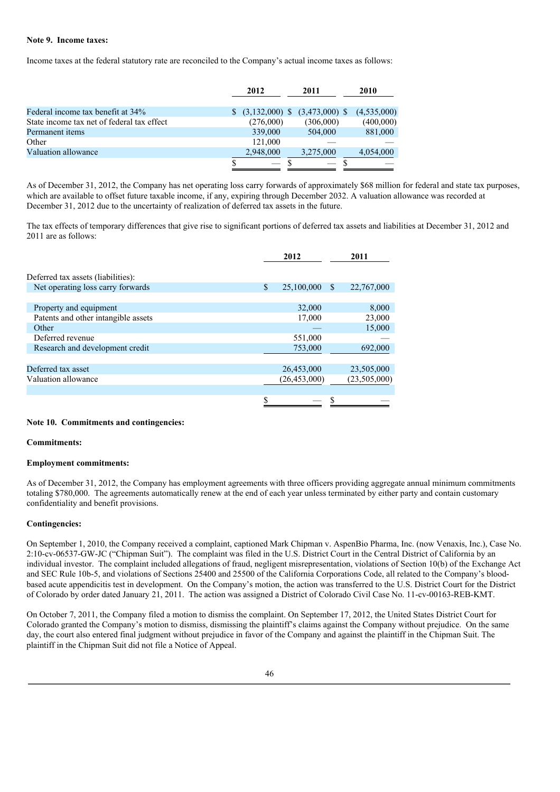## **Note 9. Income taxes:**

Income taxes at the federal statutory rate are reconciled to the Company's actual income taxes as follows:

|                                            | 2012             | 2011             | 2010        |
|--------------------------------------------|------------------|------------------|-------------|
| Federal income tax benefit at 34%          | $(3,132,000)$ \$ | $(3,473,000)$ \$ | (4,535,000) |
| State income tax net of federal tax effect | (276,000)        | (306,000)        | (400,000)   |
| Permanent items                            | 339,000          | 504,000          | 881,000     |
| Other                                      | 121,000          |                  |             |
| Valuation allowance                        | 2,948,000        | 3,275,000        | 4,054,000   |
|                                            |                  |                  |             |

As of December 31, 2012, the Company has net operating loss carry forwards of approximately \$68 million for federal and state tax purposes, which are available to offset future taxable income, if any, expiring through December 2032. A valuation allowance was recorded at December 31, 2012 due to the uncertainty of realization of deferred tax assets in the future.

The tax effects of temporary differences that give rise to significant portions of deferred tax assets and liabilities at December 31, 2012 and 2011 are as follows:

|                                     | 2012             |               | 2011         |
|-------------------------------------|------------------|---------------|--------------|
| Deferred tax assets (liabilities):  |                  |               |              |
| Net operating loss carry forwards   | \$<br>25,100,000 | <sup>\$</sup> | 22,767,000   |
|                                     |                  |               |              |
| Property and equipment              | 32,000           |               | 8,000        |
| Patents and other intangible assets | 17,000           |               | 23,000       |
| Other                               |                  |               | 15,000       |
| Deferred revenue                    | 551,000          |               |              |
| Research and development credit     | 753,000          |               | 692,000      |
|                                     |                  |               |              |
| Deferred tax asset                  | 26,453,000       |               | 23,505,000   |
| Valuation allowance                 | (26, 453, 000)   |               | (23,505,000) |
|                                     |                  |               |              |
|                                     | \$               |               |              |
|                                     |                  |               |              |

### **Note 10. Commitments and contingencies:**

#### **Commitments:**

## **Employment commitments:**

As of December 31, 2012, the Company has employment agreements with three officers providing aggregate annual minimum commitments totaling \$780,000. The agreements automatically renew at the end of each year unless terminated by either party and contain customary confidentiality and benefit provisions.

## **Contingencies:**

On September 1, 2010, the Company received a complaint, captioned Mark Chipman v. AspenBio Pharma, Inc. (now Venaxis, Inc.), Case No. 2:10-cv-06537-GW-JC ("Chipman Suit"). The complaint was filed in the U.S. District Court in the Central District of California by an individual investor. The complaint included allegations of fraud, negligent misrepresentation, violations of Section 10(b) of the Exchange Act and SEC Rule 10b-5, and violations of Sections 25400 and 25500 of the California Corporations Code, all related to the Company's bloodbased acute appendicitis test in development. On the Company's motion, the action was transferred to the U.S. District Court for the District of Colorado by order dated January 21, 2011. The action was assigned a District of Colorado Civil Case No. 11-cv-00163-REB-KMT.

On October 7, 2011, the Company filed a motion to dismiss the complaint. On September 17, 2012, the United States District Court for Colorado granted the Company's motion to dismiss, dismissing the plaintiff's claims against the Company without prejudice. On the same day, the court also entered final judgment without prejudice in favor of the Company and against the plaintiff in the Chipman Suit. The plaintiff in the Chipman Suit did not file a Notice of Appeal.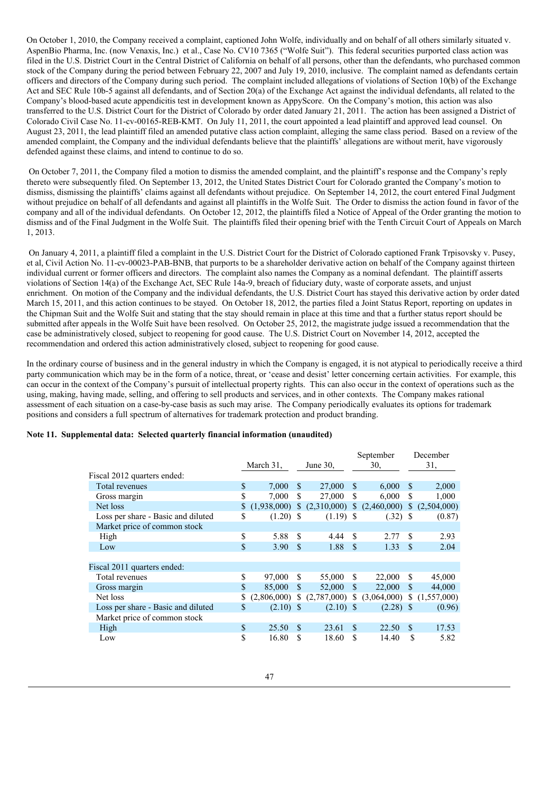On October 1, 2010, the Company received a complaint, captioned John Wolfe, individually and on behalf of all others similarly situated v. AspenBio Pharma, Inc. (now Venaxis, Inc.) et al., Case No. CV10 7365 ("Wolfe Suit"). This federal securities purported class action was filed in the U.S. District Court in the Central District of California on behalf of all persons, other than the defendants, who purchased common stock of the Company during the period between February 22, 2007 and July 19, 2010, inclusive. The complaint named as defendants certain officers and directors of the Company during such period. The complaint included allegations of violations of Section 10(b) of the Exchange Act and SEC Rule 10b-5 against all defendants, and of Section 20(a) of the Exchange Act against the individual defendants, all related to the Company's blood-based acute appendicitis test in development known as AppyScore. On the Company's motion, this action was also transferred to the U.S. District Court for the District of Colorado by order dated January 21, 2011. The action has been assigned a District of Colorado Civil Case No. 11-cv-00165-REB-KMT. On July 11, 2011, the court appointed a lead plaintiff and approved lead counsel. On August 23, 2011, the lead plaintiff filed an amended putative class action complaint, alleging the same class period. Based on a review of the amended complaint, the Company and the individual defendants believe that the plaintiffs' allegations are without merit, have vigorously defended against these claims, and intend to continue to do so.

On October 7, 2011, the Company filed a motion to dismiss the amended complaint, and the plaintiff's response and the Company's reply thereto were subsequently filed. On September 13, 2012, the United States District Court for Colorado granted the Company's motion to dismiss, dismissing the plaintiffs' claims against all defendants without prejudice. On September 14, 2012, the court entered Final Judgment without prejudice on behalf of all defendants and against all plaintiffs in the Wolfe Suit. The Order to dismiss the action found in favor of the company and all of the individual defendants. On October 12, 2012, the plaintiffs filed a Notice of Appeal of the Order granting the motion to dismiss and of the Final Judgment in the Wolfe Suit. The plaintiffs filed their opening brief with the Tenth Circuit Court of Appeals on March 1, 2013.

On January 4, 2011, a plaintiff filed a complaint in the U.S. District Court for the District of Colorado captioned Frank Trpisovsky v. Pusey, et al, Civil Action No. 11-cv-00023-PAB-BNB, that purports to be a shareholder derivative action on behalf of the Company against thirteen individual current or former officers and directors. The complaint also names the Company as a nominal defendant. The plaintiff asserts violations of Section 14(a) of the Exchange Act, SEC Rule 14a-9, breach of fiduciary duty, waste of corporate assets, and unjust enrichment. On motion of the Company and the individual defendants, the U.S. District Court has stayed this derivative action by order dated March 15, 2011, and this action continues to be stayed. On October 18, 2012, the parties filed a Joint Status Report, reporting on updates in the Chipman Suit and the Wolfe Suit and stating that the stay should remain in place at this time and that a further status report should be submitted after appeals in the Wolfe Suit have been resolved. On October 25, 2012, the magistrate judge issued a recommendation that the case be administratively closed, subject to reopening for good cause. The U.S. District Court on November 14, 2012, accepted the recommendation and ordered this action administratively closed, subject to reopening for good cause.

In the ordinary course of business and in the general industry in which the Company is engaged, it is not atypical to periodically receive a third party communication which may be in the form of a notice, threat, or 'cease and desist' letter concerning certain activities. For example, this can occur in the context of the Company's pursuit of intellectual property rights. This can also occur in the context of operations such as the using, making, having made, selling, and offering to sell products and services, and in other contexts. The Company makes rational assessment of each situation on a case-by-case basis as such may arise. The Company periodically evaluates its options for trademark positions and considers a full spectrum of alternatives for trademark protection and product branding.

|                                    |               |             |               |             |               | September   |               | December    |
|------------------------------------|---------------|-------------|---------------|-------------|---------------|-------------|---------------|-------------|
|                                    |               | March 31,   |               | June $30$ , |               | 30.         |               | 31,         |
| Fiscal 2012 quarters ended:        |               |             |               |             |               |             |               |             |
| Total revenues                     | \$            | 7,000       | <sup>\$</sup> | 27,000      | S             | 6,000       | <sup>\$</sup> | 2,000       |
| Gross margin                       | \$            | 7.000       | S             | 27,000      | S             | 6.000       | \$            | 1,000       |
| Net loss                           | S             | (1,938,000) | <sup>\$</sup> | (2,310,000) | <sup>\$</sup> | (2,460,000) | $\mathbb{S}$  | (2,504,000) |
| Loss per share - Basic and diluted | \$            | $(1.20)$ \$ |               | $(1.19)$ \$ |               | $(.32)$ \$  |               | (0.87)      |
| Market price of common stock       |               |             |               |             |               |             |               |             |
| High                               | \$            | 5.88        | -S            | 4.44        | <b>S</b>      | 2.77        | \$            | 2.93        |
| Low                                | \$            | 3.90        | <sup>\$</sup> | 1.88        | <sup>\$</sup> | 1.33        | -S            | 2.04        |
|                                    |               |             |               |             |               |             |               |             |
| Fiscal 2011 quarters ended:        |               |             |               |             |               |             |               |             |
| Total revenues                     | \$            | 97,000      | \$.           | 55,000      | \$            | 22,000      | \$            | 45,000      |
| Gross margin                       | \$            | 85,000      | $\mathbb{S}$  | 52,000      | \$            | 22,000      | \$            | 44,000      |
| Net loss                           | \$            | (2,806,000) | S             | (2,787,000) | \$            | (3,064,000) | S.            | (1,557,000) |
| Loss per share - Basic and diluted | $\mathcal{S}$ | (2.10)      | -S            | (2.10)      | - \$          | $(2.28)$ \$ |               | (0.96)      |
| Market price of common stock       |               |             |               |             |               |             |               |             |
| High                               | \$            | 25.50       | S             | 23.61       | S             | 22.50       | \$.           | 17.53       |
| Low                                | \$            | 16.80       | S             | 18.60       | S             | 14.40       | S             | 5.82        |

## **Note 11. Supplemental data: Selected quarterly financial information (unaudited)**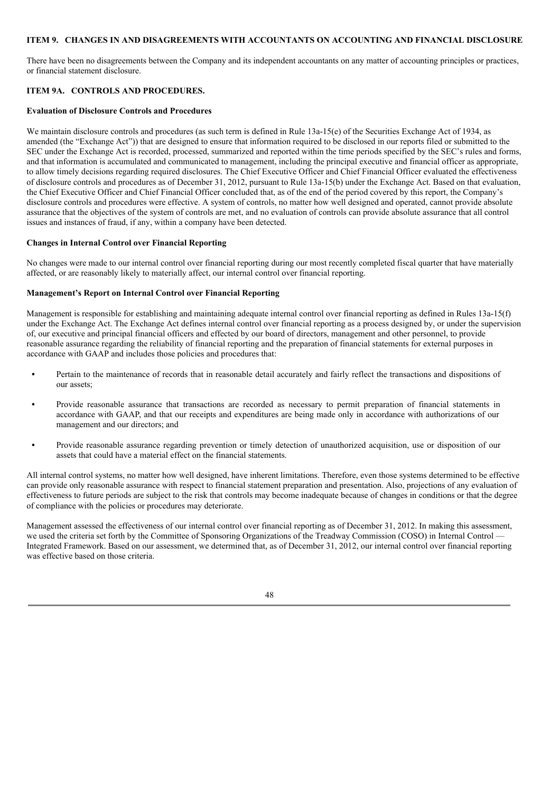## **ITEM 9. CHANGES IN AND DISAGREEMENTS WITH ACCOUNTANTS ON ACCOUNTING AND FINANCIAL DISCLOSURE**

There have been no disagreements between the Company and its independent accountants on any matter of accounting principles or practices, or financial statement disclosure.

# **ITEM 9A. CONTROLS AND PROCEDURES.**

## **Evaluation of Disclosure Controls and Procedures**

We maintain disclosure controls and procedures (as such term is defined in Rule 13a-15(e) of the Securities Exchange Act of 1934, as amended (the "Exchange Act")) that are designed to ensure that information required to be disclosed in our reports filed or submitted to the SEC under the Exchange Act is recorded, processed, summarized and reported within the time periods specified by the SEC's rules and forms, and that information is accumulated and communicated to management, including the principal executive and financial officer as appropriate, to allow timely decisions regarding required disclosures. The Chief Executive Officer and Chief Financial Officer evaluated the effectiveness of disclosure controls and procedures as of December 31, 2012, pursuant to Rule 13a-15(b) under the Exchange Act. Based on that evaluation, the Chief Executive Officer and Chief Financial Officer concluded that, as of the end of the period covered by this report, the Company's disclosure controls and procedures were effective. A system of controls, no matter how well designed and operated, cannot provide absolute assurance that the objectives of the system of controls are met, and no evaluation of controls can provide absolute assurance that all control issues and instances of fraud, if any, within a company have been detected.

## **Changes in Internal Control over Financial Reporting**

No changes were made to our internal control over financial reporting during our most recently completed fiscal quarter that have materially affected, or are reasonably likely to materially affect, our internal control over financial reporting.

## **Management's Report on Internal Control over Financial Reporting**

Management is responsible for establishing and maintaining adequate internal control over financial reporting as defined in Rules 13a-15(f) under the Exchange Act. The Exchange Act defines internal control over financial reporting as a process designed by, or under the supervision of, our executive and principal financial officers and effected by our board of directors, management and other personnel, to provide reasonable assurance regarding the reliability of financial reporting and the preparation of financial statements for external purposes in accordance with GAAP and includes those policies and procedures that:

- **•** Pertain to the maintenance of records that in reasonable detail accurately and fairly reflect the transactions and dispositions of our assets;
- **•** Provide reasonable assurance that transactions are recorded as necessary to permit preparation of financial statements in accordance with GAAP, and that our receipts and expenditures are being made only in accordance with authorizations of our management and our directors; and
- **•** Provide reasonable assurance regarding prevention or timely detection of unauthorized acquisition, use or disposition of our assets that could have a material effect on the financial statements.

All internal control systems, no matter how well designed, have inherent limitations. Therefore, even those systems determined to be effective can provide only reasonable assurance with respect to financial statement preparation and presentation. Also, projections of any evaluation of effectiveness to future periods are subject to the risk that controls may become inadequate because of changes in conditions or that the degree of compliance with the policies or procedures may deteriorate.

Management assessed the effectiveness of our internal control over financial reporting as of December 31, 2012. In making this assessment, we used the criteria set forth by the Committee of Sponsoring Organizations of the Treadway Commission (COSO) in Internal Control Integrated Framework. Based on our assessment, we determined that, as of December 31, 2012, our internal control over financial reporting was effective based on those criteria.

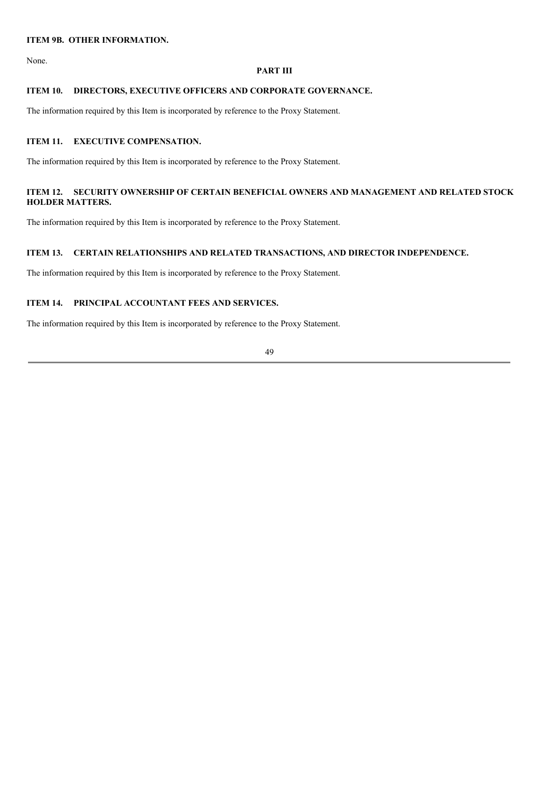# **ITEM 9B. OTHER INFORMATION.**

None.

## **PART III**

# **ITEM 10. DIRECTORS, EXECUTIVE OFFICERS AND CORPORATE GOVERNANCE.**

The information required by this Item is incorporated by reference to the Proxy Statement.

# **ITEM 11. EXECUTIVE COMPENSATION.**

The information required by this Item is incorporated by reference to the Proxy Statement.

# **ITEM 12. SECURITY OWNERSHIP OF CERTAIN BENEFICIAL OWNERS AND MANAGEMENT AND RELATED STOCK HOLDER MATTERS.**

The information required by this Item is incorporated by reference to the Proxy Statement.

# **ITEM 13. CERTAIN RELATIONSHIPS AND RELATED TRANSACTIONS, AND DIRECTOR INDEPENDENCE.**

The information required by this Item is incorporated by reference to the Proxy Statement.

# **ITEM 14. PRINCIPAL ACCOUNTANT FEES AND SERVICES.**

The information required by this Item is incorporated by reference to the Proxy Statement.

49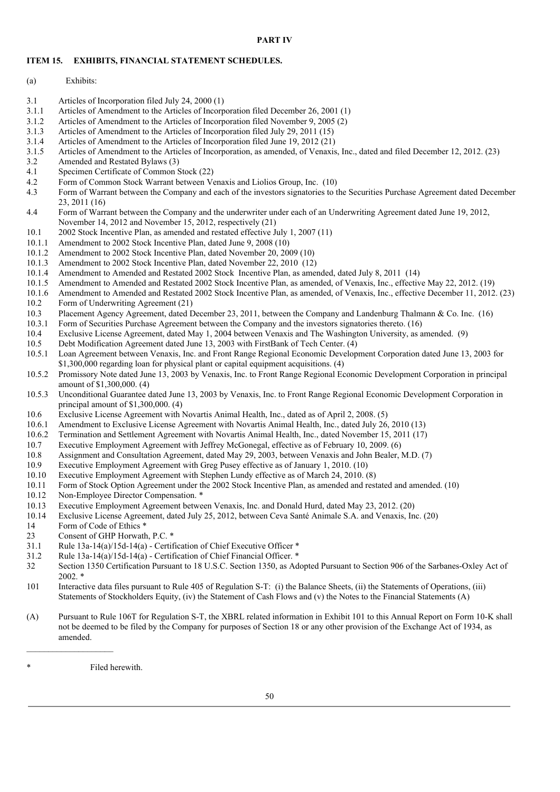### **PART IV**

### **ITEM 15. EXHIBITS, FINANCIAL STATEMENT SCHEDULES.**

- (a) Exhibits:
- 3.1 Articles of Incorporation filed July 24, 2000 (1)
- 3.1.1 Articles of Amendment to the Articles of Incorporation filed December 26, 2001 (1)
- 3.1.2 Articles of Amendment to the Articles of Incorporation filed November 9, 2005 (2)
- 3.1.3 Articles of Amendment to the Articles of Incorporation filed July 29, 2011 (15)
- 3.1.4 Articles of Amendment to the Articles of Incorporation filed June 19, 2012 (21)<br>3.1.5 Articles of Amendment to the Articles of Incorporation, as amended, of Venaxis
- 3.1.5 Articles of Amendment to the Articles of Incorporation, as amended, of Venaxis, Inc., dated and filed December 12, 2012. (23)
- 3.2 Amended and Restated Bylaws (3)
- 4.1 Specimen Certificate of Common Stock (22)
- 4.2 Form of Common Stock Warrant between Venaxis and Liolios Group, Inc. (10)
- 4.3 Form of Warrant between the Company and each of the investors signatories to the Securities Purchase Agreement dated December 23, 2011 (16)
- 4.4 Form of Warrant between the Company and the underwriter under each of an Underwriting Agreement dated June 19, 2012, November 14, 2012 and November 15, 2012, respectively (21)
- 10.1 2002 Stock Incentive Plan, as amended and restated effective July 1, 2007 (11)
- 10.1.1 Amendment to 2002 Stock Incentive Plan, dated June 9, 2008 (10)
- 10.1.2 Amendment to 2002 Stock Incentive Plan, dated November 20, 2009 (10)
- 10.1.3 Amendment to 2002 Stock Incentive Plan, dated November 22, 2010 (12) 10.1.4 Amendment to Amended and Restated 2002 Stock Incentive Plan, as ame
- 10.1.4 Amendment to Amended and Restated 2002 Stock Incentive Plan, as amended, dated July 8, 2011 (14)
- 10.1.5 Amendment to Amended and Restated 2002 Stock Incentive Plan, as amended, of Venaxis, Inc., effective May 22, 2012. (19)
- 10.1.6 Amendment to Amended and Restated 2002 Stock Incentive Plan, as amended, of Venaxis, Inc., effective December 11, 2012. (23) 10.2 Form of Underwriting Agreement (21)
- 10.3 Placement Agency Agreement, dated December 23, 2011, between the Company and Landenburg Thalmann & Co. Inc. (16)
- 10.3.1 Form of Securities Purchase Agreement between the Company and the investors signatories thereto. (16)
- 10.4 Exclusive License Agreement, dated May 1, 2004 between Venaxis and The Washington University, as amended. (9)
- 10.5 Debt Modification Agreement dated June 13, 2003 with FirstBank of Tech Center. (4)
- 10.5.1 Loan Agreement between Venaxis, Inc. and Front Range Regional Economic Development Corporation dated June 13, 2003 for \$1,300,000 regarding loan for physical plant or capital equipment acquisitions. (4)
- 10.5.2 Promissory Note dated June 13, 2003 by Venaxis, Inc. to Front Range Regional Economic Development Corporation in principal amount of \$1,300,000. (4)
- 10.5.3 Unconditional Guarantee dated June 13, 2003 by Venaxis, Inc. to Front Range Regional Economic Development Corporation in principal amount of \$1,300,000. (4)
- 10.6 Exclusive License Agreement with Novartis Animal Health, Inc., dated as of April 2, 2008. (5)
- 10.6.1 Amendment to Exclusive License Agreement with Novartis Animal Health, Inc., dated July 26, 2010 (13)
- 10.6.2 Termination and Settlement Agreement with Novartis Animal Health, Inc., dated November 15, 2011 (17)
- 10.7 Executive Employment Agreement with Jeffrey McGonegal, effective as of February 10, 2009. (6)
- 10.8 Assignment and Consultation Agreement, dated May 29, 2003, between Venaxis and John Bealer, M.D. (7)
- 10.9 Executive Employment Agreement with Greg Pusey effective as of January 1, 2010. (10)
- 10.10 Executive Employment Agreement with Stephen Lundy effective as of March 24, 2010. (8)
- 10.11 Form of Stock Option Agreement under the 2002 Stock Incentive Plan, as amended and restated and amended. (10)
- 10.12 Non-Employee Director Compensation. \*
- 10.13 Executive Employment Agreement between Venaxis, Inc. and Donald Hurd, dated May 23, 2012. (20)
- 10.14 Exclusive License Agreement, dated July 25, 2012, between Ceva Santé Animale S.A. and Venaxis, Inc. (20)
- 14 Form of Code of Ethics \*
- 23 Consent of GHP Horwath, P.C. \*
- 31.1 Rule 13a-14(a)/15d-14(a) Certification of Chief Executive Officer \*
- 31.2 Rule 13a-14(a)/15d-14(a) Certification of Chief Financial Officer. \*
- 32 Section 1350 Certification Pursuant to 18 U.S.C. Section 1350, as Adopted Pursuant to Section 906 of the Sarbanes-Oxley Act of 2002. \*
- 101 Interactive data files pursuant to Rule 405 of Regulation S-T: (i) the Balance Sheets, (ii) the Statements of Operations, (iii) Statements of Stockholders Equity, (iv) the Statement of Cash Flows and (v) the Notes to the Financial Statements (A)
- (A) Pursuant to Rule 106T for Regulation S-T, the XBRL related information in Exhibit 101 to this Annual Report on Form 10-K shall not be deemed to be filed by the Company for purposes of Section 18 or any other provision of the Exchange Act of 1934, as amended.
	- Filed herewith.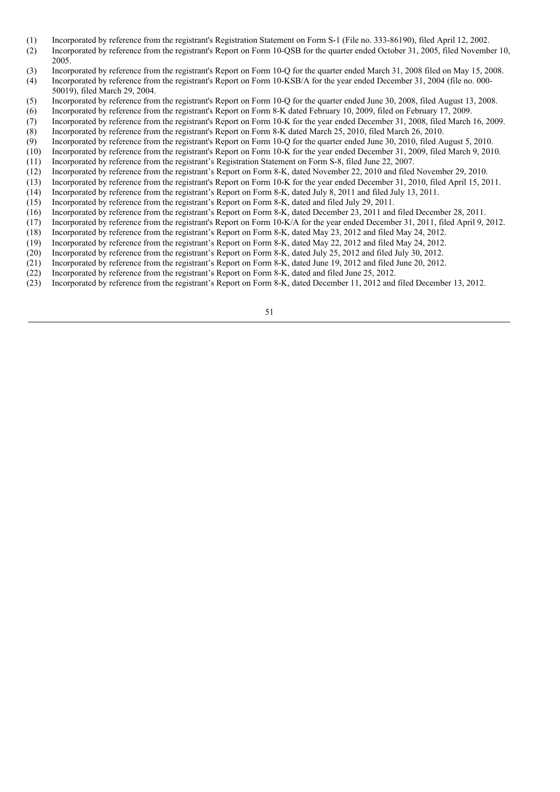- (1) Incorporated by reference from the registrant's Registration Statement on Form S-1 (File no. 333-86190), filed April 12, 2002.
- (2) Incorporated by reference from the registrant's Report on Form 10-QSB for the quarter ended October 31, 2005, filed November 10, 2005.
- (3) Incorporated by reference from the registrant's Report on Form 10-Q for the quarter ended March 31, 2008 filed on May 15, 2008.
- (4) Incorporated by reference from the registrant's Report on Form 10-KSB/A for the year ended December 31, 2004 (file no. 000- 50019), filed March 29, 2004.
- (5) Incorporated by reference from the registrant's Report on Form 10-Q for the quarter ended June 30, 2008, filed August 13, 2008.
- (6) Incorporated by reference from the registrant's Report on Form 8-K dated February 10, 2009, filed on February 17, 2009.
- (7) Incorporated by reference from the registrant's Report on Form 10-K for the year ended December 31, 2008, filed March 16, 2009.
- (8) Incorporated by reference from the registrant's Report on Form 8-K dated March 25, 2010, filed March 26, 2010.
- (9) Incorporated by reference from the registrant's Report on Form 10-Q for the quarter ended June 30, 2010, filed August 5, 2010.
- (10) Incorporated by reference from the registrant's Report on Form 10-K for the year ended December 31, 2009, filed March 9, 2010.
- (11) Incorporated by reference from the registrant's Registration Statement on Form S-8, filed June 22, 2007.
- (12) Incorporated by reference from the registrant's Report on Form 8-K, dated November 22, 2010 and filed November 29, 2010.
- (13) Incorporated by reference from the registrant's Report on Form 10-K for the year ended December 31, 2010, filed April 15, 2011.
- (14) Incorporated by reference from the registrant's Report on Form 8-K, dated July 8, 2011 and filed July 13, 2011.
- (15) Incorporated by reference from the registrant's Report on Form 8-K, dated and filed July 29, 2011.
- (16) Incorporated by reference from the registrant's Report on Form 8-K, dated December 23, 2011 and filed December 28, 2011.<br>(17) Incorporated by reference from the registrant's Report on Form 10-K/A for the year ended De
- (17) Incorporated by reference from the registrant's Report on Form 10-K/A for the year ended December 31, 2011, filed April 9, 2012.
- (18) Incorporated by reference from the registrant's Report on Form 8-K, dated May 23, 2012 and filed May 24, 2012.
- (19) Incorporated by reference from the registrant's Report on Form 8-K, dated May 22, 2012 and filed May 24, 2012.
- (20) Incorporated by reference from the registrant's Report on Form 8-K, dated July 25, 2012 and filed July 30, 2012.
- (21) Incorporated by reference from the registrant's Report on Form 8-K, dated June 19, 2012 and filed June 20, 2012.
- (22) Incorporated by reference from the registrant's Report on Form 8-K, dated and filed June 25, 2012.
- (23) Incorporated by reference from the registrant's Report on Form 8-K, dated December 11, 2012 and filed December 13, 2012.

51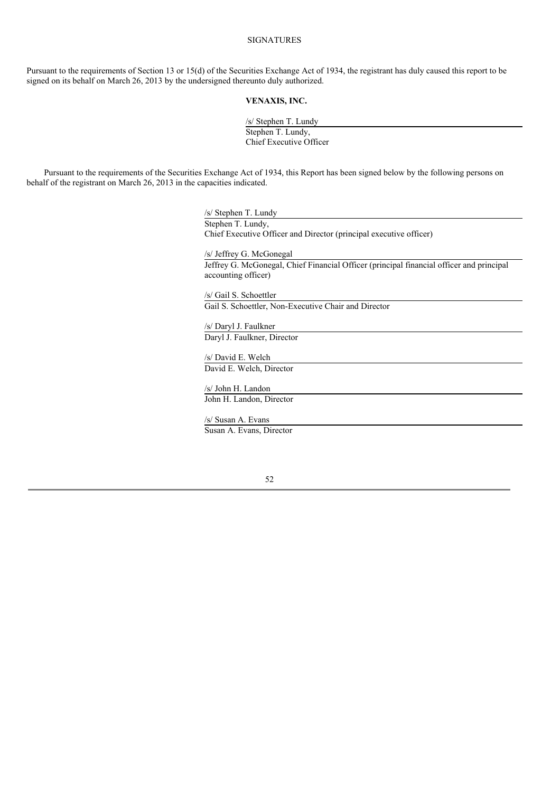## SIGNATURES

Pursuant to the requirements of Section 13 or 15(d) of the Securities Exchange Act of 1934, the registrant has duly caused this report to be signed on its behalf on March 26, 2013 by the undersigned thereunto duly authorized.

## **VENAXIS, INC.**

/s/ Stephen T. Lundy Stephen T. Lundy, Chief Executive Officer

Pursuant to the requirements of the Securities Exchange Act of 1934, this Report has been signed below by the following persons on behalf of the registrant on March 26, 2013 in the capacities indicated.

> /s/ Stephen T. Lundy Stephen T. Lundy, Chief Executive Officer and Director (principal executive officer) /s/ Jeffrey G. McGonegal Jeffrey G. McGonegal, Chief Financial Officer (principal financial officer and principal accounting officer) /s/ Gail S. Schoettler Gail S. Schoettler, Non-Executive Chair and Director /s/ Daryl J. Faulkner Daryl J. Faulkner, Director /s/ David E. Welch David E. Welch, Director /s/ John H. Landon John H. Landon, Director /s/ Susan A. Evans

Susan A. Evans, Director

52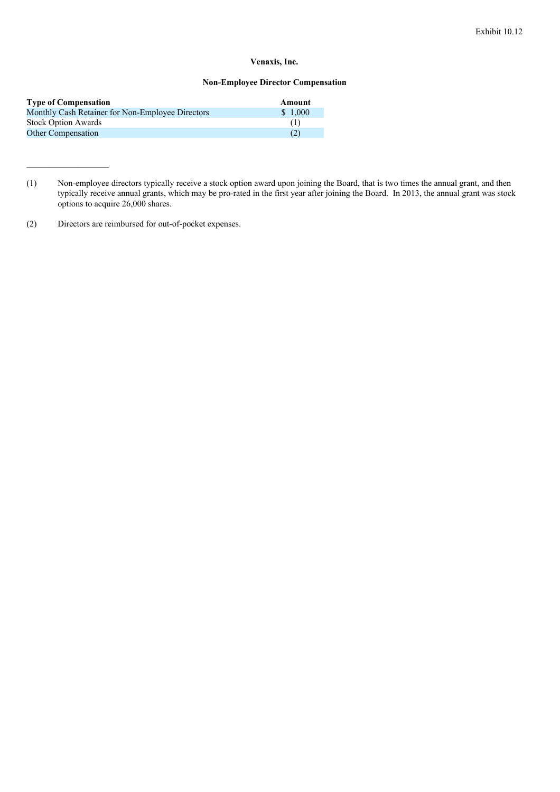# **Venaxis, Inc.**

# **Non-Employee Director Compensation**

| <b>Type of Compensation</b>                      | Amount  |
|--------------------------------------------------|---------|
| Monthly Cash Retainer for Non-Employee Directors | \$1.000 |
| <b>Stock Option Awards</b>                       | (1)     |
| <b>Other Compensation</b>                        | (2)     |

<sup>(1)</sup> Non-employee directors typically receive a stock option award upon joining the Board, that is two times the annual grant, and then typically receive annual grants, which may be pro-rated in the first year after joining the Board. In 2013, the annual grant was stock options to acquire 26,000 shares.

 $\mathcal{L}_\text{max}$ 

<sup>(2)</sup> Directors are reimbursed for out-of-pocket expenses.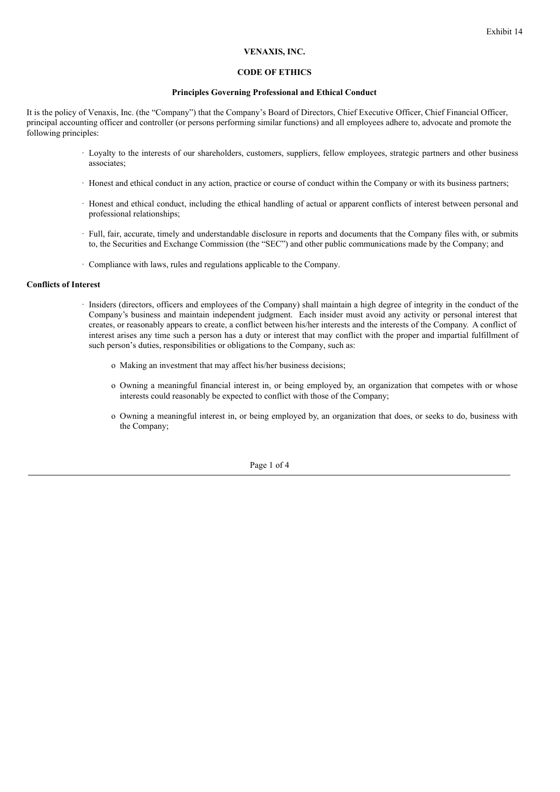### **VENAXIS, INC.**

## **CODE OF ETHICS**

### **Principles Governing Professional and Ethical Conduct**

It is the policy of Venaxis, Inc. (the "Company") that the Company's Board of Directors, Chief Executive Officer, Chief Financial Officer, principal accounting officer and controller (or persons performing similar functions) and all employees adhere to, advocate and promote the following principles:

- · Loyalty to the interests of our shareholders, customers, suppliers, fellow employees, strategic partners and other business associates;
- · Honest and ethical conduct in any action, practice or course of conduct within the Company or with its business partners;
- · Honest and ethical conduct, including the ethical handling of actual or apparent conflicts of interest between personal and professional relationships;
- · Full, fair, accurate, timely and understandable disclosure in reports and documents that the Company files with, or submits to, the Securities and Exchange Commission (the "SEC") and other public communications made by the Company; and
- · Compliance with laws, rules and regulations applicable to the Company.

### **Conflicts of Interest**

- · Insiders (directors, officers and employees of the Company) shall maintain a high degree of integrity in the conduct of the Company's business and maintain independent judgment. Each insider must avoid any activity or personal interest that creates, or reasonably appears to create, a conflict between his/her interests and the interests of the Company. A conflict of interest arises any time such a person has a duty or interest that may conflict with the proper and impartial fulfillment of such person's duties, responsibilities or obligations to the Company, such as:
	- ο Making an investment that may affect his/her business decisions;
	- ο Owning a meaningful financial interest in, or being employed by, an organization that competes with or whose interests could reasonably be expected to conflict with those of the Company;
	- ο Owning a meaningful interest in, or being employed by, an organization that does, or seeks to do, business with the Company;

Page 1 of 4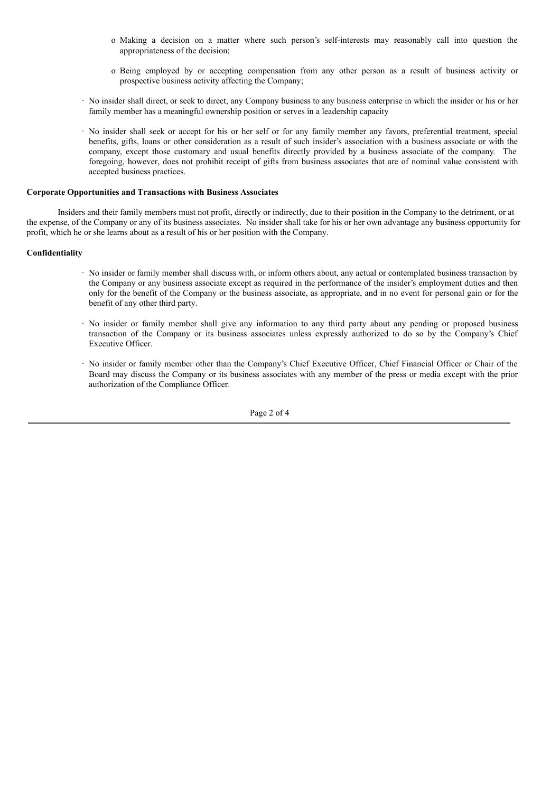- ο Making a decision on a matter where such person's self-interests may reasonably call into question the appropriateness of the decision;
- ο Being employed by or accepting compensation from any other person as a result of business activity or prospective business activity affecting the Company;
- · No insider shall direct, or seek to direct, any Company business to any business enterprise in which the insider or his or her family member has a meaningful ownership position or serves in a leadership capacity
- · No insider shall seek or accept for his or her self or for any family member any favors, preferential treatment, special benefits, gifts, loans or other consideration as a result of such insider's association with a business associate or with the company, except those customary and usual benefits directly provided by a business associate of the company. The foregoing, however, does not prohibit receipt of gifts from business associates that are of nominal value consistent with accepted business practices.

### **Corporate Opportunities and Transactions with Business Associates**

Insiders and their family members must not profit, directly or indirectly, due to their position in the Company to the detriment, or at the expense, of the Company or any of its business associates. No insider shall take for his or her own advantage any business opportunity for profit, which he or she learns about as a result of his or her position with the Company.

### **Confidentiality**

- · No insider or family member shall discuss with, or inform others about, any actual or contemplated business transaction by the Company or any business associate except as required in the performance of the insider's employment duties and then only for the benefit of the Company or the business associate, as appropriate, and in no event for personal gain or for the benefit of any other third party.
- · No insider or family member shall give any information to any third party about any pending or proposed business transaction of the Company or its business associates unless expressly authorized to do so by the Company's Chief Executive Officer.
- · No insider or family member other than the Company's Chief Executive Officer, Chief Financial Officer or Chair of the Board may discuss the Company or its business associates with any member of the press or media except with the prior authorization of the Compliance Officer.

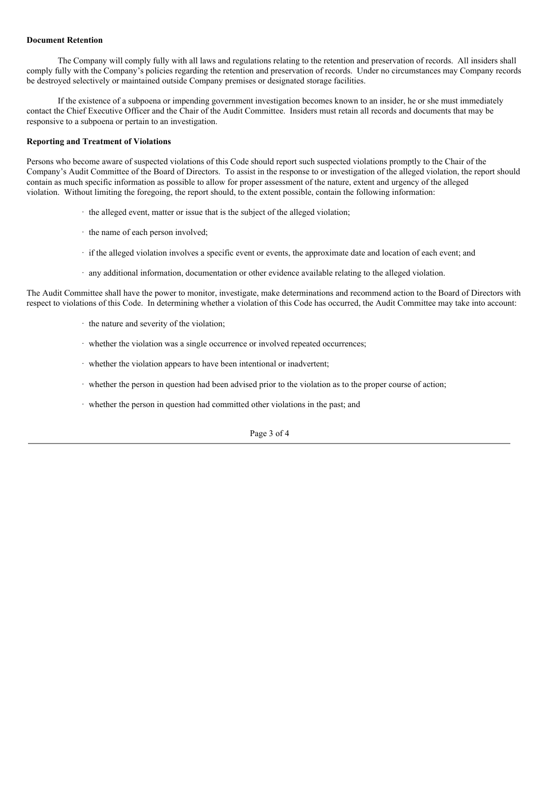### **Document Retention**

The Company will comply fully with all laws and regulations relating to the retention and preservation of records. All insiders shall comply fully with the Company's policies regarding the retention and preservation of records. Under no circumstances may Company records be destroyed selectively or maintained outside Company premises or designated storage facilities.

If the existence of a subpoena or impending government investigation becomes known to an insider, he or she must immediately contact the Chief Executive Officer and the Chair of the Audit Committee. Insiders must retain all records and documents that may be responsive to a subpoena or pertain to an investigation.

#### **Reporting and Treatment of Violations**

Persons who become aware of suspected violations of this Code should report such suspected violations promptly to the Chair of the Company's Audit Committee of the Board of Directors. To assist in the response to or investigation of the alleged violation, the report should contain as much specific information as possible to allow for proper assessment of the nature, extent and urgency of the alleged violation. Without limiting the foregoing, the report should, to the extent possible, contain the following information:

- · the alleged event, matter or issue that is the subject of the alleged violation;
- · the name of each person involved;
- · if the alleged violation involves a specific event or events, the approximate date and location of each event; and
- · any additional information, documentation or other evidence available relating to the alleged violation.

The Audit Committee shall have the power to monitor, investigate, make determinations and recommend action to the Board of Directors with respect to violations of this Code. In determining whether a violation of this Code has occurred, the Audit Committee may take into account:

- · the nature and severity of the violation;
- · whether the violation was a single occurrence or involved repeated occurrences;
- · whether the violation appears to have been intentional or inadvertent;
- · whether the person in question had been advised prior to the violation as to the proper course of action;
- · whether the person in question had committed other violations in the past; and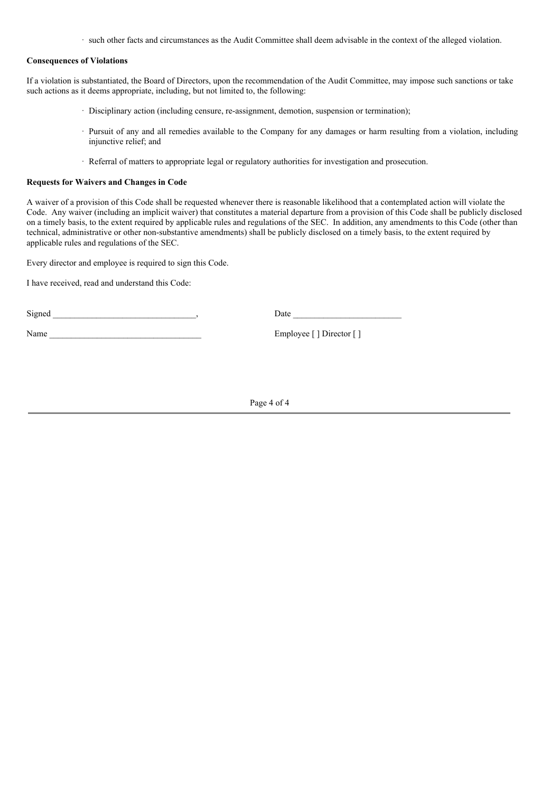· such other facts and circumstances as the Audit Committee shall deem advisable in the context of the alleged violation.

### **Consequences of Violations**

If a violation is substantiated, the Board of Directors, upon the recommendation of the Audit Committee, may impose such sanctions or take such actions as it deems appropriate, including, but not limited to, the following:

- · Disciplinary action (including censure, re-assignment, demotion, suspension or termination);
- · Pursuit of any and all remedies available to the Company for any damages or harm resulting from a violation, including injunctive relief; and
- · Referral of matters to appropriate legal or regulatory authorities for investigation and prosecution.

### **Requests for Waivers and Changes in Code**

A waiver of a provision of this Code shall be requested whenever there is reasonable likelihood that a contemplated action will violate the Code. Any waiver (including an implicit waiver) that constitutes a material departure from a provision of this Code shall be publicly disclosed on a timely basis, to the extent required by applicable rules and regulations of the SEC. In addition, any amendments to this Code (other than technical, administrative or other non-substantive amendments) shall be publicly disclosed on a timely basis, to the extent required by applicable rules and regulations of the SEC.

Every director and employee is required to sign this Code.

I have received, read and understand this Code:

Signed \_\_\_\_\_\_\_\_\_\_\_\_\_\_\_\_\_\_\_\_\_\_\_\_\_\_\_\_\_\_\_\_\_, Date \_\_\_\_\_\_\_\_\_\_\_\_\_\_\_\_\_\_\_\_\_\_\_\_\_

Name Employee [ ] Director [ ]

Page 4 of 4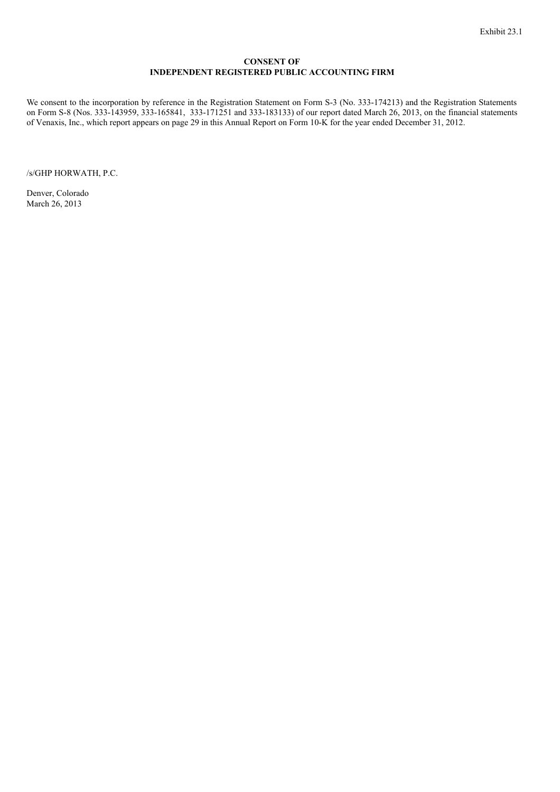## **CONSENT OF INDEPENDENT REGISTERED PUBLIC ACCOUNTING FIRM**

We consent to the incorporation by reference in the Registration Statement on Form S-3 (No. 333-174213) and the Registration Statements on Form S-8 (Nos. 333-143959, 333-165841, 333-171251 and 333-183133) of our report dated March 26, 2013, on the financial statements of Venaxis, Inc., which report appears on page 29 in this Annual Report on Form 10-K for the year ended December 31, 2012.

/s/GHP HORWATH, P.C.

Denver, Colorado March 26, 2013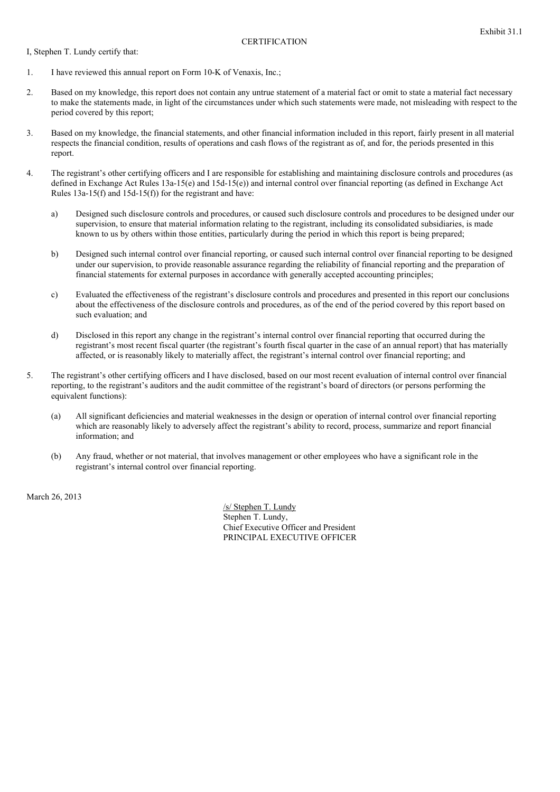I, Stephen T. Lundy certify that:

- 1. I have reviewed this annual report on Form 10-K of Venaxis, Inc.;
- 2. Based on my knowledge, this report does not contain any untrue statement of a material fact or omit to state a material fact necessary to make the statements made, in light of the circumstances under which such statements were made, not misleading with respect to the period covered by this report;
- 3. Based on my knowledge, the financial statements, and other financial information included in this report, fairly present in all material respects the financial condition, results of operations and cash flows of the registrant as of, and for, the periods presented in this report.
- 4. The registrant's other certifying officers and I are responsible for establishing and maintaining disclosure controls and procedures (as defined in Exchange Act Rules 13a-15(e) and 15d-15(e)) and internal control over financial reporting (as defined in Exchange Act Rules 13a-15(f) and 15d-15(f)) for the registrant and have:
	- a) Designed such disclosure controls and procedures, or caused such disclosure controls and procedures to be designed under our supervision, to ensure that material information relating to the registrant, including its consolidated subsidiaries, is made known to us by others within those entities, particularly during the period in which this report is being prepared;
	- b) Designed such internal control over financial reporting, or caused such internal control over financial reporting to be designed under our supervision, to provide reasonable assurance regarding the reliability of financial reporting and the preparation of financial statements for external purposes in accordance with generally accepted accounting principles;
	- c) Evaluated the effectiveness of the registrant's disclosure controls and procedures and presented in this report our conclusions about the effectiveness of the disclosure controls and procedures, as of the end of the period covered by this report based on such evaluation; and
	- d) Disclosed in this report any change in the registrant's internal control over financial reporting that occurred during the registrant's most recent fiscal quarter (the registrant's fourth fiscal quarter in the case of an annual report) that has materially affected, or is reasonably likely to materially affect, the registrant's internal control over financial reporting; and
- 5. The registrant's other certifying officers and I have disclosed, based on our most recent evaluation of internal control over financial reporting, to the registrant's auditors and the audit committee of the registrant's board of directors (or persons performing the equivalent functions):
	- (a) All significant deficiencies and material weaknesses in the design or operation of internal control over financial reporting which are reasonably likely to adversely affect the registrant's ability to record, process, summarize and report financial information; and
	- (b) Any fraud, whether or not material, that involves management or other employees who have a significant role in the registrant's internal control over financial reporting.

March 26, 2013

/s/ Stephen T. Lundy Stephen T. Lundy, Chief Executive Officer and President PRINCIPAL EXECUTIVE OFFICER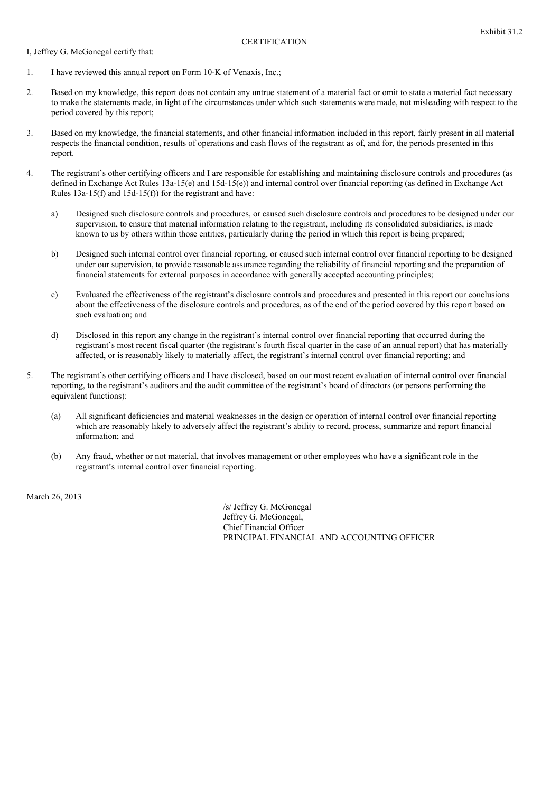I, Jeffrey G. McGonegal certify that:

- 1. I have reviewed this annual report on Form 10-K of Venaxis, Inc.;
- 2. Based on my knowledge, this report does not contain any untrue statement of a material fact or omit to state a material fact necessary to make the statements made, in light of the circumstances under which such statements were made, not misleading with respect to the period covered by this report;
- 3. Based on my knowledge, the financial statements, and other financial information included in this report, fairly present in all material respects the financial condition, results of operations and cash flows of the registrant as of, and for, the periods presented in this report.
- 4. The registrant's other certifying officers and I are responsible for establishing and maintaining disclosure controls and procedures (as defined in Exchange Act Rules 13a-15(e) and 15d-15(e)) and internal control over financial reporting (as defined in Exchange Act Rules 13a-15(f) and 15d-15(f)) for the registrant and have:
	- a) Designed such disclosure controls and procedures, or caused such disclosure controls and procedures to be designed under our supervision, to ensure that material information relating to the registrant, including its consolidated subsidiaries, is made known to us by others within those entities, particularly during the period in which this report is being prepared;
	- b) Designed such internal control over financial reporting, or caused such internal control over financial reporting to be designed under our supervision, to provide reasonable assurance regarding the reliability of financial reporting and the preparation of financial statements for external purposes in accordance with generally accepted accounting principles;
	- c) Evaluated the effectiveness of the registrant's disclosure controls and procedures and presented in this report our conclusions about the effectiveness of the disclosure controls and procedures, as of the end of the period covered by this report based on such evaluation; and
	- d) Disclosed in this report any change in the registrant's internal control over financial reporting that occurred during the registrant's most recent fiscal quarter (the registrant's fourth fiscal quarter in the case of an annual report) that has materially affected, or is reasonably likely to materially affect, the registrant's internal control over financial reporting; and
- 5. The registrant's other certifying officers and I have disclosed, based on our most recent evaluation of internal control over financial reporting, to the registrant's auditors and the audit committee of the registrant's board of directors (or persons performing the equivalent functions):
	- (a) All significant deficiencies and material weaknesses in the design or operation of internal control over financial reporting which are reasonably likely to adversely affect the registrant's ability to record, process, summarize and report financial information; and
	- (b) Any fraud, whether or not material, that involves management or other employees who have a significant role in the registrant's internal control over financial reporting.

March 26, 2013

/s/ Jeffrey G. McGonegal Jeffrey G. McGonegal, Chief Financial Officer PRINCIPAL FINANCIAL AND ACCOUNTING OFFICER